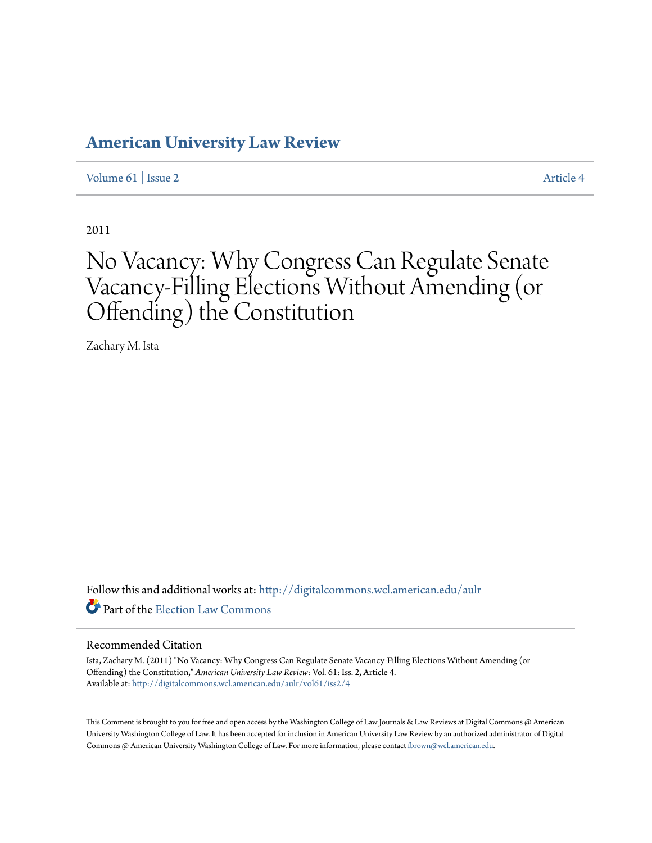## **[American University Law Review](http://digitalcommons.wcl.american.edu/aulr?utm_source=digitalcommons.wcl.american.edu%2Faulr%2Fvol61%2Fiss2%2F4&utm_medium=PDF&utm_campaign=PDFCoverPages)**

[Volume 61](http://digitalcommons.wcl.american.edu/aulr/vol61?utm_source=digitalcommons.wcl.american.edu%2Faulr%2Fvol61%2Fiss2%2F4&utm_medium=PDF&utm_campaign=PDFCoverPages) | [Issue 2](http://digitalcommons.wcl.american.edu/aulr/vol61/iss2?utm_source=digitalcommons.wcl.american.edu%2Faulr%2Fvol61%2Fiss2%2F4&utm_medium=PDF&utm_campaign=PDFCoverPages) [Article 4](http://digitalcommons.wcl.american.edu/aulr/vol61/iss2/4?utm_source=digitalcommons.wcl.american.edu%2Faulr%2Fvol61%2Fiss2%2F4&utm_medium=PDF&utm_campaign=PDFCoverPages)

2011

# No Vacancy: Why Congress Can Regulate Senate Vacancy-Filling Elections Without Amending (or Offending) the Constitution

Zachary M. Ista

Follow this and additional works at: [http://digitalcommons.wcl.american.edu/aulr](http://digitalcommons.wcl.american.edu/aulr?utm_source=digitalcommons.wcl.american.edu%2Faulr%2Fvol61%2Fiss2%2F4&utm_medium=PDF&utm_campaign=PDFCoverPages) Part of the [Election Law Commons](http://network.bepress.com/hgg/discipline/1121?utm_source=digitalcommons.wcl.american.edu%2Faulr%2Fvol61%2Fiss2%2F4&utm_medium=PDF&utm_campaign=PDFCoverPages)

#### Recommended Citation

Ista, Zachary M. (2011) "No Vacancy: Why Congress Can Regulate Senate Vacancy-Filling Elections Without Amending (or Offending) the Constitution," *American University Law Review*: Vol. 61: Iss. 2, Article 4. Available at: [http://digitalcommons.wcl.american.edu/aulr/vol61/iss2/4](http://digitalcommons.wcl.american.edu/aulr/vol61/iss2/4?utm_source=digitalcommons.wcl.american.edu%2Faulr%2Fvol61%2Fiss2%2F4&utm_medium=PDF&utm_campaign=PDFCoverPages)

This Comment is brought to you for free and open access by the Washington College of Law Journals & Law Reviews at Digital Commons @ American University Washington College of Law. It has been accepted for inclusion in American University Law Review by an authorized administrator of Digital Commons @ American University Washington College of Law. For more information, please contact [fbrown@wcl.american.edu](mailto:fbrown@wcl.american.edu).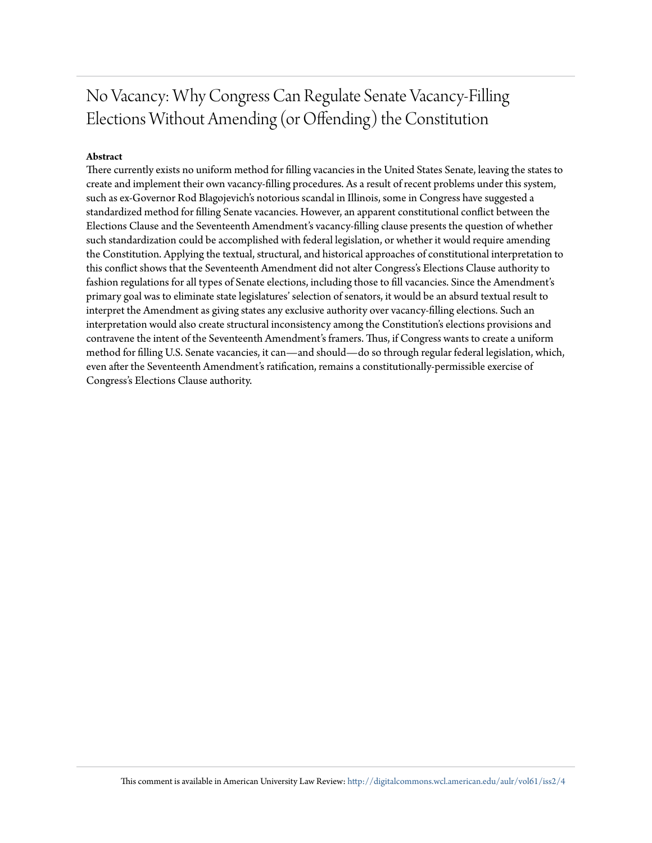## No Vacancy: Why Congress Can Regulate Senate Vacancy-Filling Elections Without Amending (or Offending) the Constitution

#### **Abstract**

There currently exists no uniform method for filling vacancies in the United States Senate, leaving the states to create and implement their own vacancy-filling procedures. As a result of recent problems under this system, such as ex-Governor Rod Blagojevich's notorious scandal in Illinois, some in Congress have suggested a standardized method for filling Senate vacancies. However, an apparent constitutional conflict between the Elections Clause and the Seventeenth Amendment's vacancy-filling clause presents the question of whether such standardization could be accomplished with federal legislation, or whether it would require amending the Constitution. Applying the textual, structural, and historical approaches of constitutional interpretation to this conflict shows that the Seventeenth Amendment did not alter Congress's Elections Clause authority to fashion regulations for all types of Senate elections, including those to fill vacancies. Since the Amendment's primary goal was to eliminate state legislatures' selection of senators, it would be an absurd textual result to interpret the Amendment as giving states any exclusive authority over vacancy-filling elections. Such an interpretation would also create structural inconsistency among the Constitution's elections provisions and contravene the intent of the Seventeenth Amendment's framers. Thus, if Congress wants to create a uniform method for filling U.S. Senate vacancies, it can—and should—do so through regular federal legislation, which, even after the Seventeenth Amendment's ratification, remains a constitutionally-permissible exercise of Congress's Elections Clause authority.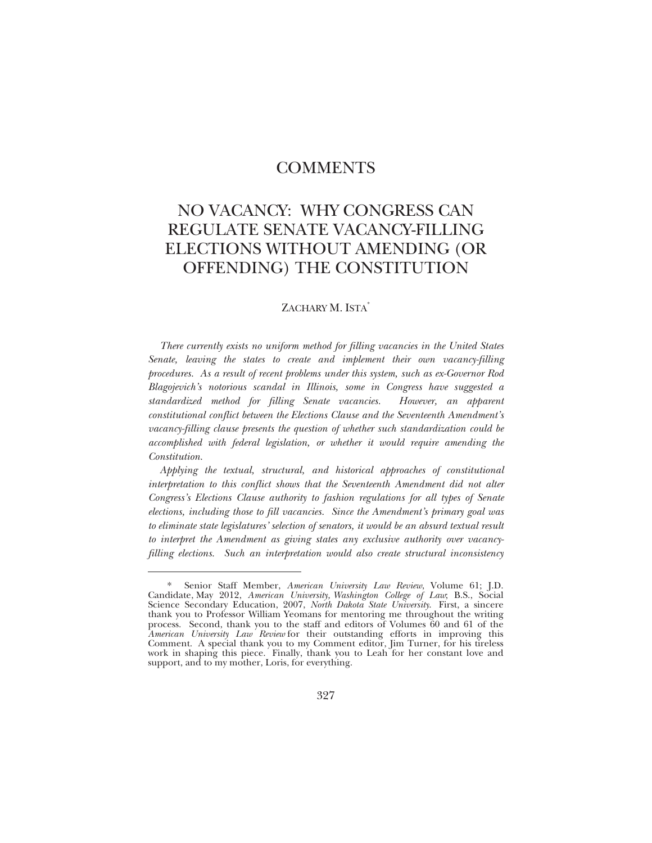### COMMENTS

## NO VACANCY: WHY CONGRESS CAN REGULATE SENATE VACANCY-FILLING ELECTIONS WITHOUT AMENDING (OR OFFENDING) THE CONSTITUTION

#### ZACHARY M. ISTA<sup>\*</sup>

*There currently exists no uniform method for filling vacancies in the United States Senate, leaving the states to create and implement their own vacancy-filling procedures. As a result of recent problems under this system, such as ex-Governor Rod Blagojevich's notorious scandal in Illinois, some in Congress have suggested a standardized method for filling Senate vacancies. However, an apparent constitutional conflict between the Elections Clause and the Seventeenth Amendment's vacancy-filling clause presents the question of whether such standardization could be accomplished with federal legislation, or whether it would require amending the Constitution.* 

*Applying the textual, structural, and historical approaches of constitutional*  interpretation to this conflict shows that the Seventeenth Amendment did not alter *Congress's Elections Clause authority to fashion regulations for all types of Senate elections, including those to fill vacancies. Since the Amendment's primary goal was to eliminate state legislatures' selection of senators, it would be an absurd textual result to interpret the Amendment as giving states any exclusive authority over vacancyfilling elections. Such an interpretation would also create structural inconsistency* 

<sup>\*</sup> Senior Staff Member, *American University Law Review*, Volume 61; J.D. Candidate, May 2012, *American University, Washington College of Law*; B.S., Social Science Secondary Education, 2007, *North Dakota State University*. First, a sincere thank you to Professor William Yeomans for mentoring me throughout the writing process. Second, thank you to the staff and editors of Volumes 60 and 61 of the *American University Law Review* for their outstanding efforts in improving this Comment. A special thank you to my Comment editor, Jim Turner, for his tireless work in shaping this piece. Finally, thank you to Leah for her constant love and support, and to my mother, Loris, for everything.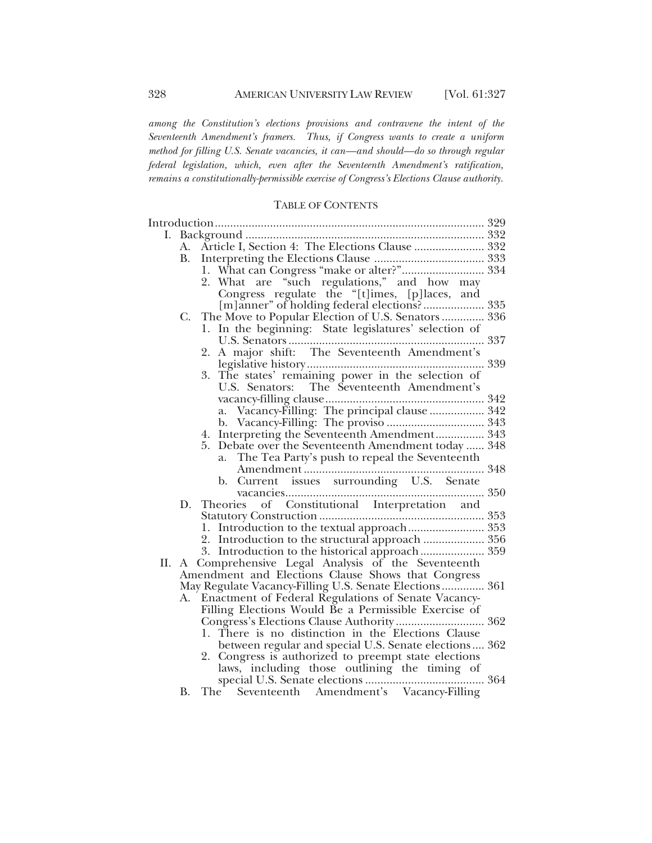*among the Constitution's elections provisions and contravene the intent of the Seventeenth Amendment's framers. Thus, if Congress wants to create a uniform method for filling U.S. Senate vacancies, it can—and should—do so through regular federal legislation, which, even after the Seventeenth Amendment's ratification, remains a constitutionally-permissible exercise of Congress's Elections Clause authority.* 

#### TABLE OF CONTENTS

|    | А.        | Article I, Section 4: The Elections Clause  332        |  |
|----|-----------|--------------------------------------------------------|--|
|    | <b>B.</b> |                                                        |  |
|    |           |                                                        |  |
|    |           | 2. What are "such regulations," and how may            |  |
|    |           | Congress regulate the "[t]imes, [p]laces, and          |  |
|    |           | [m]anner" of holding federal elections? 335            |  |
|    | C.        | The Move to Popular Election of U.S. Senators  336     |  |
|    |           | In the beginning: State legislatures' selection of     |  |
|    |           |                                                        |  |
|    |           | A major shift: The Seventeenth Amendment's<br>2.       |  |
|    |           |                                                        |  |
|    |           | 3. The states' remaining power in the selection of     |  |
|    |           | U.S. Senators: The Seventeenth Amendment's             |  |
|    |           |                                                        |  |
|    |           |                                                        |  |
|    |           |                                                        |  |
|    |           | 4. Interpreting the Seventeenth Amendment 343          |  |
|    |           | Debate over the Seventeenth Amendment today  348<br>5. |  |
|    |           | The Tea Party's push to repeal the Seventeenth<br>a.   |  |
|    |           |                                                        |  |
|    |           | b. Current issues surrounding U.S. Senate              |  |
|    |           |                                                        |  |
|    | D.        | Theories of Constitutional Interpretation and          |  |
|    |           |                                                        |  |
|    |           | 1. Introduction to the textual approach 353            |  |
|    |           |                                                        |  |
| П. |           | A Comprehensive Legal Analysis of the Seventeenth      |  |
|    |           | Amendment and Elections Clause Shows that Congress     |  |
|    |           | May Regulate Vacancy-Filling U.S. Senate Elections 361 |  |
|    | А.        | Enactment of Federal Regulations of Senate Vacancy-    |  |
|    |           | Filling Elections Would Be a Permissible Exercise of   |  |
|    |           | Congress's Elections Clause Authority  362             |  |
|    |           | 1. There is no distinction in the Elections Clause     |  |
|    |           | between regular and special U.S. Senate elections 362  |  |
|    |           | 2. Congress is authorized to preempt state elections   |  |
|    |           |                                                        |  |
|    |           |                                                        |  |
|    | <b>B.</b> |                                                        |  |
|    |           |                                                        |  |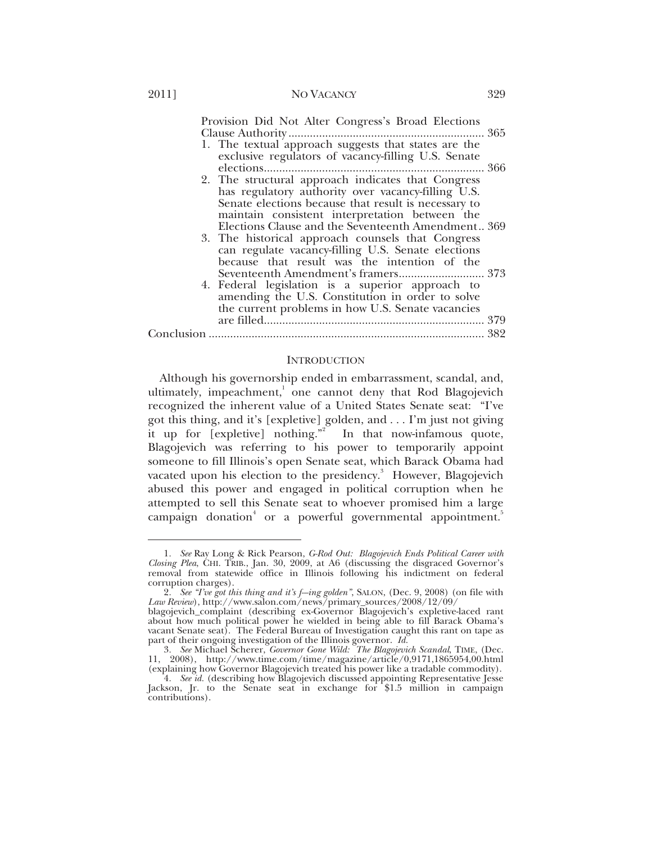#### 2011] NO VACANCY 329

| Provision Did Not Alter Congress's Broad Elections<br>1. The textual approach suggests that states are the<br>exclusive regulators of vacancy-filling U.S. Senate |  |
|-------------------------------------------------------------------------------------------------------------------------------------------------------------------|--|
|                                                                                                                                                                   |  |
| 2. The structural approach indicates that Congress<br>has regulatory authority over vacancy-filling U.S.<br>Senate elections because that result is necessary to  |  |
| maintain consistent interpretation between the                                                                                                                    |  |
| Elections Clause and the Seventeenth Amendment 369                                                                                                                |  |
| 3. The historical approach counsels that Congress                                                                                                                 |  |
| can regulate vacancy-filling U.S. Senate elections                                                                                                                |  |
| because that result was the intention of the                                                                                                                      |  |
| Seventeenth Amendment's framers 373                                                                                                                               |  |
| 4. Federal legislation is a superior approach to<br>amending the U.S. Constitution in order to solve                                                              |  |
| the current problems in how U.S. Senate vacancies                                                                                                                 |  |
| 379                                                                                                                                                               |  |
|                                                                                                                                                                   |  |
|                                                                                                                                                                   |  |

#### **INTRODUCTION**

Although his governorship ended in embarrassment, scandal, and, ultimately, impeachment,<sup>1</sup> one cannot deny that Rod Blagojevich recognized the inherent value of a United States Senate seat: "I've got this thing, and it's [expletive] golden, and . . . I'm just not giving it up for [expletive] nothing."<sup>2</sup> In that now-infamous quote, Blagojevich was referring to his power to temporarily appoint someone to fill Illinois's open Senate seat, which Barack Obama had vacated upon his election to the presidency.<sup>3</sup> However, Blagojevich abused this power and engaged in political corruption when he attempted to sell this Senate seat to whoever promised him a large campaign donation<sup>4</sup> or a powerful governmental appointment.<sup>5</sup>

<sup>1</sup>*. See* Ray Long & Rick Pearson, *G-Rod Out: Blagojevich Ends Political Career with Closing Plea*, CHI. TRIB., Jan. 30, 2009, at A6 (discussing the disgraced Governor's removal from statewide office in Illinois following his indictment on federal corruption charges).

<sup>2</sup>*. See "I've got this thing and it's f---ing golden"*, SALON, (Dec. 9, 2008) (on file with *Law Review*), http://www.salon.com/news/primary\_sources/2008/12/09/

blagojevich\_complaint (describing ex-Governor Blagojevich's expletive-laced rant about how much political power he wielded in being able to fill Barack Obama's vacant Senate seat). The Federal Bureau of Investigation caught this rant on tape as part of their ongoing investigation of the Illinois governor. *Id.* 

<sup>3</sup>*. See* Michael Scherer, *Governor Gone Wild: The Blagojevich Scandal*, TIME, (Dec. 11, 2008), http://www.time.com/time/magazine/article/0,9171,1865954,00.html (explaining how Governor Blagojevich treated his power like a tradable commodity).

<sup>4</sup>*. See id.* (describing how Blagojevich discussed appointing Representative Jesse Jackson, Jr. to the Senate seat in exchange for \$1.5 million in campaign contributions).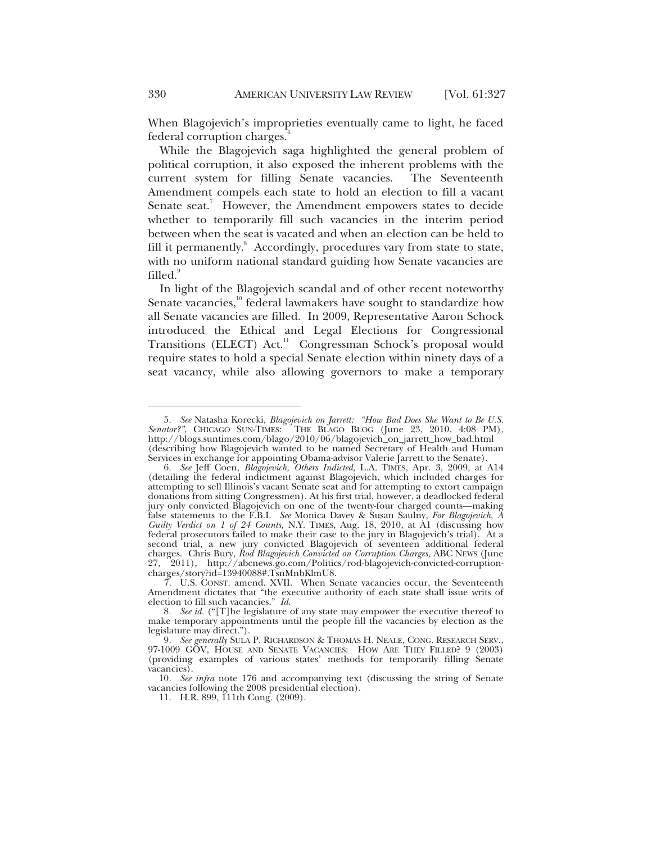When Blagojevich's improprieties eventually came to light, he faced federal corruption charges.<sup>6</sup>

While the Blagojevich saga highlighted the general problem of political corruption, it also exposed the inherent problems with the current system for filling Senate vacancies. The Seventeenth Amendment compels each state to hold an election to fill a vacant Senate seat.<sup>7</sup> However, the Amendment empowers states to decide whether to temporarily fill such vacancies in the interim period between when the seat is vacated and when an election can be held to fill it permanently.<sup>8</sup> Accordingly, procedures vary from state to state, with no uniform national standard guiding how Senate vacancies are filled.<sup>9</sup>

In light of the Blagojevich scandal and of other recent noteworthy Senate vacancies, $10^{\circ}$  federal lawmakers have sought to standardize how all Senate vacancies are filled. In 2009, Representative Aaron Schock introduced the Ethical and Legal Elections for Congressional Transitions (ELECT) Act.<sup>11</sup> Congressman Schock's proposal would require states to hold a special Senate election within ninety days of a seat vacancy, while also allowing governors to make a temporary

<sup>5</sup>*. See* Natasha Korecki, *Blagojevich on Jarrett: "How Bad Does She Want to Be U.S. Senator?"*, CHICAGO SUN-TIMES: THE BLAGO BLOG (June 23, 2010, 4:08 PM), http://blogs.suntimes.com/blago/2010/06/blagojevich\_on\_jarrett\_how\_bad.html (describing how Blagojevich wanted to be named Secretary of Health and Human Services in exchange for appointing Obama-advisor Valerie Jarrett to the Senate).

<sup>6</sup>*. See* Jeff Coen, *Blagojevich, Others Indicted*, L.A. TIMES, Apr. 3, 2009, at A14 (detailing the federal indictment against Blagojevich, which included charges for attempting to sell Illinois's vacant Senate seat and for attempting to extort campaign donations from sitting Congressmen). At his first trial, however, a deadlocked federal jury only convicted Blagojevich on one of the twenty-four charged counts—making false statements to the F.B.I. *See* Monica Davey & Susan Saulny, *For Blagojevich, A Guilty Verdict on 1 of 24 Counts*, N.Y. TIMES, Aug. 18, 2010, at A1 (discussing how federal prosecutors failed to make their case to the jury in Blagojevich's trial). At a second trial, a new jury convicted Blagojevich of seventeen additional federal charges. Chris Bury, *Rod Blagojevich Convicted on Corruption Charges,* ABC NEWS (June 27, 2011), http://abcnews.go.com/Politics/rod-blagojevich-convicted-corruptioncharges/story?id=13940088#.TsnMnbKlmU8.

 <sup>7.</sup> U.S. CONST. amend. XVII. When Senate vacancies occur, the Seventeenth Amendment dictates that "the executive authority of each state shall issue writs of election to fill such vacancies." *Id.*

<sup>8</sup>*. See id.* ("[T]he legislature of any state may empower the executive thereof to make temporary appointments until the people fill the vacancies by election as the legislature may direct.").

<sup>9</sup>*. See generally* SULA P. RICHARDSON & THOMAS H. NEALE, CONG. RESEARCH SERV., 97-1009 GOV, HOUSE AND SENATE VACANCIES: HOW ARE THEY FILLED? 9 (2003) (providing examples of various states' methods for temporarily filling Senate vacancies).

<sup>10</sup>*. See infra* note 176 and accompanying text (discussing the string of Senate vacancies following the 2008 presidential election).

 <sup>11.</sup> H.R. 899, 111th Cong. (2009).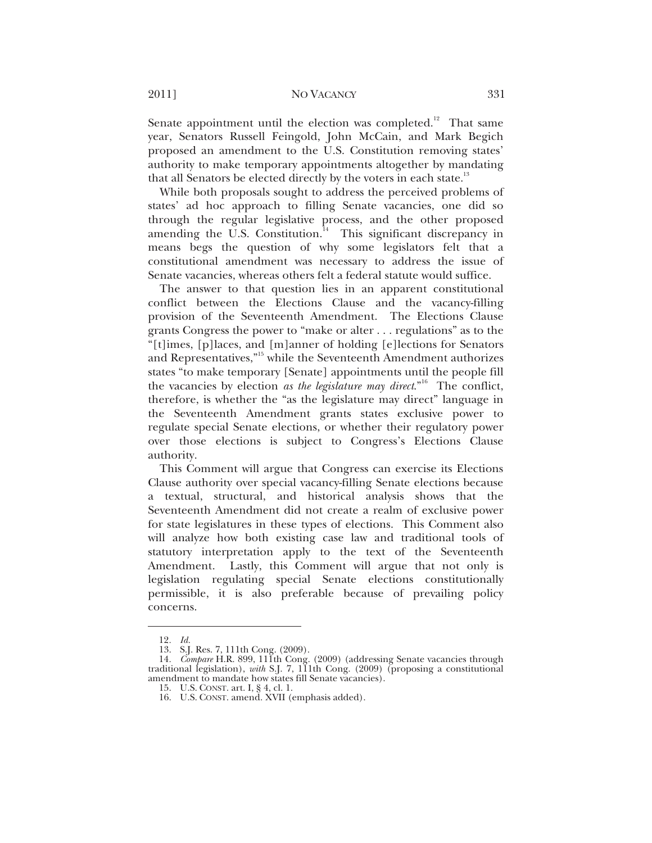#### 2011] NO VACANCY 331

Senate appointment until the election was completed.<sup>12</sup> That same year, Senators Russell Feingold, John McCain, and Mark Begich proposed an amendment to the U.S. Constitution removing states' authority to make temporary appointments altogether by mandating that all Senators be elected directly by the voters in each state.<sup>13</sup>

While both proposals sought to address the perceived problems of states' ad hoc approach to filling Senate vacancies, one did so through the regular legislative process, and the other proposed amending the U.S. Constitution.<sup>14</sup> This significant discrepancy in means begs the question of why some legislators felt that a constitutional amendment was necessary to address the issue of Senate vacancies, whereas others felt a federal statute would suffice.

The answer to that question lies in an apparent constitutional conflict between the Elections Clause and the vacancy-filling provision of the Seventeenth Amendment. The Elections Clause grants Congress the power to "make or alter . . . regulations" as to the "[t]imes, [p]laces, and [m]anner of holding [e]lections for Senators and Representatives,"15 while the Seventeenth Amendment authorizes states "to make temporary [Senate] appointments until the people fill the vacancies by election *as the legislature may direct*."16 The conflict, therefore, is whether the "as the legislature may direct" language in the Seventeenth Amendment grants states exclusive power to regulate special Senate elections, or whether their regulatory power over those elections is subject to Congress's Elections Clause authority.

This Comment will argue that Congress can exercise its Elections Clause authority over special vacancy-filling Senate elections because a textual, structural, and historical analysis shows that the Seventeenth Amendment did not create a realm of exclusive power for state legislatures in these types of elections. This Comment also will analyze how both existing case law and traditional tools of statutory interpretation apply to the text of the Seventeenth Amendment. Lastly, this Comment will argue that not only is legislation regulating special Senate elections constitutionally permissible, it is also preferable because of prevailing policy concerns.

<sup>12</sup>*. Id.*

 <sup>13.</sup> S.J. Res. 7, 111th Cong. (2009).

<sup>14</sup>*. Compare* H.R. 899, 111th Cong. (2009) (addressing Senate vacancies through traditional legislation), *with* S.J. 7, 111th Cong. (2009) (proposing a constitutional amendment to mandate how states fill Senate vacancies).

 <sup>15.</sup> U.S. CONST. art. I, § 4, cl. 1.

 <sup>16.</sup> U.S. CONST. amend. XVII (emphasis added).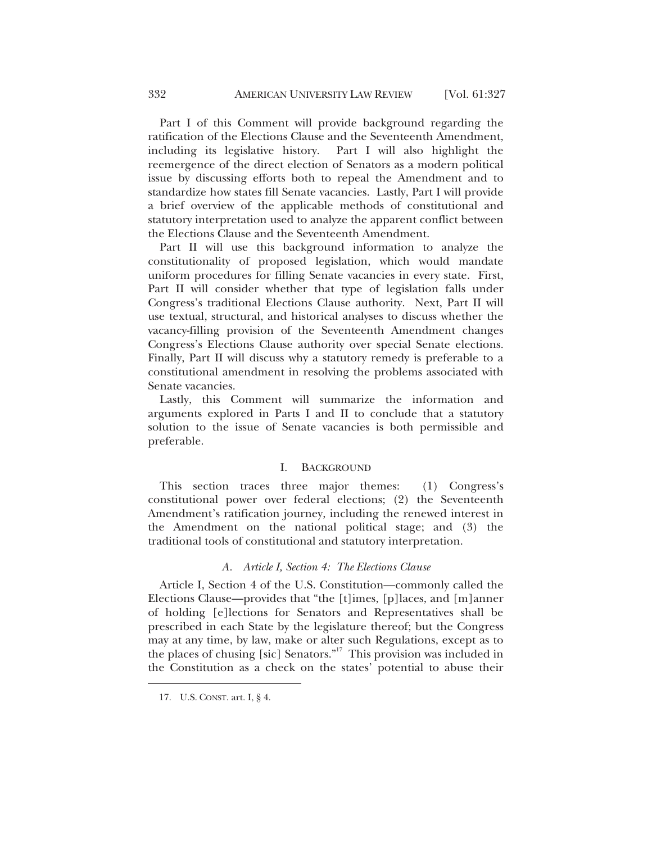Part I of this Comment will provide background regarding the ratification of the Elections Clause and the Seventeenth Amendment, including its legislative history. Part I will also highlight the reemergence of the direct election of Senators as a modern political issue by discussing efforts both to repeal the Amendment and to standardize how states fill Senate vacancies. Lastly, Part I will provide a brief overview of the applicable methods of constitutional and statutory interpretation used to analyze the apparent conflict between the Elections Clause and the Seventeenth Amendment.

Part II will use this background information to analyze the constitutionality of proposed legislation, which would mandate uniform procedures for filling Senate vacancies in every state. First, Part II will consider whether that type of legislation falls under Congress's traditional Elections Clause authority. Next, Part II will use textual, structural, and historical analyses to discuss whether the vacancy-filling provision of the Seventeenth Amendment changes Congress's Elections Clause authority over special Senate elections. Finally, Part II will discuss why a statutory remedy is preferable to a constitutional amendment in resolving the problems associated with Senate vacancies.

Lastly, this Comment will summarize the information and arguments explored in Parts I and II to conclude that a statutory solution to the issue of Senate vacancies is both permissible and preferable.

#### I. BACKGROUND

This section traces three major themes: (1) Congress's constitutional power over federal elections; (2) the Seventeenth Amendment's ratification journey, including the renewed interest in the Amendment on the national political stage; and (3) the traditional tools of constitutional and statutory interpretation.

#### *A. Article I, Section 4: The Elections Clause*

Article I, Section 4 of the U.S. Constitution—commonly called the Elections Clause—provides that "the [t]imes, [p]laces, and [m]anner of holding [e]lections for Senators and Representatives shall be prescribed in each State by the legislature thereof; but the Congress may at any time, by law, make or alter such Regulations, except as to the places of chusing [sic] Senators."<sup>17</sup> This provision was included in the Constitution as a check on the states' potential to abuse their

 <sup>17.</sup> U.S. CONST. art. I, § 4.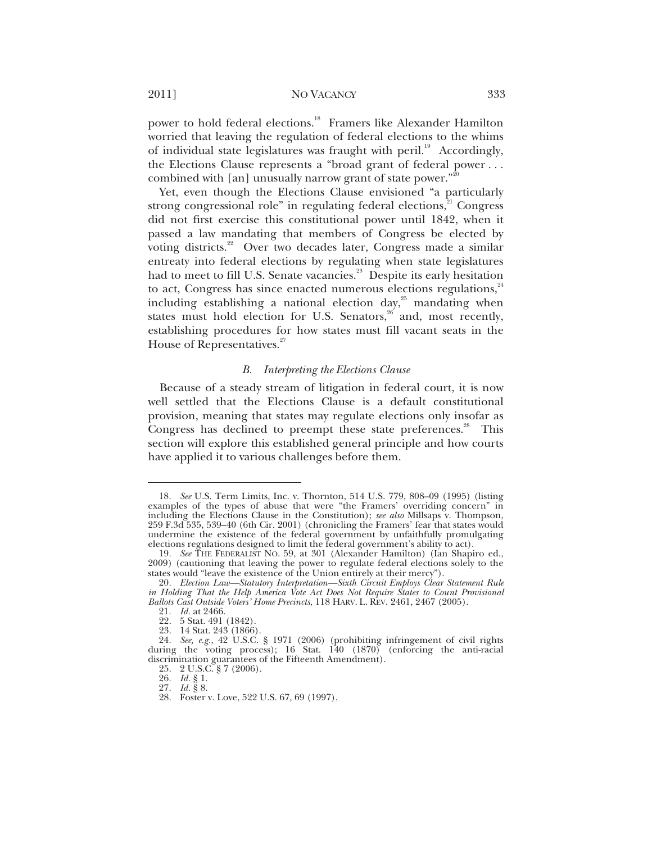#### 2011] NO VACANCY 333

power to hold federal elections.<sup>18</sup> Framers like Alexander Hamilton worried that leaving the regulation of federal elections to the whims of individual state legislatures was fraught with peril.<sup>19</sup> Accordingly, the Elections Clause represents a "broad grant of federal power . . . combined with [an] unusually narrow grant of state power."

Yet, even though the Elections Clause envisioned "a particularly strong congressional role" in regulating federal elections,<sup>21</sup> Congress did not first exercise this constitutional power until 1842, when it passed a law mandating that members of Congress be elected by voting districts.<sup>22</sup> Over two decades later, Congress made a similar entreaty into federal elections by regulating when state legislatures had to meet to fill U.S. Senate vacancies.<sup>23</sup> Despite its early hesitation to act, Congress has since enacted numerous elections regulations, $34$ including establishing a national election day,<sup>25</sup> mandating when states must hold election for U.S. Senators, $26$  and, most recently, establishing procedures for how states must fill vacant seats in the House of Representatives.<sup>27</sup>

#### *B. Interpreting the Elections Clause*

Because of a steady stream of litigation in federal court, it is now well settled that the Elections Clause is a default constitutional provision, meaning that states may regulate elections only insofar as Congress has declined to preempt these state preferences.<sup>28</sup> This section will explore this established general principle and how courts have applied it to various challenges before them.

<sup>18</sup>*. See* U.S. Term Limits, Inc. v. Thornton, 514 U.S. 779, 808–09 (1995) (listing examples of the types of abuse that were "the Framers' overriding concern" in including the Elections Clause in the Constitution); *see also* Millsaps v. Thompson, 259 F.3d 535, 539–40 (6th Cir. 2001) (chronicling the Framers' fear that states would undermine the existence of the federal government by unfaithfully promulgating elections regulations designed to limit the federal government's ability to act).

<sup>19</sup>*. See* THE FEDERALIST NO. 59, at 301 (Alexander Hamilton) (Ian Shapiro ed., 2009) (cautioning that leaving the power to regulate federal elections solely to the states would "leave the existence of the Union entirely at their mercy").

<sup>20</sup>*. Election Law—Statutory Interpretation—Sixth Circuit Employs Clear Statement Rule in Holding That the Help America Vote Act Does Not Require States to Count Provisional Ballots Cast Outside Voters' Home Precincts*, 118 HARV. L. REV. 2461, 2467 (2005).

<sup>21</sup>*. Id.* at 2466.

 <sup>22. 5</sup> Stat. 491 (1842).

 <sup>23. 14</sup> Stat. 243 (1866).

<sup>24</sup>*. See, e.g.*, 42 U.S.C. § 1971 (2006) (prohibiting infringement of civil rights during the voting process); 16 Stat. 140 (1870) (enforcing the anti-racial discrimination guarantees of the Fifteenth Amendment).

 <sup>25. 2</sup> U.S.C. § 7 (2006).

<sup>26</sup>*. Id.* § 1.

<sup>27</sup>*. Id.* § 8.

 <sup>28.</sup> Foster v. Love, 522 U.S. 67, 69 (1997).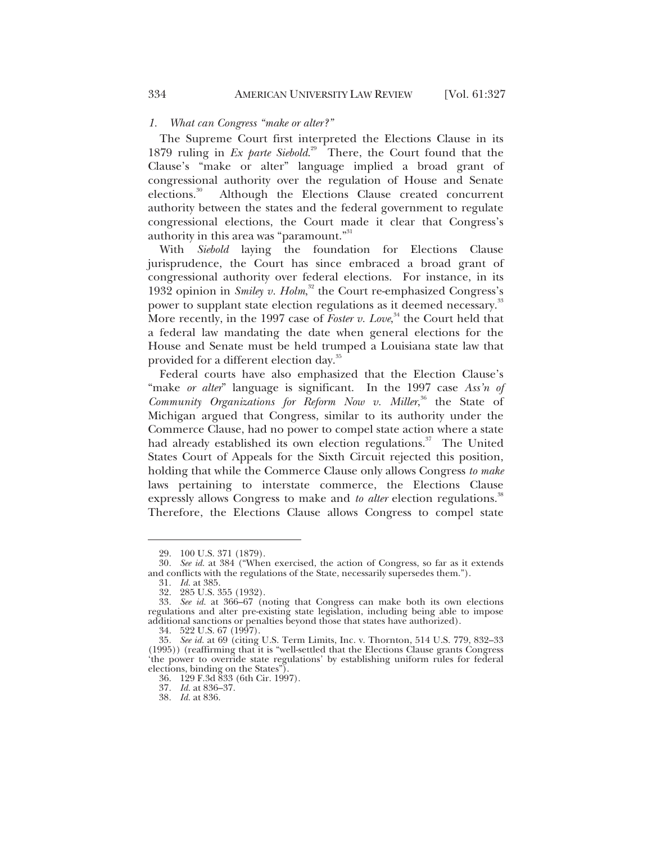#### *1. What can Congress "make or alter?"*

The Supreme Court first interpreted the Elections Clause in its 1879 ruling in *Ex parte Siebold*. 29 There, the Court found that the Clause's "make or alter" language implied a broad grant of congressional authority over the regulation of House and Senate elections.<sup>30</sup> Although the Elections Clause created concurrent authority between the states and the federal government to regulate congressional elections, the Court made it clear that Congress's authority in this area was "paramount."<sup>31</sup>

With *Siebold* laying the foundation for Elections Clause jurisprudence, the Court has since embraced a broad grant of congressional authority over federal elections. For instance, in its 1932 opinion in *Smiley v. Holm*,<sup>32</sup> the Court re-emphasized Congress's power to supplant state election regulations as it deemed necessary.<sup>33</sup> More recently, in the 1997 case of *Foster v. Love*, 34 the Court held that a federal law mandating the date when general elections for the House and Senate must be held trumped a Louisiana state law that provided for a different election day.<sup>35</sup>

Federal courts have also emphasized that the Election Clause's "make *or alter*" language is significant. In the 1997 case *Ass'n of*  Community Organizations for Reform Now v. Miller,<sup>36</sup> the State of Michigan argued that Congress, similar to its authority under the Commerce Clause, had no power to compel state action where a state had already established its own election regulations.<sup>37</sup> The United States Court of Appeals for the Sixth Circuit rejected this position, holding that while the Commerce Clause only allows Congress *to make* laws pertaining to interstate commerce, the Elections Clause expressly allows Congress to make and *to alter* election regulations.<sup>38</sup> Therefore, the Elections Clause allows Congress to compel state

 $\overline{a}$ 

36. 129 F.3d 833 (6th Cir. 1997).

 <sup>29. 100</sup> U.S. 371 (1879).

<sup>30</sup>*. See id.* at 384 ("When exercised, the action of Congress, so far as it extends and conflicts with the regulations of the State, necessarily supersedes them.").

<sup>31</sup>*. Id.* at 385.

 <sup>32. 285</sup> U.S. 355 (1932).

<sup>33</sup>*. See id.* at 366–67 (noting that Congress can make both its own elections regulations and alter pre-existing state legislation, including being able to impose additional sanctions or penalties beyond those that states have authorized).

 <sup>34. 522</sup> U.S. 67 (1997).

<sup>35</sup>*. See id.* at 69 (citing U.S. Term Limits, Inc. v. Thornton, 514 U.S. 779, 832–33 (1995)) (reaffirming that it is "well-settled that the Elections Clause grants Congress 'the power to override state regulations' by establishing uniform rules for federal elections, binding on the States").

<sup>37</sup>*. Id.* at 836–37.

<sup>38</sup>*. Id.* at 836.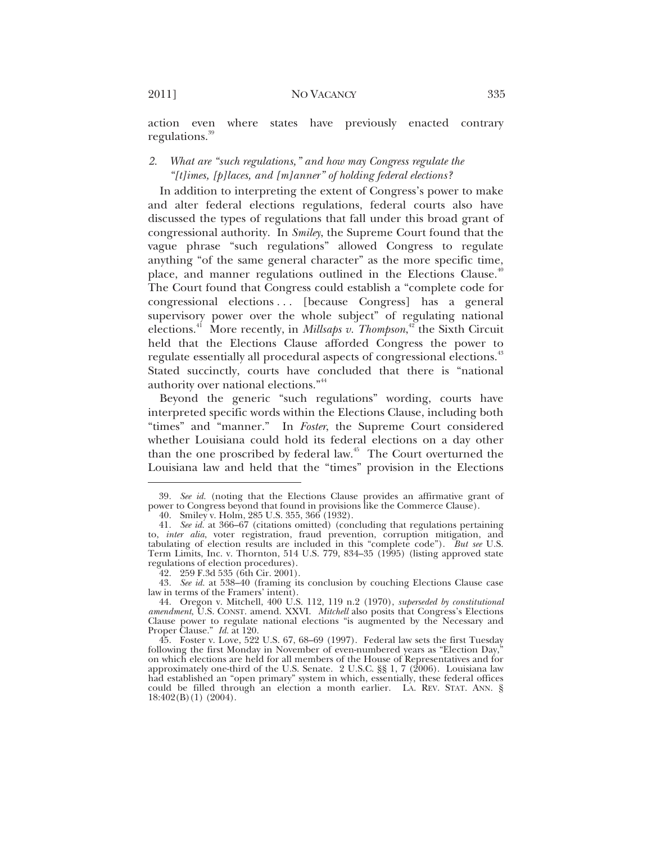action even where states have previously enacted contrary regulations.<sup>39</sup>

### *2. What are "such regulations," and how may Congress regulate the "[t]imes, [p]laces, and [m]anner" of holding federal elections?*

In addition to interpreting the extent of Congress's power to make and alter federal elections regulations, federal courts also have discussed the types of regulations that fall under this broad grant of congressional authority. In *Smiley*, the Supreme Court found that the vague phrase "such regulations" allowed Congress to regulate anything "of the same general character" as the more specific time, place, and manner regulations outlined in the Elections Clause.<sup>40</sup> The Court found that Congress could establish a "complete code for congressional elections . . . [because Congress] has a general supervisory power over the whole subject" of regulating national elections.41 More recently, in *Millsaps v. Thompson*, 42 the Sixth Circuit held that the Elections Clause afforded Congress the power to regulate essentially all procedural aspects of congressional elections.<sup>43</sup> Stated succinctly, courts have concluded that there is "national authority over national elections."<sup>44</sup>

Beyond the generic "such regulations" wording, courts have interpreted specific words within the Elections Clause, including both "times" and "manner." In *Foster*, the Supreme Court considered whether Louisiana could hold its federal elections on a day other than the one proscribed by federal law.<sup>45</sup> The Court overturned the Louisiana law and held that the "times" provision in the Elections

<sup>39</sup>*. See id.* (noting that the Elections Clause provides an affirmative grant of power to Congress beyond that found in provisions like the Commerce Clause).

 <sup>40.</sup> Smiley v. Holm, 285 U.S. 355, 366 (1932).

<sup>41</sup>*. See id.* at 366–67 (citations omitted) (concluding that regulations pertaining to, *inter alia*, voter registration, fraud prevention, corruption mitigation, and tabulating of election results are included in this "complete code"). *But see* U.S. Term Limits, Inc. v. Thornton, 514 U.S. 779, 834–35 (1995) (listing approved state regulations of election procedures).

 <sup>42. 259</sup> F.3d 535 (6th Cir. 2001).

<sup>43</sup>*. See id.* at 538–40 (framing its conclusion by couching Elections Clause case law in terms of the Framers' intent).

 <sup>44.</sup> Oregon v. Mitchell, 400 U.S. 112, 119 n.2 (1970), *superseded by constitutional amendment*, U.S. CONST. amend. XXVI. *Mitchell* also posits that Congress's Elections Clause power to regulate national elections "is augmented by the Necessary and Proper Clause." *Id.* at 120.

 <sup>45.</sup> Foster v. Love, 522 U.S. 67, 68–69 (1997). Federal law sets the first Tuesday following the first Monday in November of even-numbered years as "Election Day," on which elections are held for all members of the House of Representatives and for approximately one-third of the U.S. Senate. 2 U.S.C. §§ 1, 7 (2006). Louisiana law had established an "open primary" system in which, essentially, these federal offices could be filled through an election a month earlier. LA. REV. STAT. ANN. § 18:402(B)(1) (2004).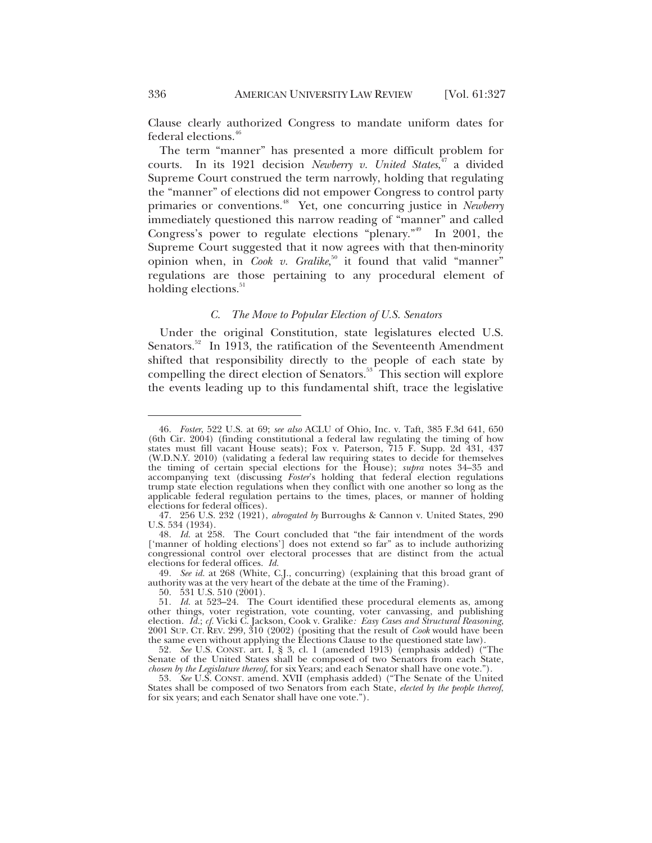Clause clearly authorized Congress to mandate uniform dates for federal elections.<sup>46</sup>

The term "manner" has presented a more difficult problem for courts. In its 1921 decision *Newberry v. United States*, 47 a divided Supreme Court construed the term narrowly, holding that regulating the "manner" of elections did not empower Congress to control party primaries or conventions.48 Yet, one concurring justice in *Newberry* immediately questioned this narrow reading of "manner" and called Congress's power to regulate elections "plenary."<sup>49</sup> In 2001, the Supreme Court suggested that it now agrees with that then-minority opinion when, in *Cook v. Gralike*,<sup>50</sup> it found that valid "manner" regulations are those pertaining to any procedural element of holding elections.<sup>51</sup>

#### *C. The Move to Popular Election of U.S. Senators*

Under the original Constitution, state legislatures elected U.S. Senators.<sup>52</sup> In 1913, the ratification of the Seventeenth Amendment shifted that responsibility directly to the people of each state by compelling the direct election of Senators.<sup>53</sup> This section will explore the events leading up to this fundamental shift, trace the legislative

<sup>46</sup>*. Foster*, 522 U.S. at 69; *see also* ACLU of Ohio, Inc. v. Taft, 385 F.3d 641, 650 (6th Cir. 2004) (finding constitutional a federal law regulating the timing of how states must fill vacant House seats); Fox v. Paterson, 715 F. Supp. 2d 431, 437 (W.D.N.Y. 2010) (validating a federal law requiring states to decide for themselves the timing of certain special elections for the House); *supra* notes 34–35 and accompanying text (discussing *Foster*'s holding that federal election regulations trump state election regulations when they conflict with one another so long as the applicable federal regulation pertains to the times, places, or manner of holding elections for federal offices).

 <sup>47. 256</sup> U.S. 232 (1921), *abrogated by* Burroughs & Cannon v. United States, 290 U.S. 534 (1934).

<sup>48</sup>*. Id.* at 258. The Court concluded that "the fair intendment of the words ['manner of holding elections'] does not extend so far" as to include authorizing congressional control over electoral processes that are distinct from the actual elections for federal offices. *Id.*

<sup>49</sup>*. See id.* at 268 (White, C.J., concurring) (explaining that this broad grant of authority was at the very heart of the debate at the time of the Framing).

 <sup>50. 531</sup> U.S. 510 (2001).

<sup>51</sup>*. Id.* at 523–24. The Court identified these procedural elements as, among other things, voter registration, vote counting, voter canvassing, and publishing election. *Id.*; *cf.* Vicki C. Jackson, Cook v. Gralike*: Easy Cases and Structural Reasoning*, 2001 SUP. CT. REV. 299, 310 (2002) (positing that the result of *Cook* would have been the same even without applying the Elections Clause to the questioned state law).

<sup>52</sup>*. See* U.S. CONST. art. I, § 3, cl. 1 (amended 1913) (emphasis added) ("The Senate of the United States shall be composed of two Senators from each State, *chosen by the Legislature thereof*, for six Years; and each Senator shall have one vote.").

<sup>53</sup>*. See* U.S. CONST. amend. XVII (emphasis added) ("The Senate of the United States shall be composed of two Senators from each State, *elected by the people thereof*, for six years; and each Senator shall have one vote.").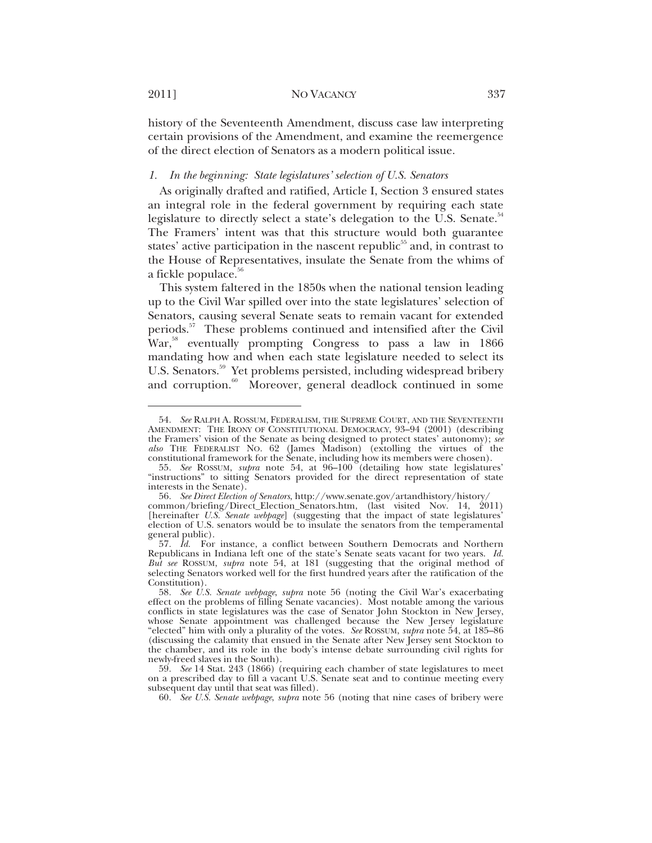2011] NO VACANCY 337

history of the Seventeenth Amendment, discuss case law interpreting certain provisions of the Amendment, and examine the reemergence of the direct election of Senators as a modern political issue.

#### *1. In the beginning: State legislatures' selection of U.S. Senators*

As originally drafted and ratified, Article I, Section 3 ensured states an integral role in the federal government by requiring each state legislature to directly select a state's delegation to the U.S. Senate.<sup>54</sup> The Framers' intent was that this structure would both guarantee states' active participation in the nascent republic $55$  and, in contrast to the House of Representatives, insulate the Senate from the whims of a fickle populace.<sup>56</sup>

This system faltered in the 1850s when the national tension leading up to the Civil War spilled over into the state legislatures' selection of Senators, causing several Senate seats to remain vacant for extended periods.<sup>57</sup> These problems continued and intensified after the Civil War,<sup>58</sup> eventually prompting Congress to pass a law in 1866 mandating how and when each state legislature needed to select its U.S. Senators.<sup>59</sup> Yet problems persisted, including widespread bribery and corruption.<sup>60</sup> Moreover, general deadlock continued in some

<sup>54</sup>*. See* RALPH A. ROSSUM, FEDERALISM, THE SUPREME COURT, AND THE SEVENTEENTH AMENDMENT: THE IRONY OF CONSTITUTIONAL DEMOCRACY, 93–94 (2001) (describing the Framers' vision of the Senate as being designed to protect states' autonomy); *see also* THE FEDERALIST NO. 62 (James Madison) (extolling the virtues of the constitutional framework for the Senate, including how its members were chosen).

<sup>55</sup>*. See* ROSSUM, *supra* note 54, at 96–100 (detailing how state legislatures' "instructions" to sitting Senators provided for the direct representation of state interests in the Senate).

<sup>56</sup>*. See Direct Election of Senators*, http://www.senate.gov/artandhistory/history/ common/briefing/Direct\_Election\_Senators.htm, (last visited Nov. 14, 2011) [hereinafter *U.S. Senate webpage*] (suggesting that the impact of state legislatures' election of U.S. senators would be to insulate the senators from the temperamental

<sup>57</sup>*. Id.* For instance, a conflict between Southern Democrats and Northern Republicans in Indiana left one of the state's Senate seats vacant for two years. *Id.* But see ROSSUM, *supra* note 54, at 181 (suggesting that the original method of selecting Senators worked well for the first hundred years after the ratification of the Constitution).

<sup>58</sup>*. See U.S. Senate webpage*, *supra* note 56 (noting the Civil War's exacerbating effect on the problems of filling Senate vacancies). Most notable among the various conflicts in state legislatures was the case of Senator John Stockton in New Jersey, whose Senate appointment was challenged because the New Jersey legislature "elected" him with only a plurality of the votes. *See* ROSSUM, *supra* note 54, at 185–86 (discussing the calamity that ensued in the Senate after New Jersey sent Stockton to the chamber, and its role in the body's intense debate surrounding civil rights for newly-freed slaves in the South).

<sup>59</sup>*. See* 14 Stat. 243 (1866) (requiring each chamber of state legislatures to meet on a prescribed day to fill a vacant U.S. Senate seat and to continue meeting every subsequent day until that seat was filled).

<sup>60</sup>*. See U.S. Senate webpage*, *supra* note 56 (noting that nine cases of bribery were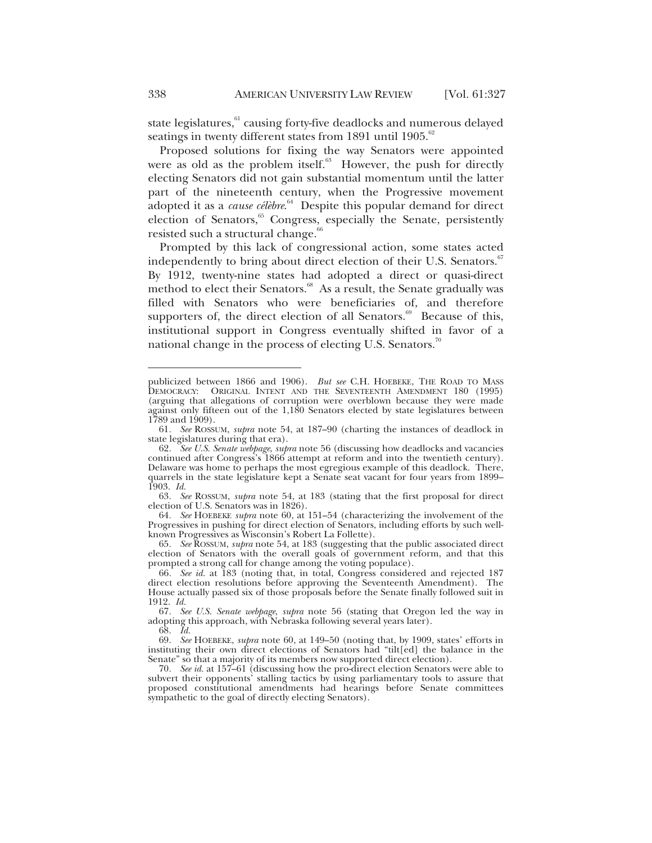state legislatures,<sup>61</sup> causing forty-five deadlocks and numerous delayed seatings in twenty different states from 1891 until 1905.<sup>62</sup>

Proposed solutions for fixing the way Senators were appointed were as old as the problem itself.<sup>63</sup> However, the push for directly electing Senators did not gain substantial momentum until the latter part of the nineteenth century, when the Progressive movement adopted it as a *cause célèbre*. 64 Despite this popular demand for direct election of Senators,<sup>65</sup> Congress, especially the Senate, persistently resisted such a structural change. $66$ 

Prompted by this lack of congressional action, some states acted independently to bring about direct election of their U.S. Senators.<sup>67</sup> By 1912, twenty-nine states had adopted a direct or quasi-direct method to elect their Senators.<sup>68</sup> As a result, the Senate gradually was filled with Senators who were beneficiaries of, and therefore supporters of, the direct election of all Senators. $69$  Because of this, institutional support in Congress eventually shifted in favor of a national change in the process of electing U.S. Senators.<sup>70</sup>

publicized between 1866 and 1906). *But see* C.H. HOEBEKE, THE ROAD TO MASS DEMOCRACY: ORIGINAL INTENT AND THE SEVENTEENTH AMENDMENT 180 (1995) (arguing that allegations of corruption were overblown because they were made against only fifteen out of the 1,180 Senators elected by state legislatures between 1789 and 1909).

<sup>61</sup>*. See* ROSSUM, *supra* note 54, at 187–90 (charting the instances of deadlock in state legislatures during that era).

<sup>62</sup>*. See U.S. Senate webpage*, *supra* note 56 (discussing how deadlocks and vacancies continued after Congress's 1866 attempt at reform and into the twentieth century). Delaware was home to perhaps the most egregious example of this deadlock. There, quarrels in the state legislature kept a Senate seat vacant for four years from 1899– 1903. *Id.*

<sup>63</sup>*. See* ROSSUM, *supra* note 54, at 183 (stating that the first proposal for direct election of U.S. Senators was in 1826).

<sup>64</sup>*. See* HOEBEKE *supra* note 60, at 151–54 (characterizing the involvement of the Progressives in pushing for direct election of Senators, including efforts by such wellknown Progressives as Wisconsin's Robert La Follette).

<sup>65</sup>*. See* ROSSUM, *supra* note 54, at 183 (suggesting that the public associated direct election of Senators with the overall goals of government reform, and that this prompted a strong call for change among the voting populace).

<sup>66</sup>*. See id.* at 183 (noting that, in total, Congress considered and rejected 187 direct election resolutions before approving the Seventeenth Amendment). The House actually passed six of those proposals before the Senate finally followed suit in 1912. *Id.*

<sup>67</sup>*. See U.S. Senate webpage*, *supra* note 56 (stating that Oregon led the way in adopting this approach, with Nebraska following several years later).

<sup>68</sup>*. Id.*

<sup>69</sup>*. See* HOEBEKE, *supra* note 60, at 149–50 (noting that, by 1909, states' efforts in instituting their own direct elections of Senators had "tilt[ed] the balance in the Senate" so that a majority of its members now supported direct election).

<sup>70</sup>*. See id.* at 157–61 (discussing how the pro-direct election Senators were able to subvert their opponents' stalling tactics by using parliamentary tools to assure that proposed constitutional amendments had hearings before Senate committees sympathetic to the goal of directly electing Senators).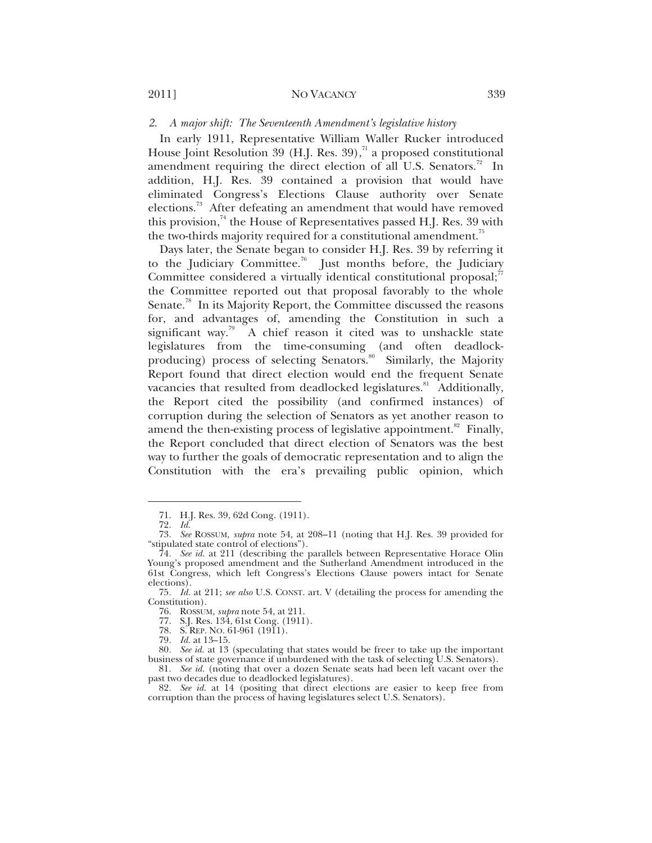#### *2. A major shift: The Seventeenth Amendment's legislative history*

In early 1911, Representative William Waller Rucker introduced House Joint Resolution 39 (H.J. Res. 39),<sup>71</sup> a proposed constitutional amendment requiring the direct election of all U.S. Senators.<sup>72</sup> In addition, H.J. Res. 39 contained a provision that would have eliminated Congress's Elections Clause authority over Senate elections.<sup>73</sup> After defeating an amendment that would have removed this provision, $74$  the House of Representatives passed H.J. Res. 39 with the two-thirds majority required for a constitutional amendment.<sup>75</sup>

Days later, the Senate began to consider H.J. Res. 39 by referring it to the Judiciary Committee.<sup>76</sup> Just months before, the Judiciary Committee considered a virtually identical constitutional proposal; $^7$ the Committee reported out that proposal favorably to the whole Senate.<sup>78</sup> In its Majority Report, the Committee discussed the reasons for, and advantages of, amending the Constitution in such a significant way.<sup>79</sup> A chief reason it cited was to unshackle state legislatures from the time-consuming (and often deadlockproducing) process of selecting Senators.<sup>80</sup> Similarly, the Majority Report found that direct election would end the frequent Senate vacancies that resulted from deadlocked legislatures.<sup>81</sup> Additionally, the Report cited the possibility (and confirmed instances) of corruption during the selection of Senators as yet another reason to amend the then-existing process of legislative appointment.<sup>82</sup> Finally, the Report concluded that direct election of Senators was the best way to further the goals of democratic representation and to align the Constitution with the era's prevailing public opinion, which

 $\overline{a}$ 

79*. Id.* at 13–15.

 <sup>71.</sup> H.J. Res. 39, 62d Cong. (1911).

<sup>72</sup>*. Id.*

<sup>73</sup>*. See* ROSSUM, *supra* note 54, at 208–11 (noting that H.J. Res. 39 provided for "stipulated state control of elections").

<sup>74</sup>*. See id.* at 211 (describing the parallels between Representative Horace Olin Young's proposed amendment and the Sutherland Amendment introduced in the 61st Congress, which left Congress's Elections Clause powers intact for Senate elections).

<sup>75</sup>*. Id.* at 211; *see also* U.S. CONST. art. V (detailing the process for amending the Constitution).

 <sup>76.</sup> ROSSUM, *supra* note 54, at 211.

 <sup>77.</sup> S.J. Res. 134, 61st Cong. (1911).

 <sup>78.</sup> S. REP. NO. 61-961 (1911).

<sup>80</sup>*. See id.* at 13 (speculating that states would be freer to take up the important business of state governance if unburdened with the task of selecting U.S. Senators).

<sup>81</sup>*. See id.* (noting that over a dozen Senate seats had been left vacant over the past two decades due to deadlocked legislatures).

<sup>82</sup>*. See id.* at 14 (positing that direct elections are easier to keep free from corruption than the process of having legislatures select U.S. Senators).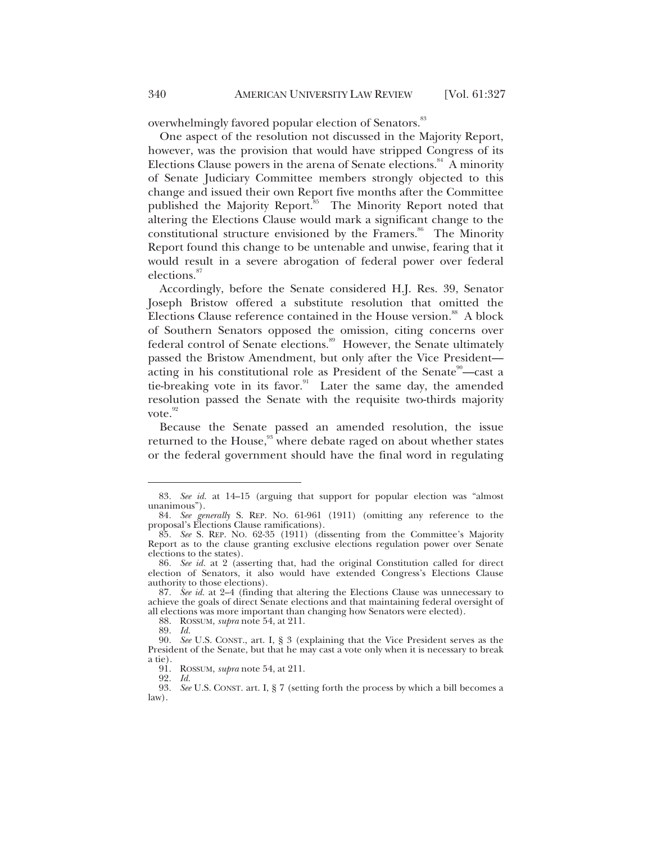overwhelmingly favored popular election of Senators.<sup>83</sup>

One aspect of the resolution not discussed in the Majority Report, however, was the provision that would have stripped Congress of its Elections Clause powers in the arena of Senate elections.<sup>84</sup> A minority of Senate Judiciary Committee members strongly objected to this change and issued their own Report five months after the Committee published the Majority Report.<sup>85</sup> The Minority Report noted that altering the Elections Clause would mark a significant change to the constitutional structure envisioned by the Framers.<sup>86</sup> The Minority Report found this change to be untenable and unwise, fearing that it would result in a severe abrogation of federal power over federal elections.<sup>87</sup>

Accordingly, before the Senate considered H.J. Res. 39, Senator Joseph Bristow offered a substitute resolution that omitted the Elections Clause reference contained in the House version.<sup>88</sup> A block of Southern Senators opposed the omission, citing concerns over federal control of Senate elections.<sup>89</sup> However, the Senate ultimately passed the Bristow Amendment, but only after the Vice President acting in his constitutional role as President of the Senate $\degree$ —cast a tie-breaking vote in its favor.<sup>91</sup> Later the same day, the amended resolution passed the Senate with the requisite two-thirds majority vote.<sup>92</sup>

Because the Senate passed an amended resolution, the issue returned to the House,<sup>93</sup> where debate raged on about whether states or the federal government should have the final word in regulating

88. ROSSUM, *supra* note 54, at 211.

 $\overline{a}$ 

91. ROSSUM, *supra* note 54, at 211.

92*. Id.*

<sup>83</sup>*. See id.* at 14–15 (arguing that support for popular election was "almost unanimous").

<sup>84</sup>*. See generally* S. REP. NO. 61-961 (1911) (omitting any reference to the proposal's Elections Clause ramifications).

<sup>85</sup>*. See* S. REP. NO. 62-35 (1911) (dissenting from the Committee's Majority Report as to the clause granting exclusive elections regulation power over Senate elections to the states).

<sup>86</sup>*. See id.* at 2 (asserting that, had the original Constitution called for direct election of Senators, it also would have extended Congress's Elections Clause authority to those elections).

<sup>87</sup>*. See id.* at 2–4 (finding that altering the Elections Clause was unnecessary to achieve the goals of direct Senate elections and that maintaining federal oversight of all elections was more important than changing how Senators were elected).

<sup>89</sup>*. Id.*

<sup>90</sup>*. See* U.S. CONST., art. I, § 3 (explaining that the Vice President serves as the President of the Senate, but that he may cast a vote only when it is necessary to break a tie).

<sup>93</sup>*. See* U.S. CONST. art. I, § 7 (setting forth the process by which a bill becomes a law).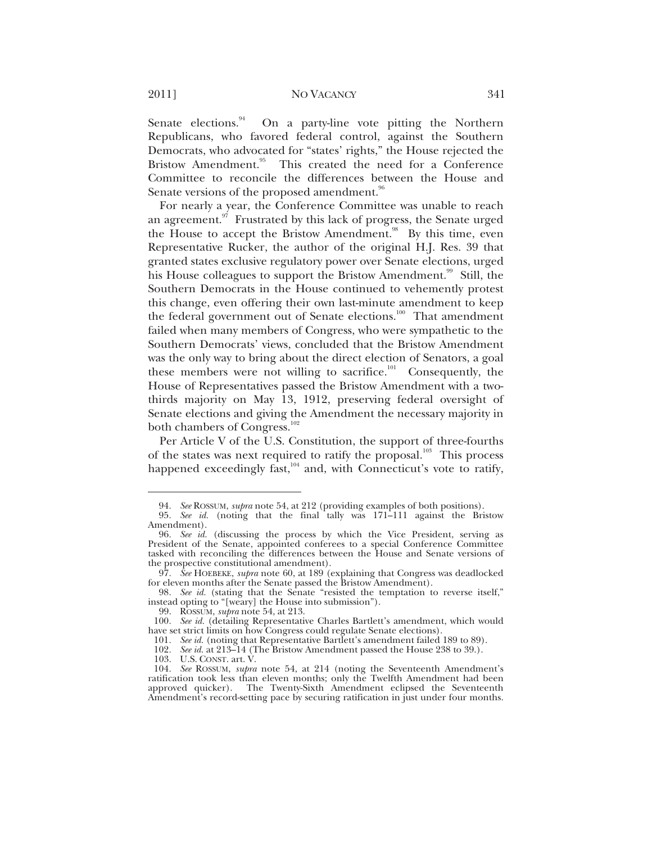2011] NO VACANCY 341

Senate elections.<sup>94</sup> On a party-line vote pitting the Northern Republicans, who favored federal control, against the Southern Democrats, who advocated for "states' rights," the House rejected the Bristow Amendment.<sup>95</sup> This created the need for a Conference Committee to reconcile the differences between the House and Senate versions of the proposed amendment.<sup>96</sup>

For nearly a year, the Conference Committee was unable to reach an agreement. $97$  Frustrated by this lack of progress, the Senate urged the House to accept the Bristow Amendment.<sup>98</sup> By this time, even Representative Rucker, the author of the original H.J. Res. 39 that granted states exclusive regulatory power over Senate elections, urged his House colleagues to support the Bristow Amendment.<sup>99</sup> Still, the Southern Democrats in the House continued to vehemently protest this change, even offering their own last-minute amendment to keep the federal government out of Senate elections.<sup>100</sup> That amendment failed when many members of Congress, who were sympathetic to the Southern Democrats' views, concluded that the Bristow Amendment was the only way to bring about the direct election of Senators, a goal these members were not willing to sacrifice.<sup>101</sup> Consequently, the House of Representatives passed the Bristow Amendment with a twothirds majority on May 13, 1912, preserving federal oversight of Senate elections and giving the Amendment the necessary majority in both chambers of Congress.<sup>102</sup>

Per Article V of the U.S. Constitution, the support of three-fourths of the states was next required to ratify the proposal.<sup>103</sup> This process happened exceedingly fast, $104$  and, with Connecticut's vote to ratify,

<sup>94</sup>*. See* ROSSUM, *supra* note 54, at 212 (providing examples of both positions).

<sup>95</sup>*. See id.* (noting that the final tally was 171–111 against the Bristow Amendment).

<sup>96</sup>*. See id.* (discussing the process by which the Vice President, serving as President of the Senate, appointed conferees to a special Conference Committee tasked with reconciling the differences between the House and Senate versions of

<sup>97.</sup> *See* HOEBEKE, *supra* note 60, at 189 (explaining that Congress was deadlocked for eleven months after the Senate passed the Bristow Amendment).

<sup>98</sup>*. See id.* (stating that the Senate "resisted the temptation to reverse itself," instead opting to "[weary] the House into submission").

 <sup>99.</sup> ROSSUM, *supra* note 54, at 213.

<sup>100</sup>*. See id.* (detailing Representative Charles Bartlett's amendment, which would have set strict limits on how Congress could regulate Senate elections).

<sup>101</sup>*. See id.* (noting that Representative Bartlett's amendment failed 189 to 89).

<sup>102</sup>*. See id.* at 213–14 (The Bristow Amendment passed the House 238 to 39.).

 <sup>103.</sup> U.S. CONST. art. V.

<sup>104</sup>*. See* ROSSUM, *supra* note 54, at 214 (noting the Seventeenth Amendment's ratification took less than eleven months; only the Twelfth Amendment had been approved quicker). The Twenty-Sixth Amendment eclipsed the Seventeenth Amendment's record-setting pace by securing ratification in just under four months.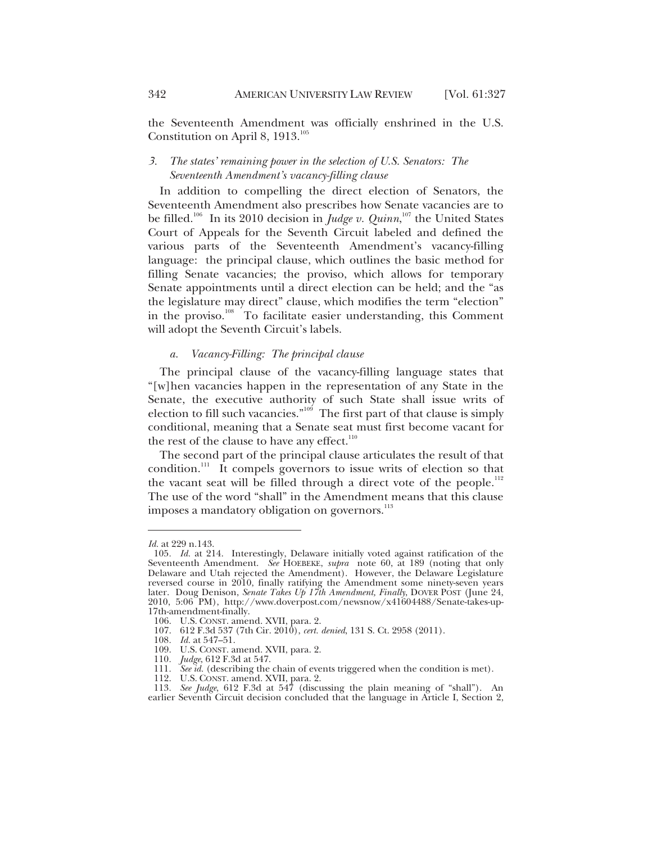the Seventeenth Amendment was officially enshrined in the U.S. Constitution on April 8,  $1913.^{105}$ 

#### *3. The states' remaining power in the selection of U.S. Senators: The Seventeenth Amendment's vacancy-filling clause*

In addition to compelling the direct election of Senators, the Seventeenth Amendment also prescribes how Senate vacancies are to be filled.<sup>106</sup> In its 2010 decision in *Judge v. Quinn*,<sup>107</sup> the United States Court of Appeals for the Seventh Circuit labeled and defined the various parts of the Seventeenth Amendment's vacancy-filling language: the principal clause, which outlines the basic method for filling Senate vacancies; the proviso, which allows for temporary Senate appointments until a direct election can be held; and the "as the legislature may direct" clause, which modifies the term "election" in the proviso.<sup>108</sup> To facilitate easier understanding, this Comment will adopt the Seventh Circuit's labels.

#### *a. Vacancy-Filling: The principal clause*

The principal clause of the vacancy-filling language states that "[w]hen vacancies happen in the representation of any State in the Senate, the executive authority of such State shall issue writs of election to fill such vacancies."<sup>109</sup> The first part of that clause is simply conditional, meaning that a Senate seat must first become vacant for the rest of the clause to have any effect.<sup>110</sup>

The second part of the principal clause articulates the result of that condition.<sup>111</sup> It compels governors to issue writs of election so that the vacant seat will be filled through a direct vote of the people.<sup>112</sup> The use of the word "shall" in the Amendment means that this clause imposes a mandatory obligation on governors.<sup>113</sup>

*Id.* at 229 n.143.

<sup>105</sup>*. Id.* at 214. Interestingly, Delaware initially voted against ratification of the Seventeenth Amendment. *See* HOEBEKE, *supra* note 60, at 189 (noting that only Delaware and Utah rejected the Amendment). However, the Delaware Legislature reversed course in 2010, finally ratifying the Amendment some ninety-seven years later. Doug Denison, Senate Takes Up 17th Amendment, Finally, DOVER POST (June 24, 2010, 5:06 PM), http://www.doverpost.com/newsnow/x41604488/Senate-takes-up-17th-amendment-finally.

 <sup>106.</sup> U.S. CONST. amend. XVII, para. 2.

 <sup>107. 612</sup> F.3d 537 (7th Cir. 2010), *cert. denied*, 131 S. Ct. 2958 (2011).

<sup>108</sup>*. Id.* at 547–51.

 <sup>109.</sup> U.S. CONST. amend. XVII, para. 2.

<sup>110</sup>*. Judge*, 612 F.3d at 547.

<sup>111</sup>*. See id.* (describing the chain of events triggered when the condition is met).

 <sup>112.</sup> U.S. CONST. amend. XVII, para. 2.

<sup>113</sup>*. See Judge*, 612 F.3d at 547 (discussing the plain meaning of "shall"). An earlier Seventh Circuit decision concluded that the language in Article I, Section 2,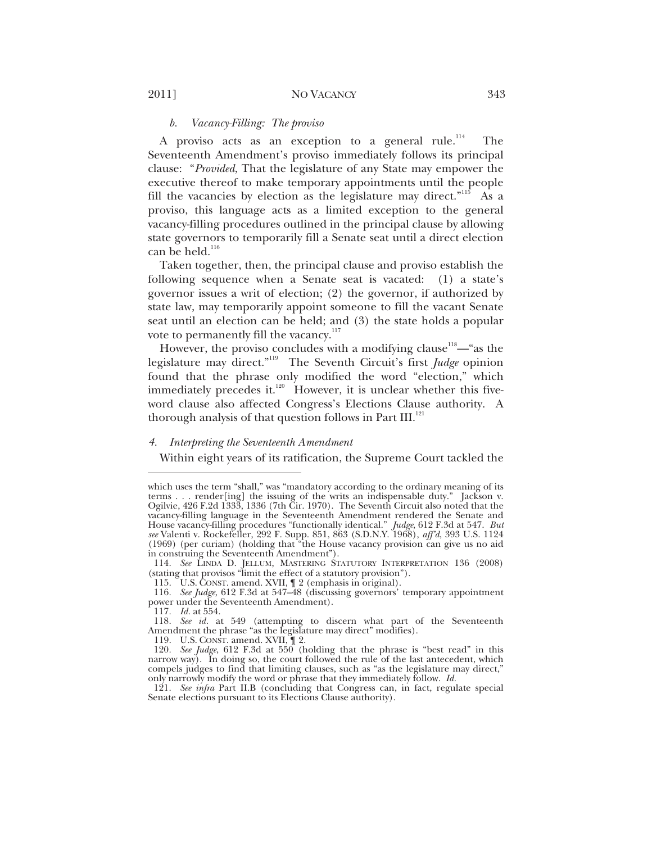#### *b. Vacancy-Filling: The proviso*

A proviso acts as an exception to a general rule.<sup>114</sup> The Seventeenth Amendment's proviso immediately follows its principal clause: "*Provided*, That the legislature of any State may empower the executive thereof to make temporary appointments until the people fill the vacancies by election as the legislature may direct."<sup>115</sup> As a proviso, this language acts as a limited exception to the general vacancy-filling procedures outlined in the principal clause by allowing state governors to temporarily fill a Senate seat until a direct election can be held. $^{116}$ 

Taken together, then, the principal clause and proviso establish the following sequence when a Senate seat is vacated: (1) a state's governor issues a writ of election; (2) the governor, if authorized by state law, may temporarily appoint someone to fill the vacant Senate seat until an election can be held; and (3) the state holds a popular vote to permanently fill the vacancy. $117$ 

However, the proviso concludes with a modifying clause<sup>118</sup>—"as the legislature may direct."119 The Seventh Circuit's first *Judge* opinion found that the phrase only modified the word "election," which immediately precedes it.<sup>120</sup> However, it is unclear whether this fiveword clause also affected Congress's Elections Clause authority. A thorough analysis of that question follows in Part III.<sup>121</sup>

#### *4. Interpreting the Seventeenth Amendment*

Within eight years of its ratification, the Supreme Court tackled the

114*. See* LINDA D. JELLUM, MASTERING STATUTORY INTERPRETATION 136 (2008) (stating that provisos "limit the effect of a statutory provision").

115. U.S. CONST. amend. XVII, ¶ 2 (emphasis in original).

116*. See Judge*, 612 F.3d at 547–48 (discussing governors' temporary appointment power under the Seventeenth Amendment).

117*. Id.* at 554.

 $\overline{a}$ 

119. U.S. CONST. amend. XVII, ¶ 2.

121*. See infra* Part II.B (concluding that Congress can, in fact, regulate special Senate elections pursuant to its Elections Clause authority).

which uses the term "shall," was "mandatory according to the ordinary meaning of its terms . . . render[ing] the issuing of the writs an indispensable duty." Jackson v. Ogilvie, 426 F.2d 1333, 1336 (7th Cir. 1970). The Seventh Circuit also noted that the vacancy-filling language in the Seventeenth Amendment rendered the Senate and House vacancy-filling procedures "functionally identical." *Judge*, 612 F.3d at 547. *But see* Valenti v. Rockefeller, 292 F. Supp. 851, 863 (S.D.N.Y. 1968), *aff'd*, 393 U.S. 1124 (1969) (per curiam) (holding that "the House vacancy provision can give us no aid in construing the Seventeenth Amendment").

<sup>118</sup>*. See id.* at 549 (attempting to discern what part of the Seventeenth Amendment the phrase "as the legislature may direct" modifies).

<sup>120</sup>*. See Judge*, 612 F.3d at 550 (holding that the phrase is "best read" in this narrow way). In doing so, the court followed the rule of the last antecedent, which compels judges to find that limiting clauses, such as "as the legislature may direct," only narrowly modify the word or phrase that they immediately follow. *Id.*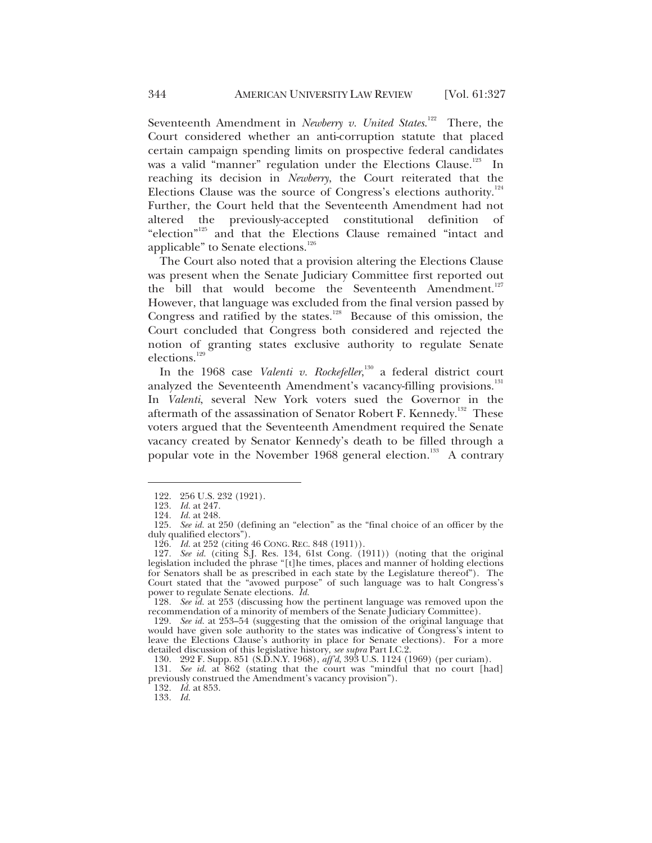Seventeenth Amendment in *Newberry v. United States.*<sup>122</sup> There, the Court considered whether an anti-corruption statute that placed certain campaign spending limits on prospective federal candidates was a valid "manner" regulation under the Elections Clause.<sup>123</sup> In reaching its decision in *Newberry*, the Court reiterated that the Elections Clause was the source of Congress's elections authority. $124$ Further, the Court held that the Seventeenth Amendment had not altered the previously-accepted constitutional definition of "election"125 and that the Elections Clause remained "intact and applicable" to Senate elections.<sup>126</sup>

The Court also noted that a provision altering the Elections Clause was present when the Senate Judiciary Committee first reported out the bill that would become the Seventeenth Amendment.<sup>127</sup> However, that language was excluded from the final version passed by Congress and ratified by the states.<sup>128</sup> Because of this omission, the Court concluded that Congress both considered and rejected the notion of granting states exclusive authority to regulate Senate elections.<sup>129</sup>

In the 1968 case *Valenti v. Rockefeller*, 130 a federal district court analyzed the Seventeenth Amendment's vacancy-filling provisions.<sup>131</sup> In *Valenti*, several New York voters sued the Governor in the aftermath of the assassination of Senator Robert F. Kennedy.<sup>132</sup> These voters argued that the Seventeenth Amendment required the Senate vacancy created by Senator Kennedy's death to be filled through a popular vote in the November 1968 general election.<sup>133</sup> A contrary

 $\overline{a}$ 

132*. Id.* at 853.

133*. Id.*

 <sup>122. 256</sup> U.S. 232 (1921).

<sup>123</sup>*. Id.* at 247.

<sup>124</sup>*. Id.* at 248.

<sup>125</sup>*. See id.* at 250 (defining an "election" as the "final choice of an officer by the duly qualified electors").

<sup>126</sup>*. Id.* at 252 (citing 46 CONG. REC. 848 (1911)).

<sup>127</sup>*. See id.* (citing S.J. Res. 134, 61st Cong. (1911)) (noting that the original legislation included the phrase "[t]he times, places and manner of holding elections for Senators shall be as prescribed in each state by the Legislature thereof"). The Court stated that the "avowed purpose" of such language was to halt Congress's power to regulate Senate elections. *Id.*

<sup>128</sup>*. See id.* at 253 (discussing how the pertinent language was removed upon the recommendation of a minority of members of the Senate Judiciary Committee).

<sup>129</sup>*. See id.* at 253–54 (suggesting that the omission of the original language that would have given sole authority to the states was indicative of Congress's intent to leave the Elections Clause's authority in place for Senate elections). For a more detailed discussion of this legislative history, *see supra* Part I.C.2.

 <sup>130. 292</sup> F. Supp. 851 (S.D.N.Y. 1968), *aff'd*, 393 U.S. 1124 (1969) (per curiam).

<sup>131</sup>*. See id.* at 862 (stating that the court was "mindful that no court [had] previously construed the Amendment's vacancy provision").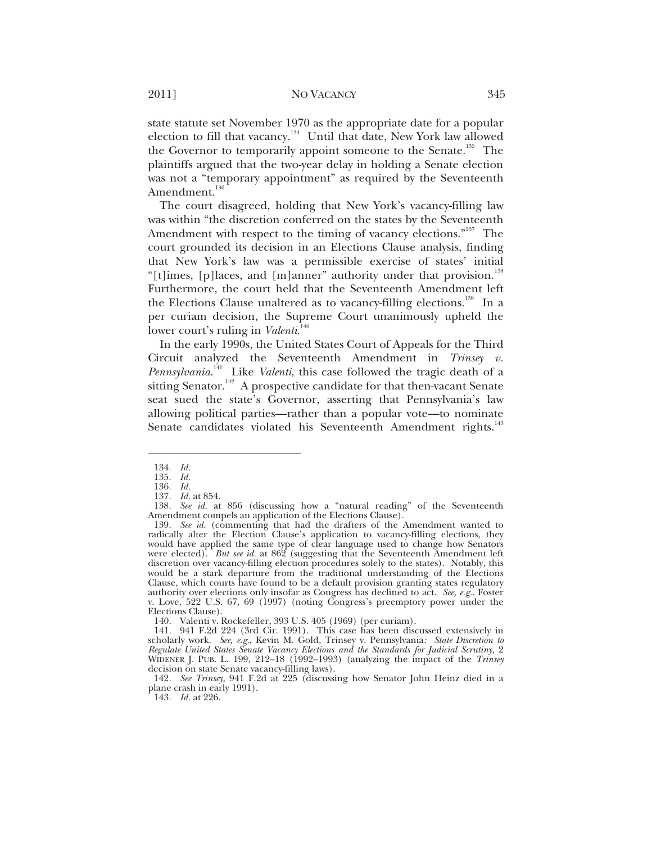state statute set November 1970 as the appropriate date for a popular election to fill that vacancy.134 Until that date, New York law allowed the Governor to temporarily appoint someone to the Senate.<sup>135</sup> The plaintiffs argued that the two-year delay in holding a Senate election was not a "temporary appointment" as required by the Seventeenth Amendment.<sup>136</sup>

The court disagreed, holding that New York's vacancy-filling law was within "the discretion conferred on the states by the Seventeenth Amendment with respect to the timing of vacancy elections."<sup>137</sup> The court grounded its decision in an Elections Clause analysis, finding that New York's law was a permissible exercise of states' initial "[t]imes, [p]laces, and [m]anner" authority under that provision.<sup>138</sup> Furthermore, the court held that the Seventeenth Amendment left the Elections Clause unaltered as to vacancy-filling elections.<sup>139</sup> In a per curiam decision, the Supreme Court unanimously upheld the lower court's ruling in *Valenti*. 140

In the early 1990s, the United States Court of Appeals for the Third Circuit analyzed the Seventeenth Amendment in *Trinsey v. Pennsylvania*. 141 Like *Valenti*, this case followed the tragic death of a sitting Senator.<sup>142</sup> A prospective candidate for that then-vacant Senate seat sued the state's Governor, asserting that Pennsylvania's law allowing political parties—rather than a popular vote—to nominate Senate candidates violated his Seventeenth Amendment rights.<sup>143</sup>

 $\overline{a}$ 

140. Valenti v. Rockefeller, 393 U.S. 405 (1969) (per curiam).

142*. See Trinsey*, 941 F.2d at 225 (discussing how Senator John Heinz died in a plane crash in early 1991).

<sup>134</sup>*. Id.*

<sup>135</sup>*. Id.*

<sup>136</sup>*. Id.* 137*. Id.* at 854.

<sup>138</sup>*. See id.* at 856 (discussing how a "natural reading" of the Seventeenth Amendment compels an application of the Elections Clause).

<sup>139</sup>*. See id.* (commenting that had the drafters of the Amendment wanted to radically alter the Election Clause's application to vacancy-filling elections, they would have applied the same type of clear language used to change how Senators were elected). *But see id.* at 862 (suggesting that the Seventeenth Amendment left discretion over vacancy-filling election procedures solely to the states). Notably, this would be a stark departure from the traditional understanding of the Elections Clause, which courts have found to be a default provision granting states regulatory authority over elections only insofar as Congress has declined to act. *See, e.g.*, Foster v. Love, 522 U.S. 67, 69 (1997) (noting Congress's preemptory power under the Elections Clause).

 <sup>141. 941</sup> F.2d 224 (3rd Cir. 1991). This case has been discussed extensively in scholarly work. *See, e.g.*, Kevin M. Gold, Trinsey v. Pennsylvania*: State Discretion to Regulate United States Senate Vacancy Elections and the Standards for Judicial Scrutiny*, 2 WIDENER J. PUB. L. 199, 212–18 (1992–1993) (analyzing the impact of the *Trinsey* decision on state Senate vacancy-filling laws).

<sup>143</sup>*. Id.* at 226.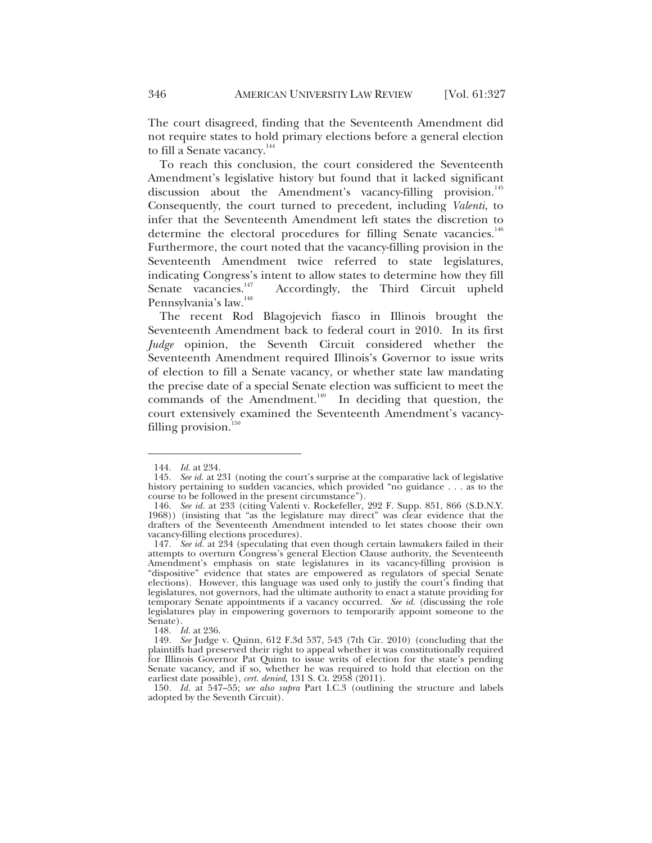The court disagreed, finding that the Seventeenth Amendment did not require states to hold primary elections before a general election to fill a Senate vacancy.<sup>144</sup>

To reach this conclusion, the court considered the Seventeenth Amendment's legislative history but found that it lacked significant discussion about the Amendment's vacancy-filling provision.<sup>145</sup> Consequently, the court turned to precedent, including *Valenti*, to infer that the Seventeenth Amendment left states the discretion to determine the electoral procedures for filling Senate vacancies.<sup>146</sup> Furthermore, the court noted that the vacancy-filling provision in the Seventeenth Amendment twice referred to state legislatures, indicating Congress's intent to allow states to determine how they fill<br>Senate vacancies.<sup>147</sup> Accordingly, the Third Circuit upheld Accordingly, the Third Circuit upheld Pennsylvania's law.<sup>148</sup>

The recent Rod Blagojevich fiasco in Illinois brought the Seventeenth Amendment back to federal court in 2010. In its first *Judge* opinion, the Seventh Circuit considered whether the Seventeenth Amendment required Illinois's Governor to issue writs of election to fill a Senate vacancy, or whether state law mandating the precise date of a special Senate election was sufficient to meet the commands of the Amendment.<sup>149</sup> In deciding that question, the court extensively examined the Seventeenth Amendment's vacancyfilling provision. $^{150}$ 

 $\overline{a}$ 

148*. Id.* at 236.

150*. Id.* at 547–55; *see also supra* Part I.C.3 (outlining the structure and labels adopted by the Seventh Circuit).

<sup>144</sup>*. Id.* at 234.

<sup>145</sup>*. See id.* at 231 (noting the court's surprise at the comparative lack of legislative history pertaining to sudden vacancies, which provided "no guidance . . . as to the course to be followed in the present circumstance").

<sup>146</sup>*. See id.* at 233 (citing Valenti v. Rockefeller, 292 F. Supp. 851, 866 (S.D.N.Y. 1968)) (insisting that "as the legislature may direct" was clear evidence that the drafters of the Seventeenth Amendment intended to let states choose their own vacancy-filling elections procedures).

<sup>147</sup>*. See id.* at 234 (speculating that even though certain lawmakers failed in their attempts to overturn Congress's general Election Clause authority, the Seventeenth Amendment's emphasis on state legislatures in its vacancy-filling provision is "dispositive" evidence that states are empowered as regulators of special Senate elections). However, this language was used only to justify the court's finding that legislatures, not governors, had the ultimate authority to enact a statute providing for temporary Senate appointments if a vacancy occurred. *See id.* (discussing the role legislatures play in empowering governors to temporarily appoint someone to the Senate).

<sup>149</sup>*. See* Judge v. Quinn, 612 F.3d 537, 543 (7th Cir. 2010) (concluding that the plaintiffs had preserved their right to appeal whether it was constitutionally required for Illinois Governor Pat Quinn to issue writs of election for the state's pending Senate vacancy, and if so, whether he was required to hold that election on the earliest date possible), *cert. denied*, 131 S. Ct. 2958 (2011).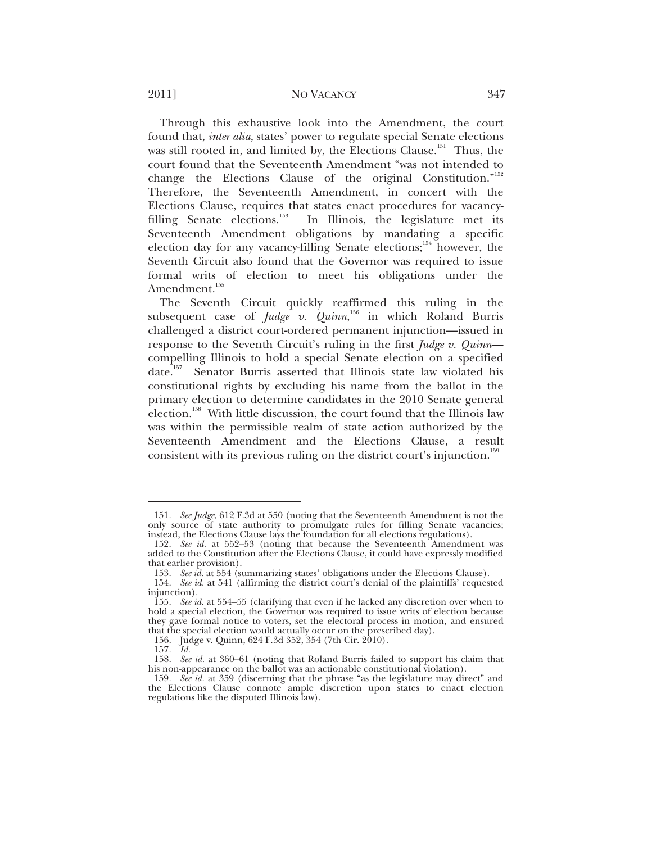#### 2011] NO VACANCY 347

Through this exhaustive look into the Amendment, the court found that, *inter alia*, states' power to regulate special Senate elections was still rooted in, and limited by, the Elections Clause.<sup>151</sup> Thus, the court found that the Seventeenth Amendment "was not intended to change the Elections Clause of the original Constitution."<sup>152</sup> Therefore, the Seventeenth Amendment, in concert with the Elections Clause, requires that states enact procedures for vacancy-<br>filling Senate elections.<sup>153</sup> In Illinois, the legislature met its In Illinois, the legislature met its Seventeenth Amendment obligations by mandating a specific election day for any vacancy-filling Senate elections;<sup>154</sup> however, the Seventh Circuit also found that the Governor was required to issue formal writs of election to meet his obligations under the Amendment.<sup>155</sup>

The Seventh Circuit quickly reaffirmed this ruling in the subsequent case of *Judge v. Quinn*, 156 in which Roland Burris challenged a district court-ordered permanent injunction—issued in response to the Seventh Circuit's ruling in the first *Judge v. Quinn* compelling Illinois to hold a special Senate election on a specified date.<sup>157</sup> Senator Burris asserted that Illinois state law violated his constitutional rights by excluding his name from the ballot in the primary election to determine candidates in the 2010 Senate general election.<sup>158</sup> With little discussion, the court found that the Illinois law was within the permissible realm of state action authorized by the Seventeenth Amendment and the Elections Clause, a result consistent with its previous ruling on the district court's injunction.<sup>159</sup>

<sup>151</sup>*. See Judge*, 612 F.3d at 550 (noting that the Seventeenth Amendment is not the only source of state authority to promulgate rules for filling Senate vacancies; instead, the Elections Clause lays the foundation for all elections regulations).

<sup>152</sup>*. See id.* at 552–53 (noting that because the Seventeenth Amendment was added to the Constitution after the Elections Clause, it could have expressly modified that earlier provision).

<sup>153</sup>*. See id.* at 554 (summarizing states' obligations under the Elections Clause).

<sup>154</sup>*. See id.* at 541 (affirming the district court's denial of the plaintiffs' requested injunction).

<sup>155</sup>*. See id.* at 554–55 (clarifying that even if he lacked any discretion over when to hold a special election, the Governor was required to issue writs of election because they gave formal notice to voters, set the electoral process in motion, and ensured that the special election would actually occur on the prescribed day).

<sup>156.</sup> Judge v. Quinn, 624 F.3d 352, 354 (7th Cir. 2010).<br>157. Id.

<sup>157</sup>*. Id.* 158. *See id.* at 360–61 (noting that Roland Burris failed to support his claim that his non-appearance on the ballot was an actionable constitutional violation).

<sup>159</sup>*. See id.* at 359 (discerning that the phrase "as the legislature may direct" and the Elections Clause connote ample discretion upon states to enact election regulations like the disputed Illinois law).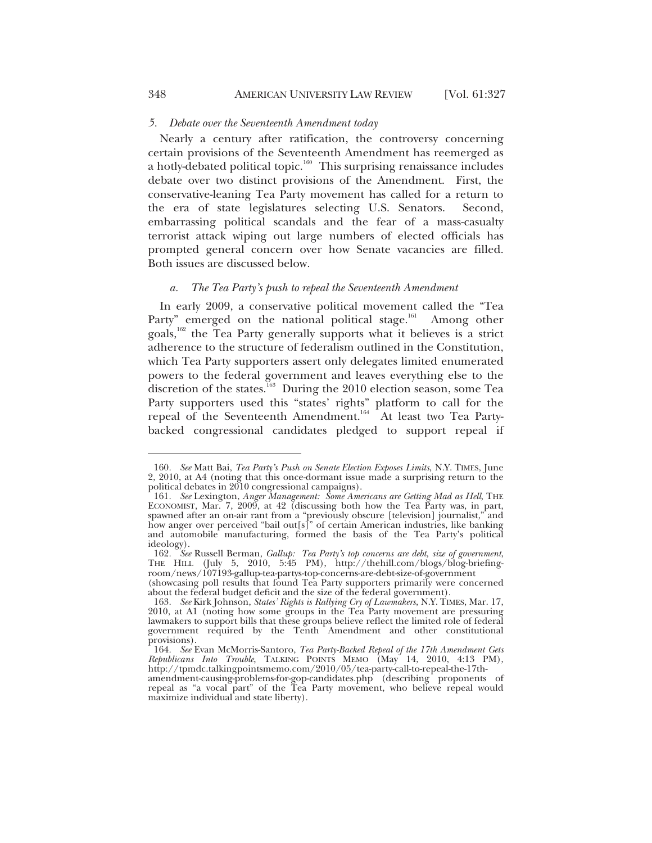#### *5. Debate over the Seventeenth Amendment today*

Nearly a century after ratification, the controversy concerning certain provisions of the Seventeenth Amendment has reemerged as a hotly-debated political topic.<sup>160</sup> This surprising renaissance includes debate over two distinct provisions of the Amendment. First, the conservative-leaning Tea Party movement has called for a return to the era of state legislatures selecting U.S. Senators. Second, embarrassing political scandals and the fear of a mass-casualty terrorist attack wiping out large numbers of elected officials has prompted general concern over how Senate vacancies are filled. Both issues are discussed below.

#### *a. The Tea Party's push to repeal the Seventeenth Amendment*

In early 2009, a conservative political movement called the "Tea Party" emerged on the national political stage.<sup>161</sup> Among other goals,<sup>162</sup> the Tea Party generally supports what it believes is a strict adherence to the structure of federalism outlined in the Constitution, which Tea Party supporters assert only delegates limited enumerated powers to the federal government and leaves everything else to the discretion of the states.<sup>163</sup> During the 2010 election season, some Tea Party supporters used this "states' rights" platform to call for the repeal of the Seventeenth Amendment.<sup>164</sup> At least two Tea Partybacked congressional candidates pledged to support repeal if

<sup>160</sup>*. See* Matt Bai, *Tea Party's Push on Senate Election Exposes Limits*, N.Y. TIMES, June 2, 2010, at A4 (noting that this once-dormant issue made a surprising return to the political debates in 2010 congressional campaigns).

<sup>161</sup>*. See* Lexington, *Anger Management: Some Americans are Getting Mad as Hell*, THE ECONOMIST, Mar. 7, 2009, at 42 (discussing both how the Tea Party was, in part, spawned after an on-air rant from a "previously obscure [television] journalist," and how anger over perceived "bail out[s]" of certain American industries, like banking and automobile manufacturing, formed the basis of the Tea Party's political ideology).

<sup>162</sup>*. See* Russell Berman, *Gallup: Tea Party's top concerns are debt, size of government*, THE HILL (July 5, 2010, 5:45 PM), http://thehill.com/blogs/blog-briefingroom/news/107193-gallup-tea-partys-top-concerns-are-debt-size-of-government

<sup>(</sup>showcasing poll results that found Tea Party supporters primarily were concerned about the federal budget deficit and the size of the federal government).

<sup>163</sup>*. See* Kirk Johnson, *States' Rights is Rallying Cry of Lawmakers*, N.Y. TIMES, Mar. 17, 2010, at A1 (noting how some groups in the Tea Party movement are pressuring lawmakers to support bills that these groups believe reflect the limited role of federal government required by the Tenth Amendment and other constitutional provisions).

<sup>164</sup>*. See* Evan McMorris-Santoro, *Tea Party-Backed Repeal of the 17th Amendment Gets Republicans Into Trouble*, TALKING POINTS MEMO (May 14, 2010, 4:13 PM), http://tpmdc.talkingpointsmemo.com/2010/05/tea-party-call-to-repeal-the-17th-

amendment-causing-problems-for-gop-candidates.php (describing proponents of repeal as "a vocal part" of the Tea Party movement, who believe repeal would maximize individual and state liberty).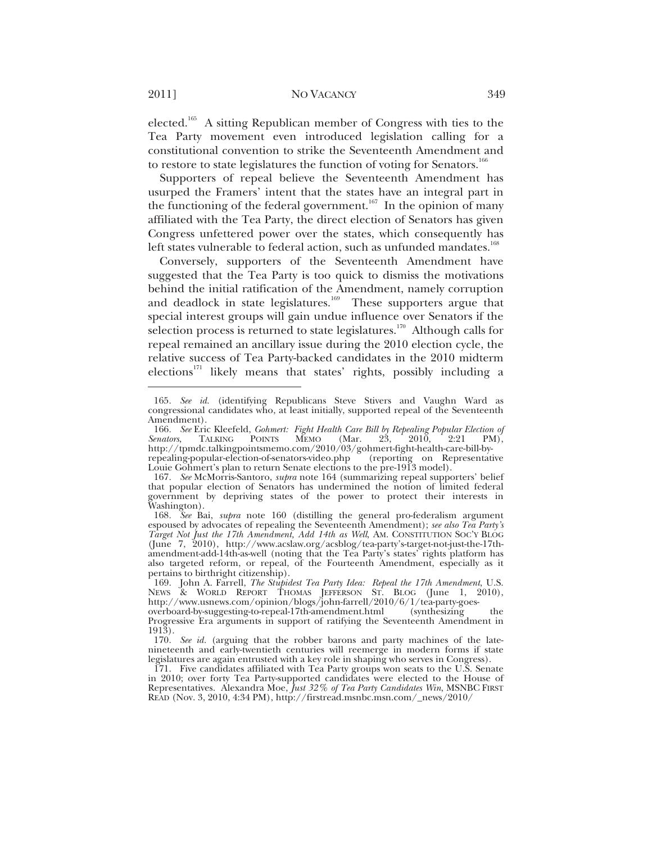elected.<sup>165</sup> A sitting Republican member of Congress with ties to the Tea Party movement even introduced legislation calling for a constitutional convention to strike the Seventeenth Amendment and to restore to state legislatures the function of voting for Senators.<sup>166</sup>

Supporters of repeal believe the Seventeenth Amendment has usurped the Framers' intent that the states have an integral part in the functioning of the federal government.<sup>167</sup> In the opinion of many affiliated with the Tea Party, the direct election of Senators has given Congress unfettered power over the states, which consequently has left states vulnerable to federal action, such as unfunded mandates.<sup>168</sup>

Conversely, supporters of the Seventeenth Amendment have suggested that the Tea Party is too quick to dismiss the motivations behind the initial ratification of the Amendment, namely corruption and deadlock in state legislatures.<sup>169</sup> These supporters argue that special interest groups will gain undue influence over Senators if the selection process is returned to state legislatures.<sup>170</sup> Although calls for repeal remained an ancillary issue during the 2010 election cycle, the relative success of Tea Party-backed candidates in the 2010 midterm elections<sup>171</sup> likely means that states' rights, possibly including a

<sup>165</sup>*. See id.* (identifying Republicans Steve Stivers and Vaughn Ward as congressional candidates who, at least initially, supported repeal of the Seventeenth Amendment).

<sup>166</sup>*. See* Eric Kleefeld, *Gohmert: Fight Health Care Bill by Repealing Popular Election of*  POINTS MEMO http://tpmdc.talkingpointsmemo.com/2010/03/gohmert-fight-health-care-bill-byrepealing-popular-election-of-senators-video.php (reporting on Representative Louie Gohmert's plan to return Senate elections to the pre-1913 model).

<sup>167</sup>*. See* McMorris-Santoro, *supra* note 164 (summarizing repeal supporters' belief that popular election of Senators has undermined the notion of limited federal government by depriving states of the power to protect their interests in Washington).

<sup>168</sup>*. See* Bai, *supra* note 160 (distilling the general pro-federalism argument espoused by advocates of repealing the Seventeenth Amendment); *see also Tea Party's Target Not Just the 17th Amendment, Add 14th as Well*, AM. CONSTITUTION SOC'Y BLOG (June 7, 2010), http://www.acslaw.org/acsblog/tea-party's-target-not-just-the-17thamendment-add-14th-as-well (noting that the Tea Party's states' rights platform has also targeted reform, or repeal, of the Fourteenth Amendment, especially as it pertains to birthright citizenship).

 <sup>169.</sup> John A. Farrell, *The Stupidest Tea Party Idea: Repeal the 17th Amendment*, U.S. NEWS & WORLD REPORT THOMAS JEFFERSON ST. BLOG (June 1, 2010), http://www.usnews.com/opinion/blogs/john-farrell/2010/6/1/tea-party-goes-

overboard-by-suggesting-to-repeal-17th-amendment.html (synthesizing the Progressive Era arguments in support of ratifying the Seventeenth Amendment in 1913).

<sup>170</sup>*. See id.* (arguing that the robber barons and party machines of the latenineteenth and early-twentieth centuries will reemerge in modern forms if state legislatures are again entrusted with a key role in shaping who serves in Congress).

 <sup>171.</sup> Five candidates affiliated with Tea Party groups won seats to the U.S. Senate in 2010; over forty Tea Party-supported candidates were elected to the House of Representatives. Alexandra Moe, *Just 32% of Tea Party Candidates Win*, MSNBC FIRST READ (Nov. 3, 2010, 4:34 PM), http://firstread.msnbc.msn.com/\_news/2010/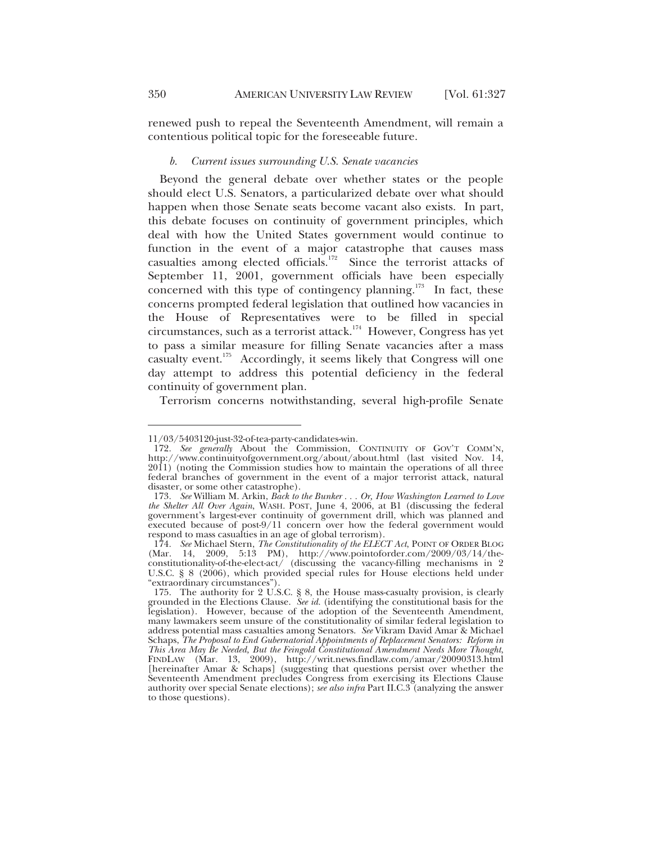renewed push to repeal the Seventeenth Amendment, will remain a contentious political topic for the foreseeable future.

#### *b. Current issues surrounding U.S. Senate vacancies*

Beyond the general debate over whether states or the people should elect U.S. Senators, a particularized debate over what should happen when those Senate seats become vacant also exists. In part, this debate focuses on continuity of government principles, which deal with how the United States government would continue to function in the event of a major catastrophe that causes mass casualties among elected officials.<sup>172</sup> Since the terrorist attacks of September 11, 2001, government officials have been especially concerned with this type of contingency planning.<sup>173</sup> In fact, these concerns prompted federal legislation that outlined how vacancies in the House of Representatives were to be filled in special circumstances, such as a terrorist attack.<sup>174</sup> However, Congress has yet to pass a similar measure for filling Senate vacancies after a mass casualty event.<sup>175</sup> Accordingly, it seems likely that Congress will one day attempt to address this potential deficiency in the federal continuity of government plan.

Terrorism concerns notwithstanding, several high-profile Senate

<sup>11/03/5403120-</sup>just-32-of-tea-party-candidates-win.

<sup>172</sup>*. See generally* About the Commission, CONTINUITY OF GOV'T COMM'N, http://www.continuityofgovernment.org/about/about.html (last visited Nov. 14, 2011) (noting the Commission studies how to maintain the operations of all three federal branches of government in the event of a major terrorist attack, natural disaster, or some other catastrophe).

<sup>173</sup>*. See* William M. Arkin, *Back to the Bunker . . . Or, How Washington Learned to Love the Shelter All Over Again*, WASH. POST, June 4, 2006, at B1 (discussing the federal government's largest-ever continuity of government drill, which was planned and executed because of post-9/11 concern over how the federal government would respond to mass casualties in an age of global terrorism).

<sup>174</sup>*. See* Michael Stern, *The Constitutionality of the ELECT Act*, POINT OF ORDER BLOG (Mar. 14, 2009, 5:13 PM), http://www.pointoforder.com/2009/03/14/theconstitutionality-of-the-elect-act/ (discussing the vacancy-filling mechanisms in 2 U.S.C. § 8 (2006), which provided special rules for House elections held under "extraordinary circumstances").

 <sup>175.</sup> The authority for 2 U.S.C. § 8, the House mass-casualty provision, is clearly grounded in the Elections Clause. *See id.* (identifying the constitutional basis for the legislation). However, because of the adoption of the Seventeenth Amendment, many lawmakers seem unsure of the constitutionality of similar federal legislation to address potential mass casualties among Senators. *See* Vikram David Amar & Michael Schaps, *The Proposal to End Gubernatorial Appointments of Replacement Senators: Reform in This Area May Be Needed, But the Feingold Constitutional Amendment Needs More Thought*, FINDLAW (Mar. 13, 2009), http://writ.news.findlaw.com/amar/20090313.html [hereinafter Amar & Schaps] (suggesting that questions persist over whether the Seventeenth Amendment precludes Congress from exercising its Elections Clause authority over special Senate elections); *see also infra* Part II.C.3 (analyzing the answer to those questions).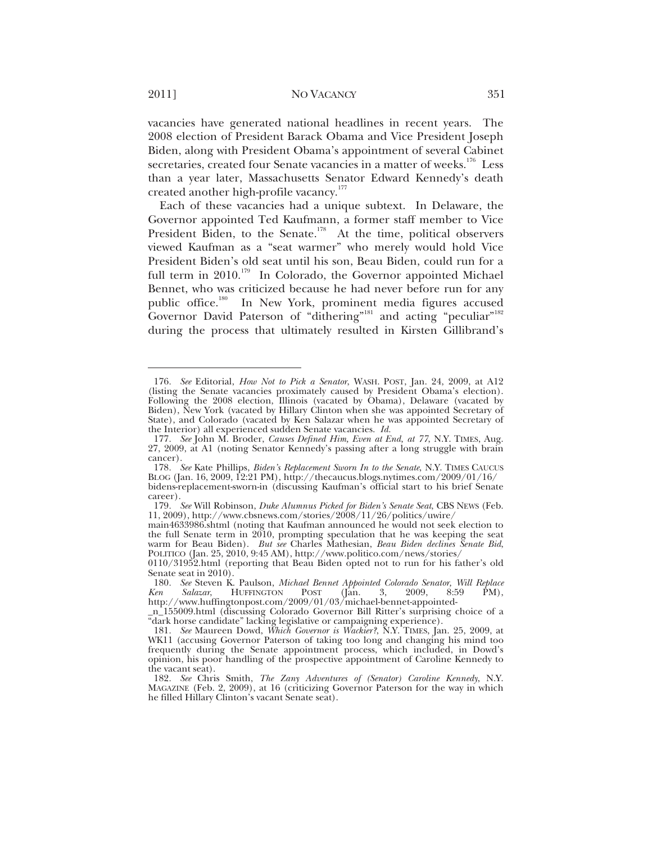vacancies have generated national headlines in recent years. The 2008 election of President Barack Obama and Vice President Joseph Biden, along with President Obama's appointment of several Cabinet secretaries, created four Senate vacancies in a matter of weeks.<sup>176</sup> Less than a year later, Massachusetts Senator Edward Kennedy's death created another high-profile vacancy.<sup>177</sup>

Each of these vacancies had a unique subtext. In Delaware, the Governor appointed Ted Kaufmann, a former staff member to Vice President Biden, to the Senate.<sup>178</sup> At the time, political observers viewed Kaufman as a "seat warmer" who merely would hold Vice President Biden's old seat until his son, Beau Biden, could run for a full term in 2010.<sup>179</sup> In Colorado, the Governor appointed Michael Bennet, who was criticized because he had never before run for any public office.<sup>180</sup> In New York, prominent media figures accused Governor David Paterson of "dithering"<sup>181</sup> and acting "peculiar"<sup>182</sup> during the process that ultimately resulted in Kirsten Gillibrand's

<sup>176</sup>*. See* Editorial, *How Not to Pick a Senator*, WASH. POST, Jan. 24, 2009, at A12 (listing the Senate vacancies proximately caused by President Obama's election). Following the 2008 election, Illinois (vacated by Obama), Delaware (vacated by Biden), New York (vacated by Hillary Clinton when she was appointed Secretary of State), and Colorado (vacated by Ken Salazar when he was appointed Secretary of the Interior) all experienced sudden Senate vacancies. *Id.*

<sup>177</sup>*. See* John M. Broder, *Causes Defined Him, Even at End, at 77*, N.Y. TIMES, Aug. 27, 2009, at A1 (noting Senator Kennedy's passing after a long struggle with brain cancer).

<sup>178</sup>*. See* Kate Phillips, *Biden's Replacement Sworn In to the Senate*, N.Y. TIMES CAUCUS BLOG (Jan. 16, 2009, 12:21 PM), http://thecaucus.blogs.nytimes.com/2009/01/16/ bidens-replacement-sworn-in (discussing Kaufman's official start to his brief Senate career).

<sup>179</sup>*. See* Will Robinson, *Duke Alumnus Picked for Biden's Senate Seat*, CBS NEWS (Feb. 11, 2009), http://www.cbsnews.com/stories/2008/11/26/politics/uwire/

main4633986.shtml (noting that Kaufman announced he would not seek election to the full Senate term in  $2010$ , prompting speculation that he was keeping the seat warm for Beau Biden). *But see* Charles Mathesian, *Beau Biden declines Senate Bid*, POLITICO (Jan. 25, 2010, 9:45 AM), http://www.politico.com/news/stories/

<sup>0110/31952.</sup>html (reporting that Beau Biden opted not to run for his father's old Senate seat in 2010).

<sup>180</sup>*. See* Steven K. Paulson, *Michael Bennet Appointed Colorado Senator, Will Replace Ken Salazar*, HUFFINGTON POST (Jan. 3, 2009, 8:59 PM), http://www.huffingtonpost.com/2009/01/03/michael-bennet-appointed-

\_n\_155009.html (discussing Colorado Governor Bill Ritter's surprising choice of a "dark horse candidate" lacking legislative or campaigning experience).

<sup>181</sup>*. See* Maureen Dowd, *Which Governor is Wackier?*, N.Y. TIMES, Jan. 25, 2009, at WK11 (accusing Governor Paterson of taking too long and changing his mind too frequently during the Senate appointment process, which included, in Dowd's opinion, his poor handling of the prospective appointment of Caroline Kennedy to the vacant seat).

<sup>182</sup>*. See* Chris Smith, *The Zany Adventures of (Senator) Caroline Kennedy*, N.Y. MAGAZINE (Feb. 2, 2009), at 16 (criticizing Governor Paterson for the way in which he filled Hillary Clinton's vacant Senate seat).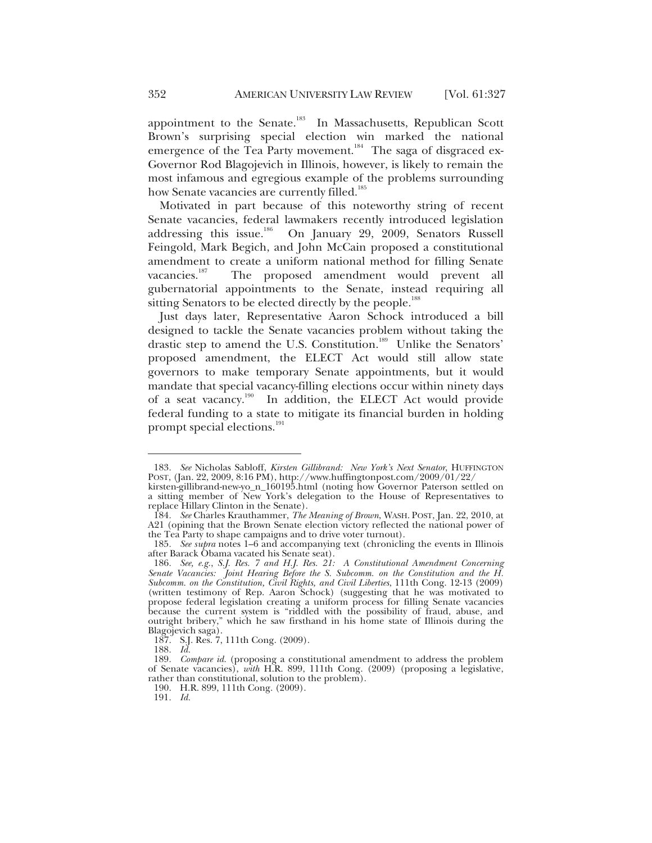appointment to the Senate.<sup>183</sup> In Massachusetts, Republican Scott Brown's surprising special election win marked the national emergence of the Tea Party movement.<sup>184</sup> The saga of disgraced ex-Governor Rod Blagojevich in Illinois, however, is likely to remain the most infamous and egregious example of the problems surrounding how Senate vacancies are currently filled.<sup>185</sup>

Motivated in part because of this noteworthy string of recent Senate vacancies, federal lawmakers recently introduced legislation addressing this issue.<sup>186</sup> On January 29, 2009, Senators Russell Feingold, Mark Begich, and John McCain proposed a constitutional amendment to create a uniform national method for filling Senate<br>vacancies.<sup>187</sup> The proposed amendment would prevent all The proposed amendment would prevent all gubernatorial appointments to the Senate, instead requiring all sitting Senators to be elected directly by the people.<sup>188</sup>

Just days later, Representative Aaron Schock introduced a bill designed to tackle the Senate vacancies problem without taking the drastic step to amend the U.S. Constitution.<sup>189</sup> Unlike the Senators' proposed amendment, the ELECT Act would still allow state governors to make temporary Senate appointments, but it would mandate that special vacancy-filling elections occur within ninety days of a seat vacancy.<sup>190</sup> In addition, the ELECT Act would provide federal funding to a state to mitigate its financial burden in holding prompt special elections.<sup>191</sup>

<sup>183</sup>*. See* Nicholas Sabloff, *Kirsten Gillibrand: New York's Next Senator*, HUFFINGTON POST, (Jan. 22, 2009, 8:16 PM), http://www.huffingtonpost.com/2009/01/22/

kirsten-gillibrand-new-yo\_n\_160195.html (noting how Governor Paterson settled on a sitting member of New York's delegation to the House of Representatives to replace Hillary Clinton in the Senate).

<sup>184</sup>*. See* Charles Krauthammer, *The Meaning of Brown*, WASH. POST, Jan. 22, 2010, at A21 (opining that the Brown Senate election victory reflected the national power of the Tea Party to shape campaigns and to drive voter turnout).

<sup>185</sup>*. See supra* notes 1–6 and accompanying text (chronicling the events in Illinois after Barack Obama vacated his Senate seat).

<sup>186</sup>*. See, e.g.*, *S.J. Res. 7 and H.J. Res. 21: A Constitutional Amendment Concerning Senate Vacancies: Joint Hearing Before the S. Subcomm. on the Constitution and the H. Subcomm. on the Constitution, Civil Rights, and Civil Liberties*, 111th Cong. 12-13 (2009) (written testimony of Rep. Aaron Schock) (suggesting that he was motivated to propose federal legislation creating a uniform process for filling Senate vacancies because the current system is "riddled with the possibility of fraud, abuse, and outright bribery," which he saw firsthand in his home state of Illinois during the Blagojevich saga).

 <sup>187.</sup> S.J. Res. 7, 111th Cong. (2009).

<sup>188</sup>*. Id.*

<sup>189</sup>*. Compare id.* (proposing a constitutional amendment to address the problem of Senate vacancies), *with* H.R. 899, 111th Cong. (2009) (proposing a legislative, rather than constitutional, solution to the problem).

 <sup>190.</sup> H.R. 899, 111th Cong. (2009).

<sup>191</sup>*. Id.*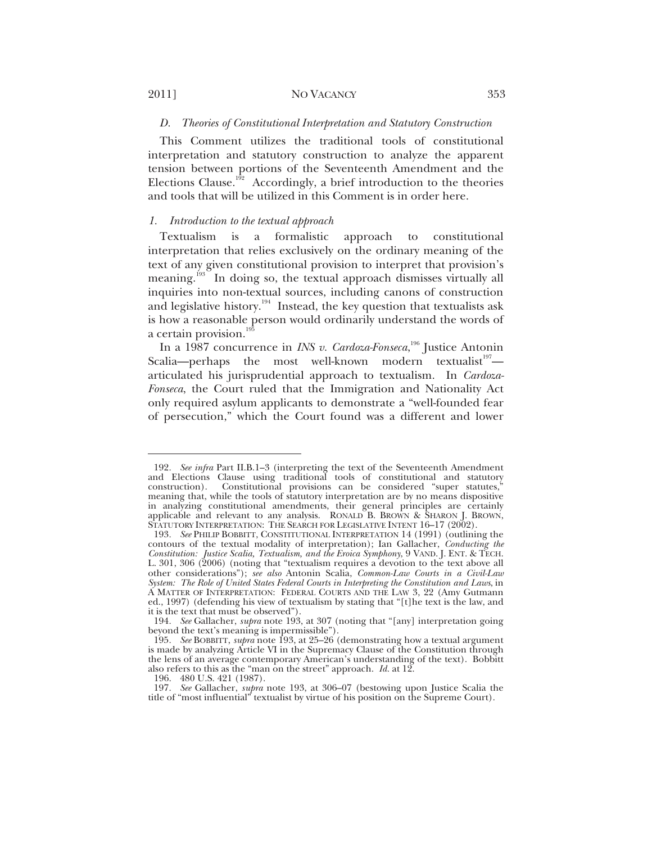$\overline{a}$ 

#### *D. Theories of Constitutional Interpretation and Statutory Construction*

This Comment utilizes the traditional tools of constitutional interpretation and statutory construction to analyze the apparent tension between portions of the Seventeenth Amendment and the Elections Clause.<sup>192</sup> Accordingly, a brief introduction to the theories and tools that will be utilized in this Comment is in order here.

#### *1. Introduction to the textual approach*

Textualism is a formalistic approach to constitutional interpretation that relies exclusively on the ordinary meaning of the text of any given constitutional provision to interpret that provision's meaning.<sup>193</sup> In doing so, the textual approach dismisses virtually all inquiries into non-textual sources, including canons of construction and legislative history.<sup>194</sup> Instead, the key question that textualists ask is how a reasonable person would ordinarily understand the words of a certain provision.<sup>19</sup>

In a 1987 concurrence in *INS v. Cardoza-Fonseca*, 196 Justice Antonin Scalia—perhaps the most well-known modern textualist<sup>197</sup> articulated his jurisprudential approach to textualism. In *Cardoza-Fonseca*, the Court ruled that the Immigration and Nationality Act only required asylum applicants to demonstrate a "well-founded fear of persecution," which the Court found was a different and lower

<sup>192</sup>*. See infra* Part II.B.1–3 (interpreting the text of the Seventeenth Amendment and Elections Clause using traditional tools of constitutional and statutory construction). Constitutional provisions can be considered "super statutes," meaning that, while the tools of statutory interpretation are by no means dispositive in analyzing constitutional amendments, their general principles are certainly applicable and relevant to any analysis. RONALD B. BROWN & SHARON J. BROWN, STATUTORY INTERPRETATION: THE SEARCH FOR LEGISLATIVE INTENT 16-17 (2002).

<sup>193</sup>*. See* PHILIP BOBBITT, CONSTITUTIONAL INTERPRETATION 14 (1991) (outlining the contours of the textual modality of interpretation); Ian Gallacher, *Conducting the Constitution: Justice Scalia, Textualism, and the Eroica Symphony*, 9 VAND. J. ENT. & TECH. L. 301, 306 (2006) (noting that "textualism requires a devotion to the text above all other considerations"); *see also* Antonin Scalia, *Common-Law Courts in a Civil-Law System: The Role of United States Federal Courts in Interpreting the Constitution and Laws*, in A MATTER OF INTERPRETATION: FEDERAL COURTS AND THE LAW 3, 22 (Amy Gutmann ed., 1997) (defending his view of textualism by stating that "[t]he text is the law, and it is the text that must be observed").

<sup>194</sup>*. See* Gallacher, *supra* note 193, at 307 (noting that "[any] interpretation going beyond the text's meaning is impermissible").

<sup>195</sup>*. See* BOBBITT, *supra* note 193, at 25–26 (demonstrating how a textual argument is made by analyzing Article VI in the Supremacy Clause of the Constitution through the lens of an average contemporary American's understanding of the text). Bobbitt also refers to this as the "man on the street" approach. *Id.* at 12.

 <sup>196. 480</sup> U.S. 421 (1987).

<sup>197</sup>*. See* Gallacher, *supra* note 193, at 306–07 (bestowing upon Justice Scalia the title of "most influential" textualist by virtue of his position on the Supreme Court).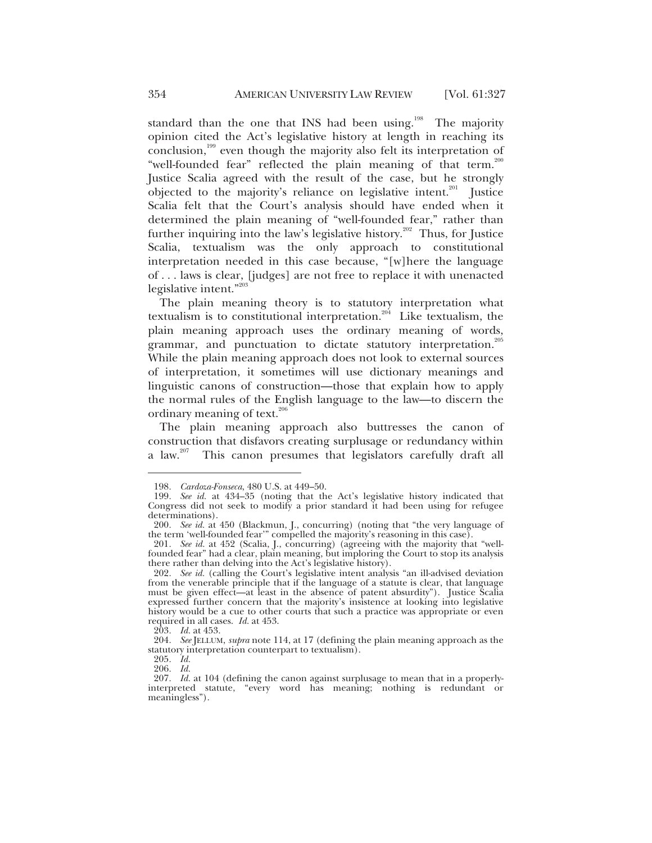standard than the one that INS had been using.<sup>198</sup> The majority opinion cited the Act's legislative history at length in reaching its conclusion,<sup>199</sup> even though the majority also felt its interpretation of "well-founded fear" reflected the plain meaning of that term.<sup>200</sup> Justice Scalia agreed with the result of the case, but he strongly objected to the majority's reliance on legislative intent.<sup>201</sup> Justice Scalia felt that the Court's analysis should have ended when it determined the plain meaning of "well-founded fear," rather than further inquiring into the law's legislative history.<sup>202</sup> Thus, for Justice Scalia, textualism was the only approach to constitutional interpretation needed in this case because, "[w]here the language of . . . laws is clear, [judges] are not free to replace it with unenacted legislative intent."203

The plain meaning theory is to statutory interpretation what textualism is to constitutional interpretation.<sup>204</sup> Like textualism, the plain meaning approach uses the ordinary meaning of words, grammar, and punctuation to dictate statutory interpretation.<sup>205</sup> While the plain meaning approach does not look to external sources of interpretation, it sometimes will use dictionary meanings and linguistic canons of construction—those that explain how to apply the normal rules of the English language to the law—to discern the ordinary meaning of text. $206$ 

The plain meaning approach also buttresses the canon of construction that disfavors creating surplusage or redundancy within a law.207 This canon presumes that legislators carefully draft all

<sup>198</sup>*. Cardoza-Fonseca*, 480 U.S. at 449–50.

<sup>199</sup>*. See id.* at 434–35 (noting that the Act's legislative history indicated that Congress did not seek to modify a prior standard it had been using for refugee determinations).

<sup>200</sup>*. See id.* at 450 (Blackmun, J., concurring) (noting that "the very language of the term 'well-founded fear'" compelled the majority's reasoning in this case).

<sup>201</sup>*. See id.* at 452 (Scalia, J., concurring) (agreeing with the majority that "wellfounded fear" had a clear, plain meaning, but imploring the Court to stop its analysis there rather than delving into the Act's legislative history).

<sup>202</sup>*. See id.* (calling the Court's legislative intent analysis "an ill-advised deviation from the venerable principle that if the language of a statute is clear, that language must be given effect—at least in the absence of patent absurdity"). Justice Scalia expressed further concern that the majority's insistence at looking into legislative history would be a cue to other courts that such a practice was appropriate or even required in all cases. *Id.* at 453.

<sup>203</sup>*. Id.* at 453.

<sup>204</sup>*. See* JELLUM, *supra* note 114, at 17 (defining the plain meaning approach as the statutory interpretation counterpart to textualism).

<sup>205</sup>*. Id.*

<sup>206</sup>*. Id.*

<sup>207</sup>*. Id.* at 104 (defining the canon against surplusage to mean that in a properlyinterpreted statute, "every word has meaning; nothing is redundant or meaningless").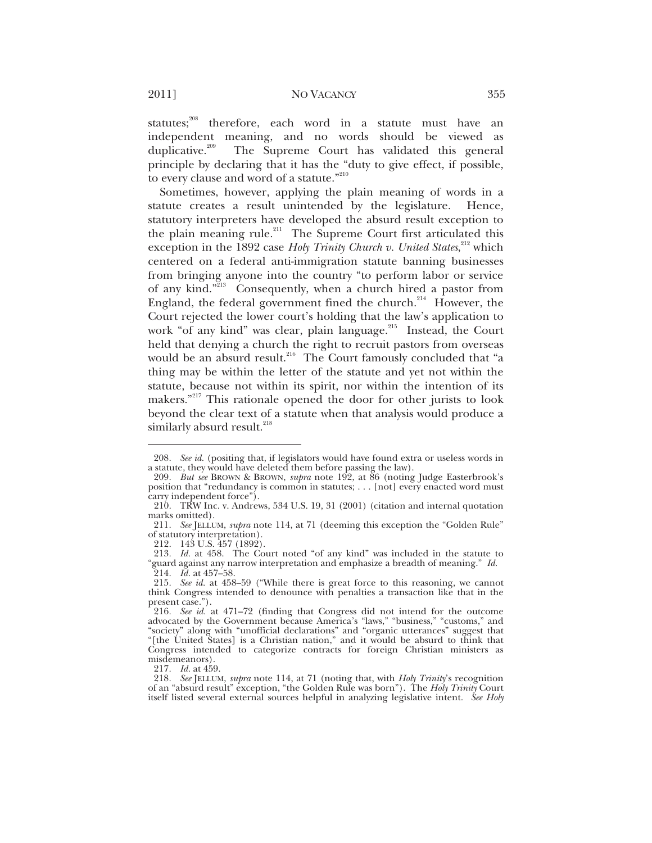statutes;<sup>208</sup> therefore, each word in a statute must have an independent meaning, and no words should be viewed as duplicative.<sup>209</sup> The Supreme Court has validated this general The Supreme Court has validated this general principle by declaring that it has the "duty to give effect, if possible, to every clause and word of a statute."<sup>210</sup>

Sometimes, however, applying the plain meaning of words in a statute creates a result unintended by the legislature. Hence, statutory interpreters have developed the absurd result exception to the plain meaning rule.<sup>211</sup> The Supreme Court first articulated this exception in the 1892 case *Holy Trinity Church v. United States*,<sup>212</sup> which centered on a federal anti-immigration statute banning businesses from bringing anyone into the country "to perform labor or service of any kind."<sup>213</sup> Consequently, when a church hired a pastor from England, the federal government fined the church.<sup>214</sup> However, the Court rejected the lower court's holding that the law's application to work "of any kind" was clear, plain language.<sup>215</sup> Instead, the Court held that denying a church the right to recruit pastors from overseas would be an absurd result.<sup>216</sup> The Court famously concluded that "a thing may be within the letter of the statute and yet not within the statute, because not within its spirit, nor within the intention of its makers."217 This rationale opened the door for other jurists to look beyond the clear text of a statute when that analysis would produce a similarly absurd result. $^{218}$ 

 $\overline{a}$ 

217*. Id.* at 459.

<sup>208</sup>*. See id.* (positing that, if legislators would have found extra or useless words in a statute, they would have deleted them before passing the law).

<sup>209</sup>*. But see* BROWN & BROWN, *supra* note 192, at 86 (noting Judge Easterbrook's position that "redundancy is common in statutes; . . . [not] every enacted word must carry independent force").

 <sup>210.</sup> TRW Inc. v. Andrews, 534 U.S. 19, 31 (2001) (citation and internal quotation marks omitted).

<sup>211</sup>*. See* JELLUM, *supra* note 114, at 71 (deeming this exception the "Golden Rule" of statutory interpretation).

 <sup>212. 143</sup> U.S. 457 (1892).

<sup>213</sup>*. Id.* at 458. The Court noted "of any kind" was included in the statute to "guard against any narrow interpretation and emphasize a breadth of meaning." *Id.* "guard against any narrow interpretation and emphasize a breadth of meaning." *Id.* 214*. Id.* at 457–58.

<sup>215</sup>*. See id.* at 458–59 ("While there is great force to this reasoning, we cannot think Congress intended to denounce with penalties a transaction like that in the present case.").

<sup>216</sup>*. See id.* at 471–72 (finding that Congress did not intend for the outcome advocated by the Government because America's "laws," "business," "customs," and "society" along with "unofficial declarations" and "organic utterances" suggest that "[the United States] is a Christian nation," and it would be absurd to think that Congress intended to categorize contracts for foreign Christian ministers as misdemeanors).

<sup>218</sup>*. See* JELLUM, *supra* note 114, at 71 (noting that, with *Holy Trinity*'s recognition of an "absurd result" exception, "the Golden Rule was born"). The *Holy Trinity* Court itself listed several external sources helpful in analyzing legislative intent. *See Holy*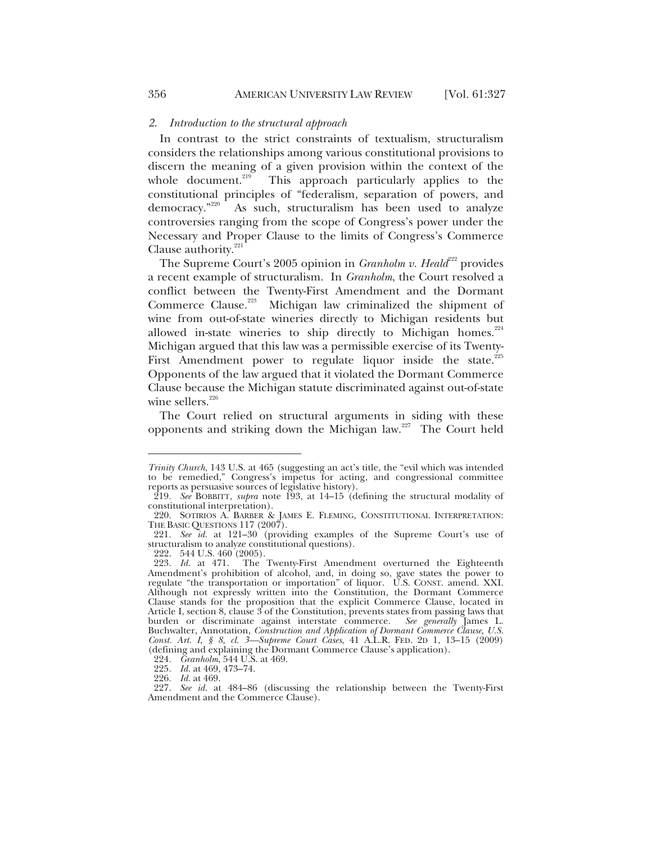#### *2. Introduction to the structural approach*

In contrast to the strict constraints of textualism, structuralism considers the relationships among various constitutional provisions to discern the meaning of a given provision within the context of the whole document.<sup>219</sup> This approach particularly applies to the This approach particularly applies to the constitutional principles of "federalism, separation of powers, and democracy."<sup>220</sup> As such, structuralism has been used to analyze As such, structuralism has been used to analyze controversies ranging from the scope of Congress's power under the Necessary and Proper Clause to the limits of Congress's Commerce Clause authority.<sup>221</sup>

The Supreme Court's 2005 opinion in *Granholm v. Heald*<sup>222</sup> provides a recent example of structuralism. In *Granholm*, the Court resolved a conflict between the Twenty-First Amendment and the Dormant Commerce Clause.<sup>223</sup> Michigan law criminalized the shipment of wine from out-of-state wineries directly to Michigan residents but allowed in-state wineries to ship directly to Michigan homes. $224$ Michigan argued that this law was a permissible exercise of its Twenty-First Amendment power to regulate liquor inside the state. $225$ Opponents of the law argued that it violated the Dormant Commerce Clause because the Michigan statute discriminated against out-of-state wine sellers. $^{226}$ 

The Court relied on structural arguments in siding with these opponents and striking down the Michigan law.<sup>227</sup> The Court held

222. 544 U.S. 460 (2005).

*Trinity Church*, 143 U.S. at 465 (suggesting an act's title, the "evil which was intended to be remedied," Congress's impetus for acting, and congressional committee reports as persuasive sources of legislative history).

<sup>219</sup>*. See* BOBBITT, *supra* note 193, at 14–15 (defining the structural modality of constitutional interpretation).

 <sup>220.</sup> SOTIRIOS A. BARBER & JAMES E. FLEMING, CONSTITUTIONAL INTERPRETATION: THE BASIC QUESTIONS 117 (2007).

<sup>221</sup>*. See id.* at 121–30 (providing examples of the Supreme Court's use of structuralism to analyze constitutional questions).

<sup>223</sup>*. Id.* at 471. The Twenty-First Amendment overturned the Eighteenth Amendment's prohibition of alcohol, and, in doing so, gave states the power to regulate "the transportation or importation" of liquor. U.S. CONST. amend. XXI. Although not expressly written into the Constitution, the Dormant Commerce Clause stands for the proposition that the explicit Commerce Clause, located in Article I, section 8, clause 3 of the Constitution, prevents states from passing laws that burden or discriminate against interstate commerce. *See generally* James L. Buchwalter, Annotation, *Construction and Application of Dormant Commerce Clause, U.S. Const. Art. I, § 8, cl. 3—Supreme Court Cases*, 41 A.L.R. FED. 2D 1, 13–15 (2009) (defining and explaining the Dormant Commerce Clause's application).

<sup>224</sup>*. Granholm*, 544 U.S. at 469.

<sup>225</sup>*. Id.* at 469, 473–74.

<sup>226</sup>*. Id.* at 469.

<sup>227</sup>*. See id.* at 484–86 (discussing the relationship between the Twenty-First Amendment and the Commerce Clause).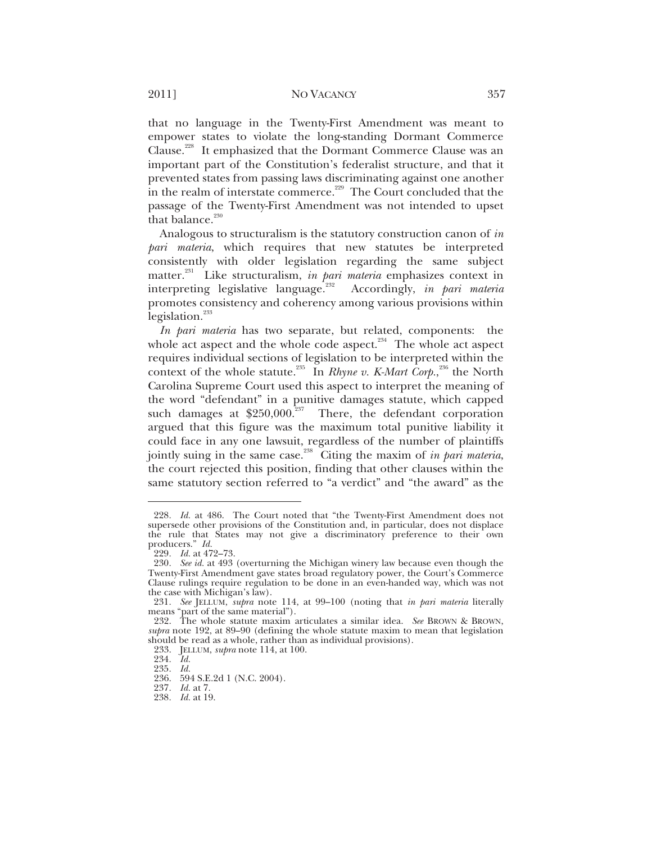that no language in the Twenty-First Amendment was meant to empower states to violate the long-standing Dormant Commerce Clause.<sup>228</sup> It emphasized that the Dormant Commerce Clause was an important part of the Constitution's federalist structure, and that it prevented states from passing laws discriminating against one another in the realm of interstate commerce.<sup>229</sup> The Court concluded that the passage of the Twenty-First Amendment was not intended to upset that balance. $230$ 

Analogous to structuralism is the statutory construction canon of *in pari materia*, which requires that new statutes be interpreted consistently with older legislation regarding the same subject matter.231 Like structuralism, *in pari materia* emphasizes context in interpreting legislative language.232 Accordingly, *in pari materia* promotes consistency and coherency among various provisions within legislation. $^{233}$ 

*In pari materia* has two separate, but related, components: the whole act aspect and the whole code aspect.<sup>234</sup> The whole act aspect requires individual sections of legislation to be interpreted within the context of the whole statute.<sup>235</sup> In *Rhyne v. K-Mart Corp.*,<sup>236</sup> the North Carolina Supreme Court used this aspect to interpret the meaning of the word "defendant" in a punitive damages statute, which capped such damages at  $$250,000.<sup>237</sup>$  There, the defendant corporation argued that this figure was the maximum total punitive liability it could face in any one lawsuit, regardless of the number of plaintiffs jointly suing in the same case.238 Citing the maxim of *in pari materia*, the court rejected this position, finding that other clauses within the same statutory section referred to "a verdict" and "the award" as the

<sup>228</sup>*. Id.* at 486. The Court noted that "the Twenty-First Amendment does not supersede other provisions of the Constitution and, in particular, does not displace the rule that States may not give a discriminatory preference to their own producers." Id.

producers." *Id.* 229*. Id.* at 472–73.

<sup>230</sup>*. See id.* at 493 (overturning the Michigan winery law because even though the Twenty-First Amendment gave states broad regulatory power, the Court's Commerce Clause rulings require regulation to be done in an even-handed way, which was not the case with Michigan's law).

<sup>231</sup>*. See* JELLUM, *supra* note 114, at 99–100 (noting that *in pari materia* literally means "part of the same material").

 <sup>232.</sup> The whole statute maxim articulates a similar idea. *See* BROWN & BROWN, *supra* note 192, at 89–90 (defining the whole statute maxim to mean that legislation should be read as a whole, rather than as individual provisions).

 <sup>233.</sup> JELLUM, *supra* note 114, at 100.

<sup>234</sup>*. Id.*

<sup>235</sup>*. Id.*

 <sup>236. 594</sup> S.E.2d 1 (N.C. 2004).

<sup>237</sup>*. Id.* at 7.

<sup>238</sup>*. Id.* at 19.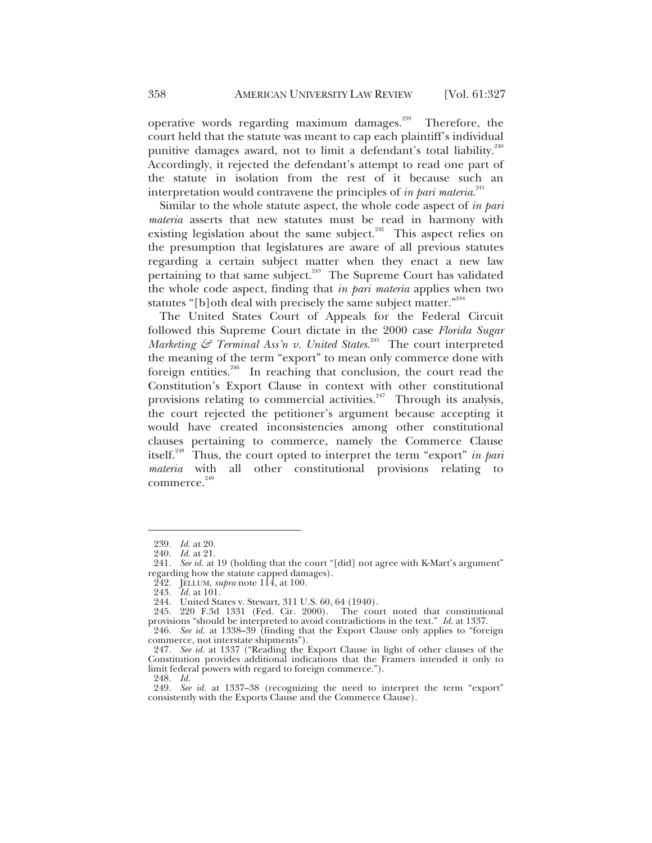operative words regarding maximum damages.<sup>239</sup> Therefore, the court held that the statute was meant to cap each plaintiff's individual punitive damages award, not to limit a defendant's total liability.<sup>240</sup> Accordingly, it rejected the defendant's attempt to read one part of the statute in isolation from the rest of it because such an interpretation would contravene the principles of *in pari materia*. 241

Similar to the whole statute aspect, the whole code aspect of *in pari materia* asserts that new statutes must be read in harmony with existing legislation about the same subject. $242$  This aspect relies on the presumption that legislatures are aware of all previous statutes regarding a certain subject matter when they enact a new law pertaining to that same subject.<sup>243</sup> The Supreme Court has validated the whole code aspect, finding that *in pari materia* applies when two statutes "[b]oth deal with precisely the same subject matter."<sup>244</sup>

The United States Court of Appeals for the Federal Circuit followed this Supreme Court dictate in the 2000 case *Florida Sugar Marketing* & Terminal Ass'n v. United States.<sup>245</sup> The court interpreted the meaning of the term "export" to mean only commerce done with foreign entities.<sup>246</sup> In reaching that conclusion, the court read the Constitution's Export Clause in context with other constitutional provisions relating to commercial activities.<sup>247</sup> Through its analysis, the court rejected the petitioner's argument because accepting it would have created inconsistencies among other constitutional clauses pertaining to commerce, namely the Commerce Clause itself.248 Thus, the court opted to interpret the term "export" *in pari materia* with all other constitutional provisions relating to  $commence.<sup>249</sup>$ 

 $\overline{a}$ 

248*. Id.*

<sup>239</sup>*. Id.* at 20.

<sup>240</sup>*. Id.* at 21.

<sup>241</sup>*. See id.* at 19 (holding that the court "[did] not agree with K-Mart's argument" regarding how the statute capped damages).

 <sup>242.</sup> JELLUM, *supra* note 114, at 100.

<sup>243</sup>*. Id.* at 101.

 <sup>244.</sup> United States v. Stewart, 311 U.S. 60, 64 (1940).

 <sup>245. 220</sup> F.3d 1331 (Fed. Cir. 2000). The court noted that constitutional provisions "should be interpreted to avoid contradictions in the text." *Id.* at 1337.

<sup>246</sup>*. See id.* at 1338–39 (finding that the Export Clause only applies to "foreign commerce, not interstate shipments").

<sup>247</sup>*. See id.* at 1337 ("Reading the Export Clause in light of other clauses of the Constitution provides additional indications that the Framers intended it only to limit federal powers with regard to foreign commerce.").

<sup>249</sup>*. See id.* at 1337–38 (recognizing the need to interpret the term "export" consistently with the Exports Clause and the Commerce Clause).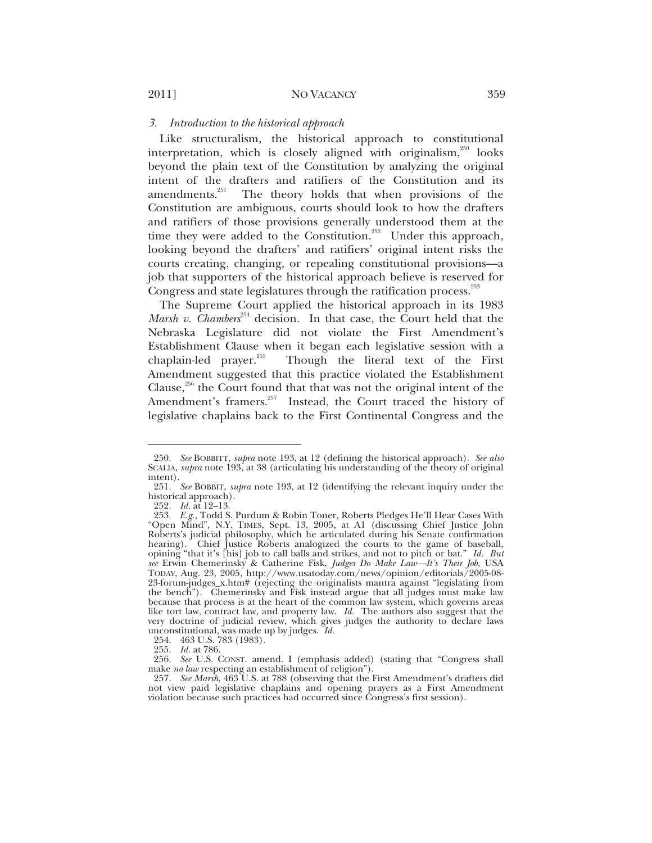#### *3. Introduction to the historical approach*

Like structuralism, the historical approach to constitutional interpretation, which is closely aligned with originalism, $250$  looks beyond the plain text of the Constitution by analyzing the original intent of the drafters and ratifiers of the Constitution and its amendments. $251$  The theory holds that when provisions of the Constitution are ambiguous, courts should look to how the drafters and ratifiers of those provisions generally understood them at the time they were added to the Constitution.<sup>252</sup> Under this approach, looking beyond the drafters' and ratifiers' original intent risks the courts creating, changing, or repealing constitutional provisions—a job that supporters of the historical approach believe is reserved for Congress and state legislatures through the ratification process.<sup>253</sup>

The Supreme Court applied the historical approach in its 1983 *Marsh v. Chambers*<sup>254</sup> decision. In that case, the Court held that the Nebraska Legislature did not violate the First Amendment's Establishment Clause when it began each legislative session with a chaplain-led prayer. $255$  Though the literal text of the First Amendment suggested that this practice violated the Establishment Clause, $256$  the Court found that that was not the original intent of the Amendment's framers.<sup>257</sup> Instead, the Court traced the history of legislative chaplains back to the First Continental Congress and the

<sup>250</sup>*. See* BOBBITT, *supra* note 193, at 12 (defining the historical approach). *See also* SCALIA, *supra* note 193, at 38 (articulating his understanding of the theory of original intent).

<sup>251</sup>*. See* BOBBIT, *supra* note 193, at 12 (identifying the relevant inquiry under the historical approach).

<sup>252</sup>*. Id.* at 12–13.

<sup>253</sup>*. E.g.*, Todd S. Purdum & Robin Toner, Roberts Pledges He'll Hear Cases With "Open Mind"*,* N.Y. TIMES, Sept. 13, 2005, at A1 (discussing Chief Justice John Roberts's judicial philosophy, which he articulated during his Senate confirmation hearing). Chief Justice Roberts analogized the courts to the game of baseball, opining "that it's [his] job to call balls and strikes, and not to pitch or bat." *Id. But see* Erwin Chemerinsky & Catherine Fisk, *Judges Do Make Law—It's Their Job*, USA TODAY, Aug. 23, 2005, http://www.usatoday.com/news/opinion/editorials/2005-08- 23-forum-judges\_x.htm# (rejecting the originalists mantra against "legislating from the bench"). Chemerinsky and Fisk instead argue that all judges must make law because that process is at the heart of the common law system, which governs areas like tort law, contract law, and property law. *Id.* The authors also suggest that the very doctrine of judicial review, which gives judges the authority to declare laws unconstitutional, was made up by judges. *Id.*

 <sup>254. 463</sup> U.S. 783 (1983).

<sup>255</sup>*. Id.* at 786.

<sup>256</sup>*. See* U.S. CONST. amend. I (emphasis added) (stating that "Congress shall make *no law* respecting an establishment of religion").

<sup>257</sup>*. See Marsh*, 463 U.S. at 788 (observing that the First Amendment's drafters did not view paid legislative chaplains and opening prayers as a First Amendment violation because such practices had occurred since Congress's first session).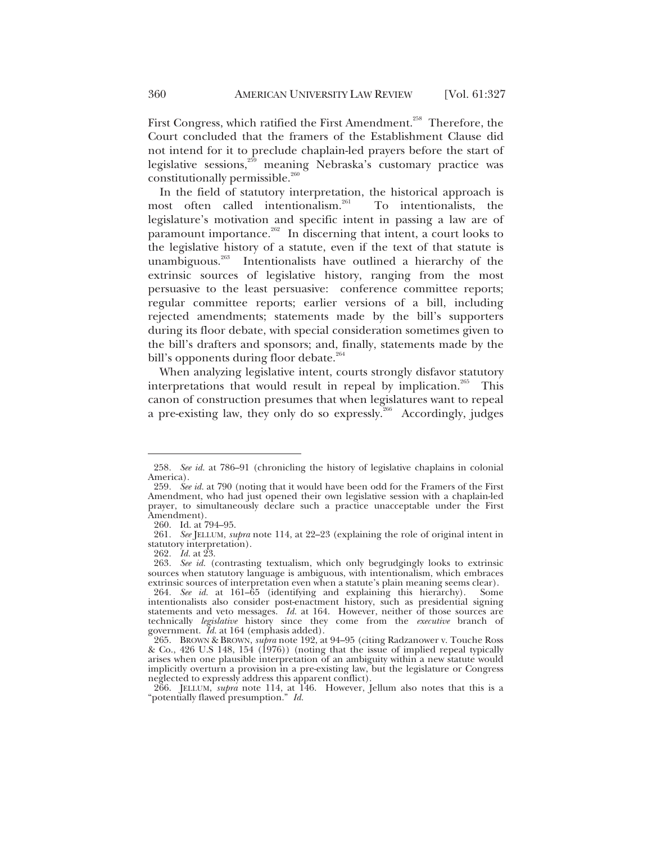First Congress, which ratified the First Amendment.<sup>258</sup> Therefore, the Court concluded that the framers of the Establishment Clause did not intend for it to preclude chaplain-led prayers before the start of legislative sessions,259 meaning Nebraska's customary practice was constitutionally permissible.<sup>260</sup>

In the field of statutory interpretation, the historical approach is most often called intentionalism.<sup>261</sup> To intentionalists, the legislature's motivation and specific intent in passing a law are of paramount importance.<sup>262</sup> In discerning that intent, a court looks to the legislative history of a statute, even if the text of that statute is unambiguous. $263$  Intentionalists have outlined a hierarchy of the extrinsic sources of legislative history, ranging from the most persuasive to the least persuasive: conference committee reports; regular committee reports; earlier versions of a bill, including rejected amendments; statements made by the bill's supporters during its floor debate, with special consideration sometimes given to the bill's drafters and sponsors; and, finally, statements made by the bill's opponents during floor debate.<sup>264</sup>

When analyzing legislative intent, courts strongly disfavor statutory interpretations that would result in repeal by implication.<sup>265</sup> This canon of construction presumes that when legislatures want to repeal a pre-existing law, they only do so expressly. $266$  Accordingly, judges

<sup>258</sup>*. See id.* at 786–91 (chronicling the history of legislative chaplains in colonial America).

<sup>259</sup>*. See id.* at 790 (noting that it would have been odd for the Framers of the First Amendment, who had just opened their own legislative session with a chaplain-led prayer, to simultaneously declare such a practice unacceptable under the First Amendment).

 <sup>260.</sup> Id. at 794–95.

<sup>261</sup>*. See* JELLUM, *supra* note 114, at 22–23 (explaining the role of original intent in statutory interpretation).

<sup>262</sup>*. Id.* at 23.

<sup>263</sup>*. See id.* (contrasting textualism, which only begrudgingly looks to extrinsic sources when statutory language is ambiguous, with intentionalism, which embraces extrinsic sources of interpretation even when a statute's plain meaning seems clear).

<sup>264</sup>*. See id.* at 161–65 (identifying and explaining this hierarchy). Some intentionalists also consider post-enactment history, such as presidential signing statements and veto messages. *Id.* at 164. However, neither of those sources are technically *legislative* history since they come from the *executive* branch of government. *Id.* at 164 (emphasis added).

 <sup>265.</sup> BROWN & BROWN, *supra* note 192, at 94–95 (citing Radzanower v. Touche Ross & Co., 426 U.S 148, 154 (1976)) (noting that the issue of implied repeal typically arises when one plausible interpretation of an ambiguity within a new statute would implicitly overturn a provision in a pre-existing law, but the legislature or Congress neglected to expressly address this apparent conflict).

 <sup>266.</sup> JELLUM, *supra* note 114, at 146. However, Jellum also notes that this is a "potentially flawed presumption." *Id.*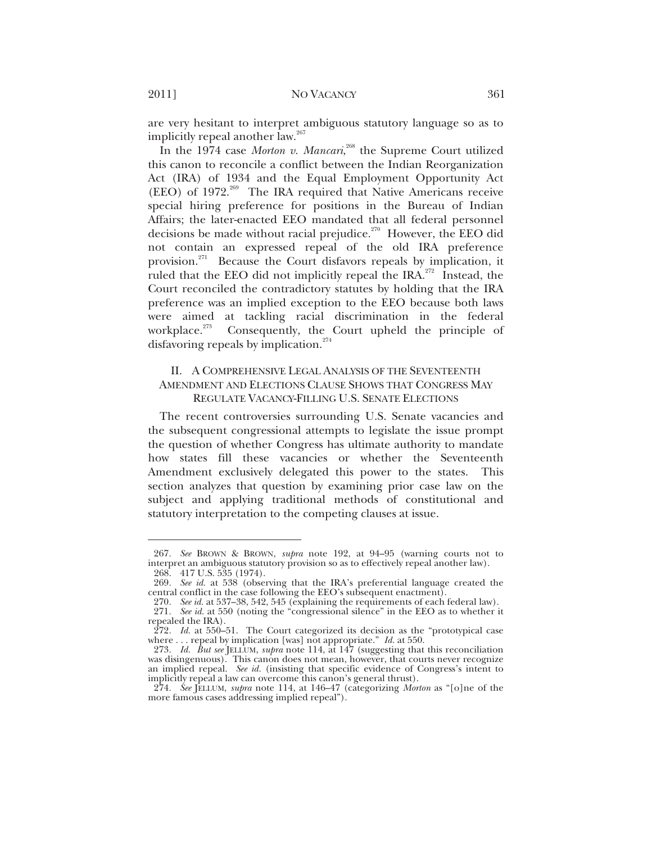are very hesitant to interpret ambiguous statutory language so as to implicitly repeal another law.<sup>267</sup>

In the 1974 case *Morton v. Mancari*,<sup>268</sup> the Supreme Court utilized this canon to reconcile a conflict between the Indian Reorganization Act (IRA) of 1934 and the Equal Employment Opportunity Act (EEO) of  $1972.^{269}$  The IRA required that Native Americans receive special hiring preference for positions in the Bureau of Indian Affairs; the later-enacted EEO mandated that all federal personnel decisions be made without racial prejudice. $270$  However, the EEO did not contain an expressed repeal of the old IRA preference provision.<sup>271</sup> Because the Court disfavors repeals by implication, it ruled that the EEO did not implicitly repeal the IRA. $^{272}$  Instead, the Court reconciled the contradictory statutes by holding that the IRA preference was an implied exception to the EEO because both laws were aimed at tackling racial discrimination in the federal workplace. $273$  Consequently, the Court upheld the principle of disfavoring repeals by implication.<sup>274</sup>

#### II. A COMPREHENSIVE LEGAL ANALYSIS OF THE SEVENTEENTH AMENDMENT AND ELECTIONS CLAUSE SHOWS THAT CONGRESS MAY REGULATE VACANCY-FILLING U.S. SENATE ELECTIONS

The recent controversies surrounding U.S. Senate vacancies and the subsequent congressional attempts to legislate the issue prompt the question of whether Congress has ultimate authority to mandate how states fill these vacancies or whether the Seventeenth Amendment exclusively delegated this power to the states. This section analyzes that question by examining prior case law on the subject and applying traditional methods of constitutional and statutory interpretation to the competing clauses at issue.

<sup>267</sup>*. See* BROWN & BROWN, *supra* note 192, at 94–95 (warning courts not to interpret an ambiguous statutory provision so as to effectively repeal another law). 268. 417 U.S. 535 (1974).

<sup>269</sup>*. See id.* at 538 (observing that the IRA's preferential language created the central conflict in the case following the EEO's subsequent enactment).

<sup>270</sup>*. See id.* at 537–38, 542, 545 (explaining the requirements of each federal law).

<sup>271</sup>*. See id.* at 550 (noting the "congressional silence" in the EEO as to whether it repealed the IRA).

<sup>272</sup>*. Id.* at 550–51. The Court categorized its decision as the "prototypical case where . . . repeal by implication [was] not appropriate." *Id.* at 550.

<sup>273</sup>*. Id. But see* JELLUM, *supra* note 114, at 147 (suggesting that this reconciliation was disingenuous). This canon does not mean, however, that courts never recognize an implied repeal. *See id.* (insisting that specific evidence of Congress's intent to implicitly repeal a law can overcome this canon's general thrust).

<sup>274</sup>*. See* JELLUM, *supra* note 114, at 146–47 (categorizing *Morton* as "[o]ne of the more famous cases addressing implied repeal").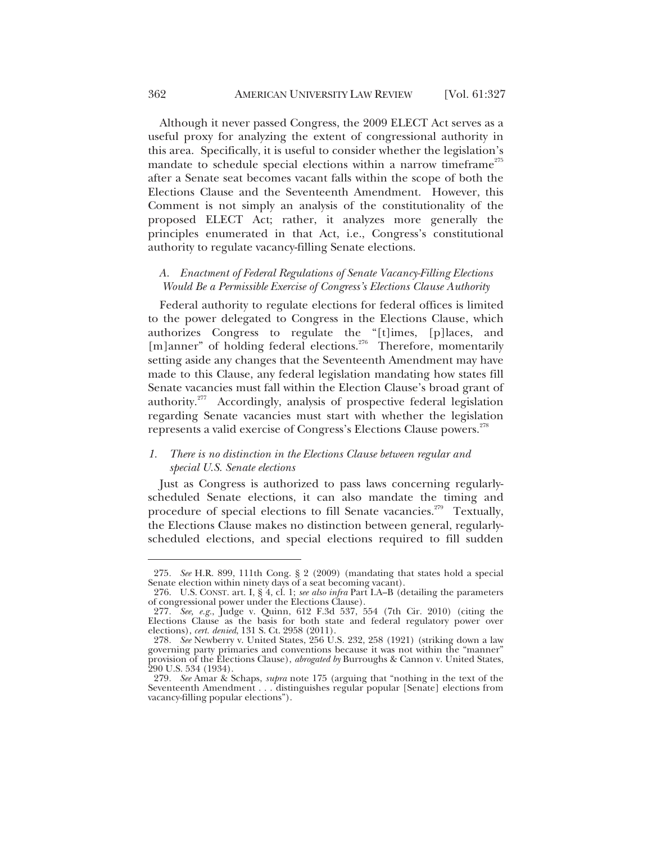Although it never passed Congress, the 2009 ELECT Act serves as a useful proxy for analyzing the extent of congressional authority in this area. Specifically, it is useful to consider whether the legislation's mandate to schedule special elections within a narrow timeframe<sup> $275$ </sup> after a Senate seat becomes vacant falls within the scope of both the Elections Clause and the Seventeenth Amendment. However, this Comment is not simply an analysis of the constitutionality of the proposed ELECT Act; rather, it analyzes more generally the principles enumerated in that Act, i.e., Congress's constitutional authority to regulate vacancy-filling Senate elections.

#### *A. Enactment of Federal Regulations of Senate Vacancy-Filling Elections Would Be a Permissible Exercise of Congress's Elections Clause Authority*

Federal authority to regulate elections for federal offices is limited to the power delegated to Congress in the Elections Clause, which authorizes Congress to regulate the "[t]imes, [p]laces, and [m]anner" of holding federal elections.<sup>276</sup> Therefore, momentarily setting aside any changes that the Seventeenth Amendment may have made to this Clause, any federal legislation mandating how states fill Senate vacancies must fall within the Election Clause's broad grant of authority.<sup>277</sup> Accordingly, analysis of prospective federal legislation regarding Senate vacancies must start with whether the legislation represents a valid exercise of Congress's Elections Clause powers.<sup>278</sup>

#### *1. There is no distinction in the Elections Clause between regular and special U.S. Senate elections*

Just as Congress is authorized to pass laws concerning regularlyscheduled Senate elections, it can also mandate the timing and procedure of special elections to fill Senate vacancies.<sup>279</sup> Textually, the Elections Clause makes no distinction between general, regularlyscheduled elections, and special elections required to fill sudden

<sup>275</sup>*. See* H.R. 899, 111th Cong. § 2 (2009) (mandating that states hold a special Senate election within ninety days of a seat becoming vacant).

 <sup>276.</sup> U.S. CONST. art. I, § 4, cl. 1; *see also infra* Part I.A–B (detailing the parameters of congressional power under the Elections Clause).

<sup>277</sup>*. See, e.g.*, Judge v. Quinn, 612 F.3d 537, 554 (7th Cir. 2010) (citing the Elections Clause as the basis for both state and federal regulatory power over elections), *cert. denied*, 131 S. Ct. 2958 (2011).

<sup>278</sup>*. See* Newberry v. United States, 256 U.S. 232, 258 (1921) (striking down a law governing party primaries and conventions because it was not within the "manner" provision of the Elections Clause), *abrogated by* Burroughs & Cannon v. United States, 290 U.S. 534 (1934).

<sup>279</sup>*. See* Amar & Schaps, *supra* note 175 (arguing that "nothing in the text of the Seventeenth Amendment . . . distinguishes regular popular [Senate] elections from vacancy-filling popular elections").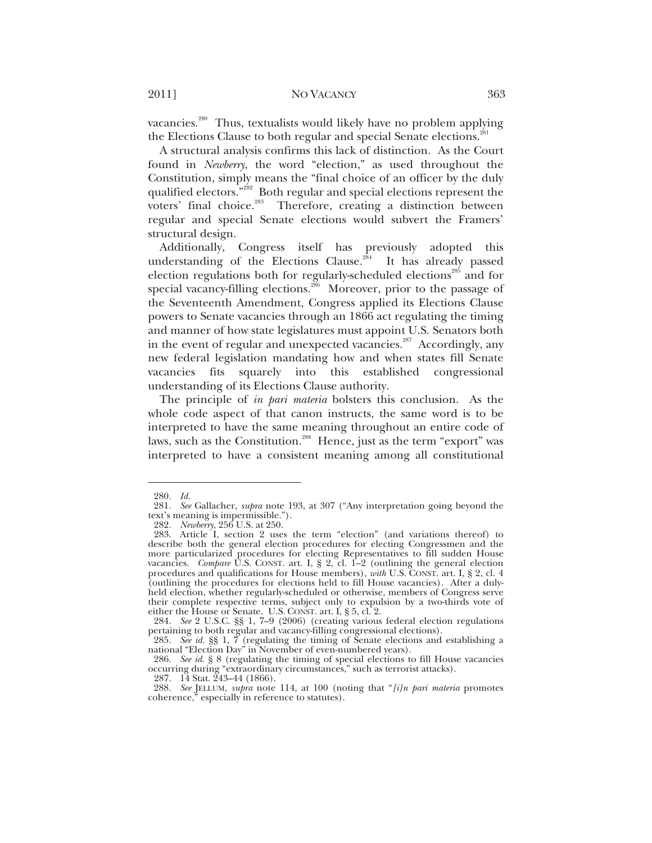vacancies.<sup>280</sup> Thus, textualists would likely have no problem applying the Elections Clause to both regular and special Senate elections.<sup>281</sup>

A structural analysis confirms this lack of distinction. As the Court found in *Newberry*, the word "election," as used throughout the Constitution, simply means the "final choice of an officer by the duly qualified electors."<sup>282</sup> Both regular and special elections represent the voters' final choice.<sup>283</sup> Therefore, creating a distinction between regular and special Senate elections would subvert the Framers' structural design.

Additionally, Congress itself has previously adopted this understanding of the Elections Clause.<sup>284</sup> It has already passed election regulations both for regularly-scheduled elections<sup>285</sup> and for special vacancy-filling elections.<sup>286</sup> Moreover, prior to the passage of the Seventeenth Amendment, Congress applied its Elections Clause powers to Senate vacancies through an 1866 act regulating the timing and manner of how state legislatures must appoint U.S. Senators both in the event of regular and unexpected vacancies.<sup>287</sup> Accordingly, any new federal legislation mandating how and when states fill Senate vacancies fits squarely into this established congressional understanding of its Elections Clause authority.

The principle of *in pari materia* bolsters this conclusion. As the whole code aspect of that canon instructs, the same word is to be interpreted to have the same meaning throughout an entire code of laws, such as the Constitution.<sup>288</sup> Hence, just as the term "export" was interpreted to have a consistent meaning among all constitutional

<sup>280</sup>*. Id.*

<sup>281</sup>*. See* Gallacher, *supra* note 193, at 307 ("Any interpretation going beyond the text's meaning is impermissible.").

<sup>282</sup>*. Newberry*, 256 U.S. at 250.

 <sup>283.</sup> Article I, section 2 uses the term "election" (and variations thereof) to describe both the general election procedures for electing Congressmen and the more particularized procedures for electing Representatives to fill sudden House vacancies. *Compare* U.S. CONST. art. I, § 2, cl. 1–2 (outlining the general election procedures and qualifications for House members), *with* U.S. CONST. art. I, § 2, cl. 4 (outlining the procedures for elections held to fill House vacancies). After a dulyheld election, whether regularly-scheduled or otherwise, members of Congress serve their complete respective terms, subject only to expulsion by a two-thirds vote of either the House or Senate. U.S. CONST. art. I, § 5, cl. 2.

<sup>284</sup>*. See* 2 U.S.C. §§ 1, 7–9 (2006) (creating various federal election regulations pertaining to both regular and vacancy-filling congressional elections).

<sup>285</sup>*. See id.* §§ 1, 7 (regulating the timing of Senate elections and establishing a national "Election Day" in November of even-numbered years).

<sup>286</sup>*. See id.* § 8 (regulating the timing of special elections to fill House vacancies occurring during "extraordinary circumstances," such as terrorist attacks).

 <sup>287. 14</sup> Stat. 243–44 (1866).

<sup>288</sup>*. See* JELLUM, *supra* note 114, at 100 (noting that "*[i]n pari materia* promotes coherence," especially in reference to statutes).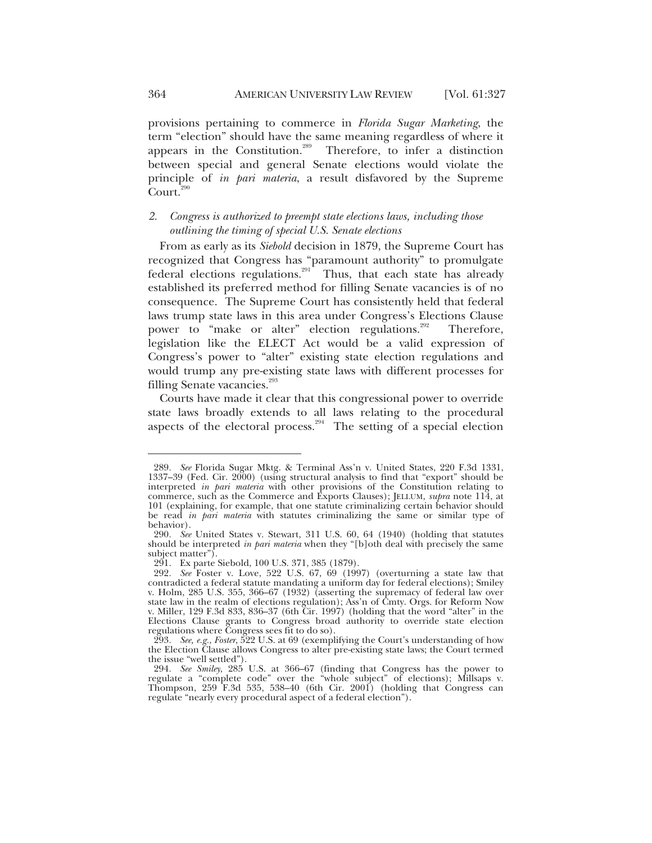provisions pertaining to commerce in *Florida Sugar Marketing*, the term "election" should have the same meaning regardless of where it appears in the Constitution.<sup>289</sup> Therefore, to infer a distinction between special and general Senate elections would violate the principle of *in pari materia*, a result disfavored by the Supreme  $C$ ourt.<sup>290</sup>

#### *2. Congress is authorized to preempt state elections laws, including those outlining the timing of special U.S. Senate elections*

From as early as its *Siebold* decision in 1879, the Supreme Court has recognized that Congress has "paramount authority" to promulgate federal elections regulations.<sup>291</sup> Thus, that each state has already established its preferred method for filling Senate vacancies is of no consequence. The Supreme Court has consistently held that federal laws trump state laws in this area under Congress's Elections Clause power to "make or alter" election regulations.<sup>292</sup> Therefore, legislation like the ELECT Act would be a valid expression of Congress's power to "alter" existing state election regulations and would trump any pre-existing state laws with different processes for filling Senate vacancies. $^{293}$ 

Courts have made it clear that this congressional power to override state laws broadly extends to all laws relating to the procedural aspects of the electoral process.<sup>294</sup> The setting of a special election

<sup>289</sup>*. See* Florida Sugar Mktg. & Terminal Ass'n v. United States, 220 F.3d 1331, 1337–39 (Fed. Cir. 2000) (using structural analysis to find that "export" should be interpreted *in pari materia* with other provisions of the Constitution relating to commerce, such as the Commerce and Exports Clauses); JELLUM, *supra* note 114, at 101 (explaining, for example, that one statute criminalizing certain behavior should be read *in pari materia* with statutes criminalizing the same or similar type of behavior).

<sup>290</sup>*. See* United States v. Stewart, 311 U.S. 60, 64 (1940) (holding that statutes should be interpreted *in pari materia* when they "[b]oth deal with precisely the same subject matter").

 <sup>291.</sup> Ex parte Siebold, 100 U.S. 371, 385 (1879).

<sup>292</sup>*. See* Foster v. Love, 522 U.S. 67, 69 (1997) (overturning a state law that contradicted a federal statute mandating a uniform day for federal elections); Smiley v. Holm, 285 U.S. 355, 366–67 (1932) (asserting the supremacy of federal law over state law in the realm of elections regulation); Ass'n of Cmty. Orgs. for Reform Now v. Miller, 129 F.3d 833, 836–37 (6th Cir. 1997) (holding that the word "alter" in the Elections Clause grants to Congress broad authority to override state election regulations where Congress sees fit to do so).

<sup>293</sup>*. See, e.g.*, *Foster*, 522 U.S. at 69 (exemplifying the Court's understanding of how the Election Clause allows Congress to alter pre-existing state laws; the Court termed the issue "well settled").

<sup>294</sup>*. See Smiley*, 285 U.S. at 366–67 (finding that Congress has the power to regulate a "complete code" over the "whole subject" of elections); Millsaps v. Thompson, 259 F.3d 535, 538–40 (6th Cir. 2001) (holding that Congress can regulate "nearly every procedural aspect of a federal election").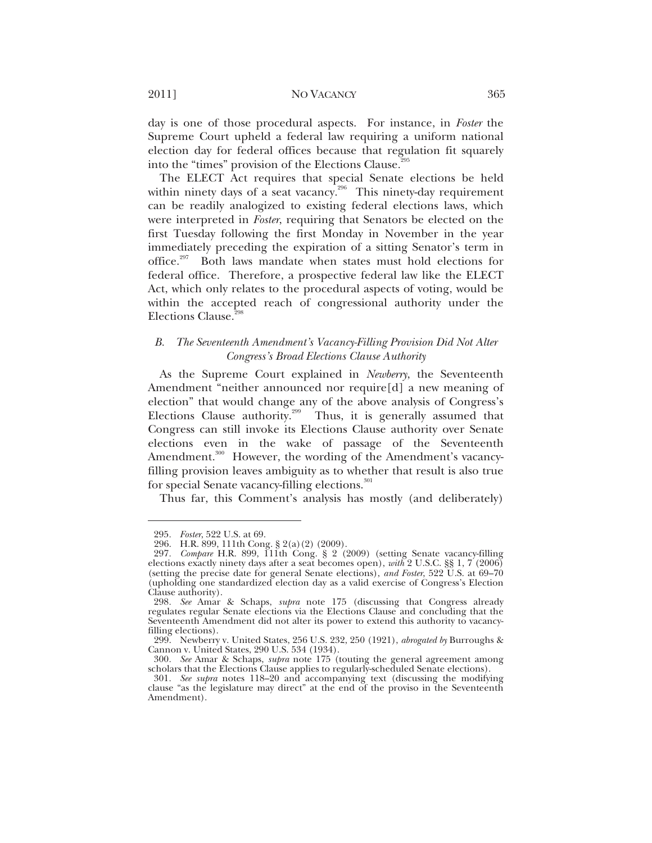day is one of those procedural aspects. For instance, in *Foster* the Supreme Court upheld a federal law requiring a uniform national election day for federal offices because that regulation fit squarely into the "times" provision of the Elections Clause.<sup>295</sup>

The ELECT Act requires that special Senate elections be held within ninety days of a seat vacancy.<sup>296</sup> This ninety-day requirement can be readily analogized to existing federal elections laws, which were interpreted in *Foster*, requiring that Senators be elected on the first Tuesday following the first Monday in November in the year immediately preceding the expiration of a sitting Senator's term in office.<sup>297</sup> Both laws mandate when states must hold elections for federal office. Therefore, a prospective federal law like the ELECT Act, which only relates to the procedural aspects of voting, would be within the accepted reach of congressional authority under the Elections Clause.<sup>29</sup>

#### *B. The Seventeenth Amendment's Vacancy-Filling Provision Did Not Alter Congress's Broad Elections Clause Authority*

As the Supreme Court explained in *Newberry*, the Seventeenth Amendment "neither announced nor require[d] a new meaning of election" that would change any of the above analysis of Congress's Elections Clause authority.<sup>299</sup> Thus, it is generally assumed that Congress can still invoke its Elections Clause authority over Senate elections even in the wake of passage of the Seventeenth Amendment.<sup>300</sup> However, the wording of the Amendment's vacancyfilling provision leaves ambiguity as to whether that result is also true for special Senate vacancy-filling elections.<sup>301</sup>

Thus far, this Comment's analysis has mostly (and deliberately)

<sup>295</sup>*. Foster*, 522 U.S. at 69.

 <sup>296.</sup> H.R. 899, 111th Cong. § 2(a)(2) (2009).

<sup>297</sup>*. Compare* H.R. 899, 111th Cong. § 2 (2009) (setting Senate vacancy-filling elections exactly ninety days after a seat becomes open), *with* 2 U.S.C. §§ 1, 7 (2006) (setting the precise date for general Senate elections), *and Foster*, 522 U.S. at 69–70 (upholding one standardized election day as a valid exercise of Congress's Election Clause authority).

<sup>298</sup>*. See* Amar & Schaps, *supra* note 175 (discussing that Congress already regulates regular Senate elections via the Elections Clause and concluding that the Seventeenth Amendment did not alter its power to extend this authority to vacancyfilling elections).

 <sup>299.</sup> Newberry v. United States, 256 U.S. 232, 250 (1921), *abrogated by* Burroughs & Cannon v. United States, 290 U.S. 534 (1934).

<sup>300</sup>*. See* Amar & Schaps, *supra* note 175 (touting the general agreement among scholars that the Elections Clause applies to regularly-scheduled Senate elections).

<sup>301</sup>*. See supra* notes 118–20 and accompanying text (discussing the modifying clause "as the legislature may direct" at the end of the proviso in the Seventeenth Amendment).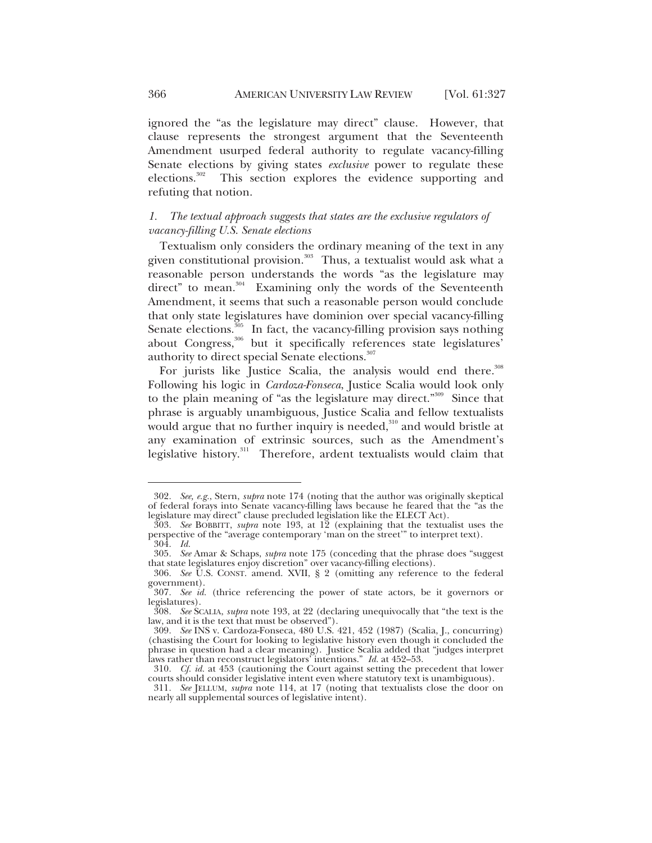ignored the "as the legislature may direct" clause. However, that clause represents the strongest argument that the Seventeenth Amendment usurped federal authority to regulate vacancy-filling Senate elections by giving states *exclusive* power to regulate these elections.<sup>302</sup> This section explores the evidence supporting and refuting that notion.

#### *1. The textual approach suggests that states are the exclusive regulators of vacancy-filling U.S. Senate elections*

Textualism only considers the ordinary meaning of the text in any given constitutional provision. $303$  Thus, a textualist would ask what a reasonable person understands the words "as the legislature may direct" to mean.<sup>304</sup> Examining only the words of the Seventeenth Amendment, it seems that such a reasonable person would conclude that only state legislatures have dominion over special vacancy-filling Senate elections.<sup>305</sup> In fact, the vacancy-filling provision says nothing about Congress,<sup>306</sup> but it specifically references state legislatures' authority to direct special Senate elections.<sup>307</sup>

For jurists like Justice Scalia, the analysis would end there.<sup>308</sup> Following his logic in *Cardoza-Fonseca*, Justice Scalia would look only to the plain meaning of "as the legislature may direct."<sup>309</sup> Since that phrase is arguably unambiguous, Justice Scalia and fellow textualists would argue that no further inquiry is needed,<sup>310</sup> and would bristle at any examination of extrinsic sources, such as the Amendment's legislative history.<sup>311</sup> Therefore, ardent textualists would claim that

<sup>302</sup>*. See, e.g.*, Stern, *supra* note 174 (noting that the author was originally skeptical of federal forays into Senate vacancy-filling laws because he feared that the "as the legislature may direct" clause precluded legislation like the ELECT Act).

<sup>303</sup>*. See* BOBBITT, *supra* note 193, at 12 (explaining that the textualist uses the perspective of the "average contemporary 'man on the street'" to interpret text). 304*. Id.*

<sup>305</sup>*. See* Amar & Schaps, *supra* note 175 (conceding that the phrase does "suggest that state legislatures enjoy discretion" over vacancy-filling elections).

<sup>306</sup>*. See* U.S. CONST. amend. XVII, § 2 (omitting any reference to the federal government).

<sup>307</sup>*. See id.* (thrice referencing the power of state actors, be it governors or legislatures).

<sup>308</sup>*. See* SCALIA, *supra* note 193, at 22 (declaring unequivocally that "the text is the law, and it is the text that must be observed").

<sup>309</sup>*. See* INS v. Cardoza-Fonseca, 480 U.S. 421, 452 (1987) (Scalia, J., concurring) (chastising the Court for looking to legislative history even though it concluded the phrase in question had a clear meaning). Justice Scalia added that "judges interpret laws rather than reconstruct legislators<sup>7</sup> intentions." *Id.* at 452–53.

<sup>310</sup>*. Cf. id.* at 453 (cautioning the Court against setting the precedent that lower courts should consider legislative intent even where statutory text is unambiguous).

<sup>311</sup>*. See* JELLUM, *supra* note 114, at 17 (noting that textualists close the door on nearly all supplemental sources of legislative intent).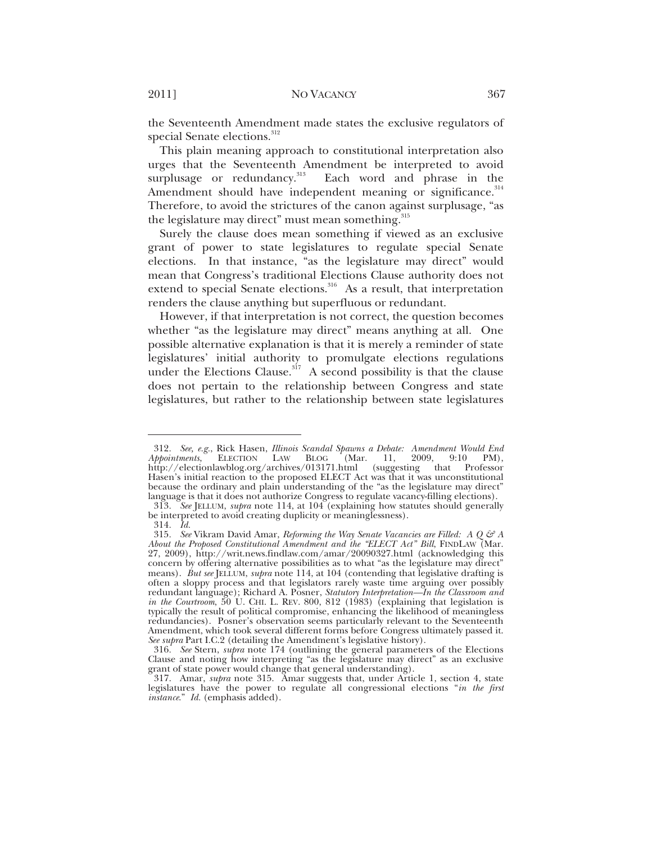the Seventeenth Amendment made states the exclusive regulators of special Senate elections.<sup>312</sup>

This plain meaning approach to constitutional interpretation also urges that the Seventeenth Amendment be interpreted to avoid surplusage or redundancy.<sup>313</sup> Each word and phrase in the Amendment should have independent meaning or significance.<sup>314</sup> Therefore, to avoid the strictures of the canon against surplusage, "as the legislature may direct" must mean something. 315

Surely the clause does mean something if viewed as an exclusive grant of power to state legislatures to regulate special Senate elections. In that instance, "as the legislature may direct" would mean that Congress's traditional Elections Clause authority does not extend to special Senate elections.<sup>316</sup> As a result, that interpretation renders the clause anything but superfluous or redundant.

However, if that interpretation is not correct, the question becomes whether "as the legislature may direct" means anything at all. One possible alternative explanation is that it is merely a reminder of state legislatures' initial authority to promulgate elections regulations under the Elections Clause.<sup>317</sup> A second possibility is that the clause does not pertain to the relationship between Congress and state legislatures, but rather to the relationship between state legislatures

<sup>312</sup>*. See, e.g.*, Rick Hasen, *Illinois Scandal Spawns a Debate: Amendment Would End*  **ELECTION** LAW **BLOG** (Mar. 11, 2009, 9:10 PM), http://electionlawblog.org/archives/013171.html (suggesting that Professor Hasen's initial reaction to the proposed ELECT Act was that it was unconstitutional because the ordinary and plain understanding of the "as the legislature may direct" language is that it does not authorize Congress to regulate vacancy-filling elections).

<sup>313</sup>*. See* JELLUM, *supra* note 114, at 104 (explaining how statutes should generally be interpreted to avoid creating duplicity or meaninglessness).

<sup>314</sup>*. Id.*

<sup>315.</sup> See Vikram David Amar, *Reforming the Way Senate Vacancies are Filled: A Q & A About the Proposed Constitutional Amendment and the "ELECT Act" Bill*, FINDLAW (Mar. 27, 2009), http://writ.news.findlaw.com/amar/20090327.html (acknowledging this concern by offering alternative possibilities as to what "as the legislature may direct" means). *But see* JELLUM, *supra* note 114, at 104 (contending that legislative drafting is often a sloppy process and that legislators rarely waste time arguing over possibly redundant language); Richard A. Posner, *Statutory Interpretation—In the Classroom and in the Courtroom*, 50 U. CHI. L. REV. 800, 812 (1983) (explaining that legislation is typically the result of political compromise, enhancing the likelihood of meaningless redundancies). Posner's observation seems particularly relevant to the Seventeenth Amendment, which took several different forms before Congress ultimately passed it. *See supra* Part I.C.2 (detailing the Amendment's legislative history).

<sup>316</sup>*. See* Stern, *supra* note 174 (outlining the general parameters of the Elections Clause and noting how interpreting "as the legislature may direct" as an exclusive grant of state power would change that general understanding).

 <sup>317.</sup> Amar, *supra* note 315. Amar suggests that, under Article 1, section 4, state legislatures have the power to regulate all congressional elections "*in the first instance*." *Id.* (emphasis added).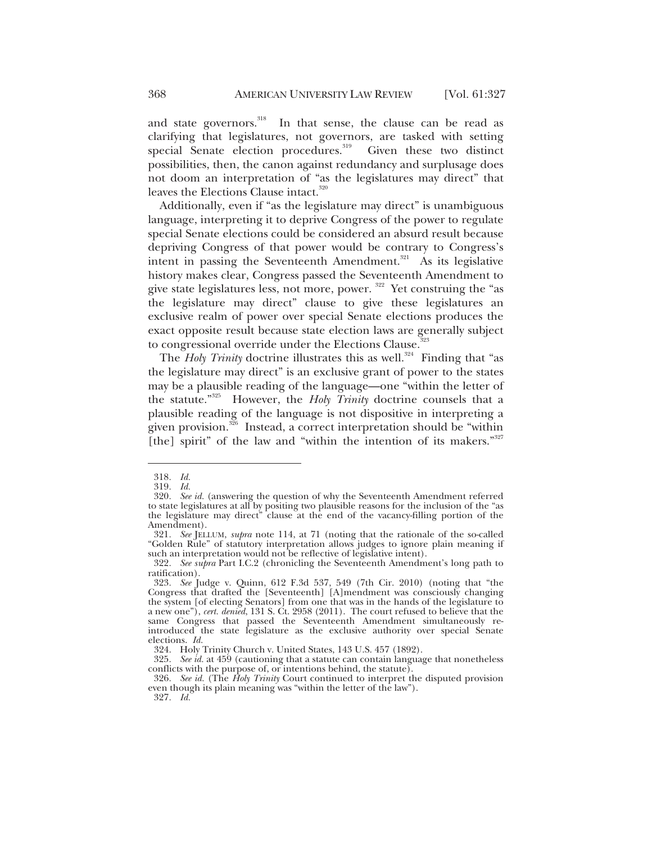and state governors.<sup>318</sup> In that sense, the clause can be read as clarifying that legislatures, not governors, are tasked with setting special Senate election procedures.<sup>319</sup> Given these two distinct possibilities, then, the canon against redundancy and surplusage does not doom an interpretation of "as the legislatures may direct" that leaves the Elections Clause intact.<sup>320</sup>

Additionally, even if "as the legislature may direct" is unambiguous language, interpreting it to deprive Congress of the power to regulate special Senate elections could be considered an absurd result because depriving Congress of that power would be contrary to Congress's intent in passing the Seventeenth Amendment.<sup>321</sup> As its legislative history makes clear, Congress passed the Seventeenth Amendment to give state legislatures less, not more, power.  $322$  Yet construing the "as the legislature may direct" clause to give these legislatures an exclusive realm of power over special Senate elections produces the exact opposite result because state election laws are generally subject to congressional override under the Elections Clause.<sup>323</sup>

The *Holy Trinity* doctrine illustrates this as well.<sup>324</sup> Finding that "as the legislature may direct" is an exclusive grant of power to the states may be a plausible reading of the language—one "within the letter of the statute."325 However, the *Holy Trinity* doctrine counsels that a plausible reading of the language is not dispositive in interpreting a given provision.<sup>326</sup> Instead, a correct interpretation should be "within [the] spirit" of the law and "within the intention of its makers."<sup>327</sup>

<sup>318</sup>*. Id.*

<sup>319</sup>*. Id.*

<sup>320</sup>*. See id.* (answering the question of why the Seventeenth Amendment referred to state legislatures at all by positing two plausible reasons for the inclusion of the "as the legislature may direct" clause at the end of the vacancy-filling portion of the Amendment).

<sup>321</sup>*. See* JELLUM, *supra* note 114, at 71 (noting that the rationale of the so-called "Golden Rule" of statutory interpretation allows judges to ignore plain meaning if such an interpretation would not be reflective of legislative intent).

<sup>322</sup>*. See supra* Part I.C.2 (chronicling the Seventeenth Amendment's long path to ratification).

<sup>323</sup>*. See* Judge v. Quinn, 612 F.3d 537, 549 (7th Cir. 2010) (noting that "the Congress that drafted the [Seventeenth] [A]mendment was consciously changing the system [of electing Senators] from one that was in the hands of the legislature to a new one"), *cert. denied*, 131 S. Ct. 2958 (2011). The court refused to believe that the same Congress that passed the Seventeenth Amendment simultaneously reintroduced the state legislature as the exclusive authority over special Senate elections. *Id.*

 <sup>324.</sup> Holy Trinity Church v. United States, 143 U.S. 457 (1892).

<sup>325</sup>*. See id.* at 459 (cautioning that a statute can contain language that nonetheless conflicts with the purpose of, or intentions behind, the statute).

<sup>326</sup>*. See id.* (The *Holy Trinity* Court continued to interpret the disputed provision even though its plain meaning was "within the letter of the law").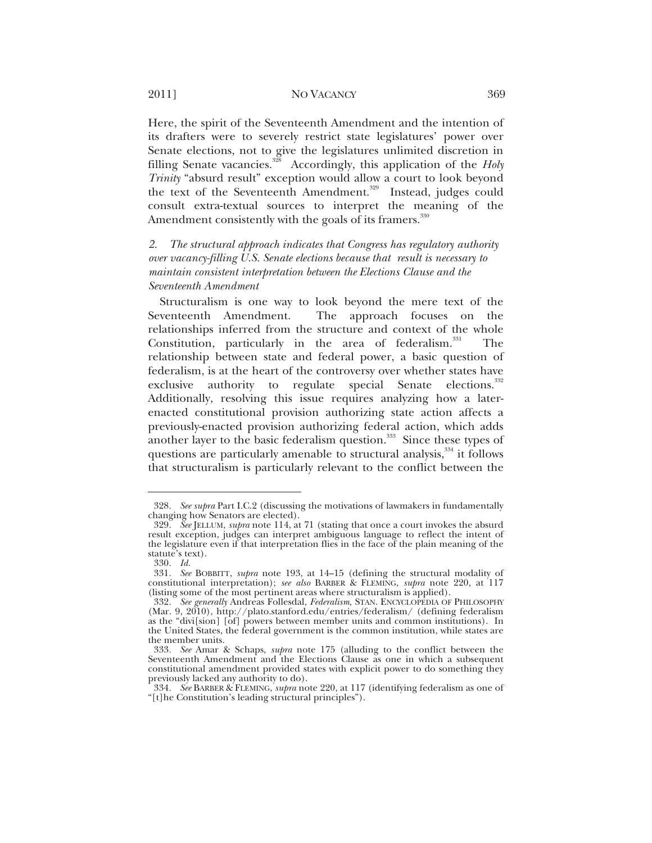Here, the spirit of the Seventeenth Amendment and the intention of its drafters were to severely restrict state legislatures' power over Senate elections, not to give the legislatures unlimited discretion in filling Senate vacancies.<sup>328</sup> Accordingly, this application of the *Holy Trinity* "absurd result" exception would allow a court to look beyond the text of the Seventeenth Amendment.<sup>329</sup> Instead, judges could consult extra-textual sources to interpret the meaning of the Amendment consistently with the goals of its framers.<sup>330</sup>

*2. The structural approach indicates that Congress has regulatory authority over vacancy-filling U.S. Senate elections because that result is necessary to maintain consistent interpretation between the Elections Clause and the Seventeenth Amendment* 

Structuralism is one way to look beyond the mere text of the Seventeenth Amendment. The approach focuses on the relationships inferred from the structure and context of the whole Constitution, particularly in the area of federalism.<sup>331</sup> The relationship between state and federal power, a basic question of federalism, is at the heart of the controversy over whether states have exclusive authority to regulate special Senate elections.<sup>332</sup> Additionally, resolving this issue requires analyzing how a laterenacted constitutional provision authorizing state action affects a previously-enacted provision authorizing federal action, which adds another layer to the basic federalism question.<sup>333</sup> Since these types of questions are particularly amenable to structural analysis,<sup>334</sup> it follows that structuralism is particularly relevant to the conflict between the

<sup>328</sup>*. See supra* Part I.C.2 (discussing the motivations of lawmakers in fundamentally changing how Senators are elected).

<sup>329</sup>*. See* JELLUM, *supra* note 114, at 71 (stating that once a court invokes the absurd result exception, judges can interpret ambiguous language to reflect the intent of the legislature even if that interpretation flies in the face of the plain meaning of the statute's text).

<sup>330</sup>*. Id.*

<sup>331</sup>*. See* BOBBITT, *supra* note 193, at 14–15 (defining the structural modality of constitutional interpretation); *see also* BARBER & FLEMING, *supra* note 220, at 117 (listing some of the most pertinent areas where structuralism is applied).

<sup>332</sup>*. See generally* Andreas Follesdal, *Federalism*, STAN. ENCYCLOPEDIA OF PHILOSOPHY (Mar. 9, 2010), http://plato.stanford.edu/entries/federalism/ (defining federalism as the "divi[sion] [of] powers between member units and common institutions). In the United States, the federal government is the common institution, while states are the member units.

<sup>333</sup>*. See* Amar & Schaps, *supra* note 175 (alluding to the conflict between the Seventeenth Amendment and the Elections Clause as one in which a subsequent constitutional amendment provided states with explicit power to do something they previously lacked any authority to do).

<sup>334</sup>*. See* BARBER & FLEMING, *supra* note 220, at 117 (identifying federalism as one of "[t]he Constitution's leading structural principles").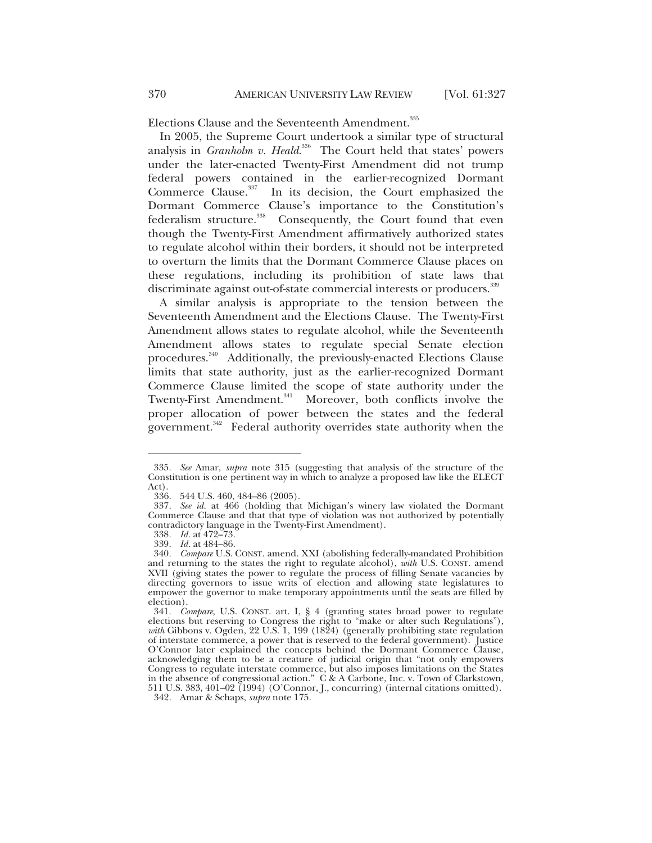Elections Clause and the Seventeenth Amendment.<sup>335</sup>

In 2005, the Supreme Court undertook a similar type of structural analysis in *Granholm v. Heald*.<sup>336</sup> The Court held that states' powers under the later-enacted Twenty-First Amendment did not trump federal powers contained in the earlier-recognized Dormant Commerce Clause.<sup>337</sup> In its decision, the Court emphasized the Dormant Commerce Clause's importance to the Constitution's federalism structure.<sup>338</sup> Consequently, the Court found that even though the Twenty-First Amendment affirmatively authorized states to regulate alcohol within their borders, it should not be interpreted to overturn the limits that the Dormant Commerce Clause places on these regulations, including its prohibition of state laws that discriminate against out-of-state commercial interests or producers.<sup>339</sup>

A similar analysis is appropriate to the tension between the Seventeenth Amendment and the Elections Clause. The Twenty-First Amendment allows states to regulate alcohol, while the Seventeenth Amendment allows states to regulate special Senate election procedures.<sup>340</sup> Additionally, the previously-enacted Elections Clause limits that state authority, just as the earlier-recognized Dormant Commerce Clause limited the scope of state authority under the Twenty-First Amendment.<sup>341</sup> Moreover, both conflicts involve the proper allocation of power between the states and the federal government.<sup>342</sup> Federal authority overrides state authority when the

<sup>335</sup>*. See* Amar, *supra* note 315 (suggesting that analysis of the structure of the Constitution is one pertinent way in which to analyze a proposed law like the ELECT Act).

 <sup>336. 544</sup> U.S. 460, 484–86 (2005).

<sup>337</sup>*. See id.* at 466 (holding that Michigan's winery law violated the Dormant Commerce Clause and that that type of violation was not authorized by potentially contradictory language in the Twenty-First Amendment).

<sup>338</sup>*. Id.* at 472–73.

<sup>339</sup>*. Id.* at 484–86.

<sup>340</sup>*. Compare* U.S. CONST. amend. XXI (abolishing federally-mandated Prohibition and returning to the states the right to regulate alcohol), *with* U.S. CONST. amend XVII (giving states the power to regulate the process of filling Senate vacancies by directing governors to issue writs of election and allowing state legislatures to empower the governor to make temporary appointments until the seats are filled by election).

<sup>341</sup>*. Compare*, U.S. CONST. art. I, § 4 (granting states broad power to regulate elections but reserving to Congress the right to "make or alter such Regulations"), *with* Gibbons v. Ogden, 22 U.S. 1, 199 (1824) (generally prohibiting state regulation of interstate commerce, a power that is reserved to the federal government). Justice O'Connor later explained the concepts behind the Dormant Commerce Clause, acknowledging them to be a creature of judicial origin that "not only empowers Congress to regulate interstate commerce, but also imposes limitations on the States in the absence of congressional action." C & A Carbone, Inc. v. Town of Clarkstown, 511 U.S. 383, 401–02 (1994) (O'Connor, J., concurring) (internal citations omitted).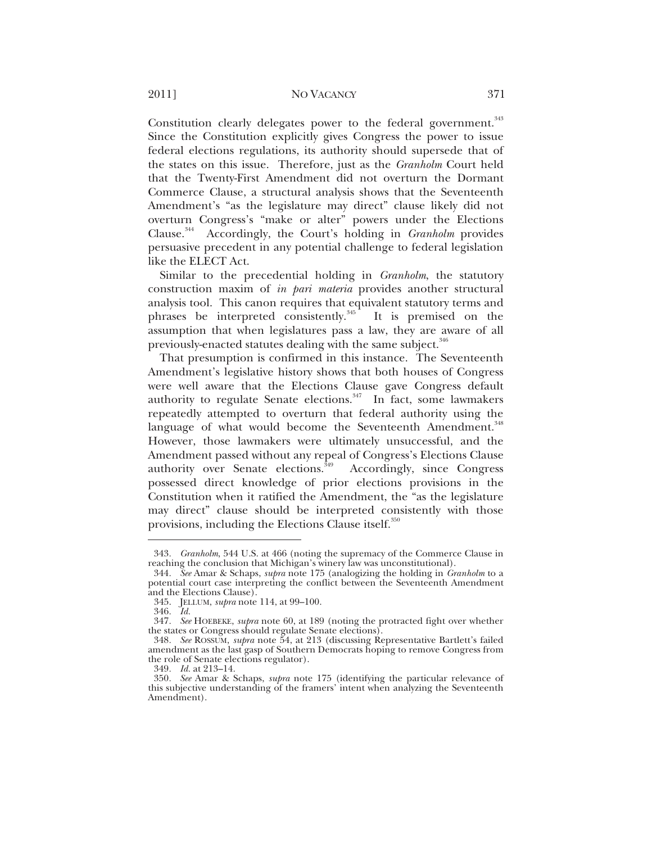Constitution clearly delegates power to the federal government.<sup>343</sup> Since the Constitution explicitly gives Congress the power to issue federal elections regulations, its authority should supersede that of the states on this issue. Therefore, just as the *Granholm* Court held that the Twenty-First Amendment did not overturn the Dormant Commerce Clause, a structural analysis shows that the Seventeenth Amendment's "as the legislature may direct" clause likely did not overturn Congress's "make or alter" powers under the Elections Clause.344 Accordingly, the Court's holding in *Granholm* provides persuasive precedent in any potential challenge to federal legislation like the ELECT Act.

Similar to the precedential holding in *Granholm*, the statutory construction maxim of *in pari materia* provides another structural analysis tool. This canon requires that equivalent statutory terms and phrases be interpreted consistently.<sup>345</sup> It is premised on the assumption that when legislatures pass a law, they are aware of all previously-enacted statutes dealing with the same subject.<sup>346</sup>

That presumption is confirmed in this instance. The Seventeenth Amendment's legislative history shows that both houses of Congress were well aware that the Elections Clause gave Congress default authority to regulate Senate elections.<sup>347</sup> In fact, some lawmakers repeatedly attempted to overturn that federal authority using the language of what would become the Seventeenth Amendment.<sup>348</sup> However, those lawmakers were ultimately unsuccessful, and the Amendment passed without any repeal of Congress's Elections Clause authority over Senate elections.<sup> $\frac{349}{4}$ </sup> Accordingly, since Congress possessed direct knowledge of prior elections provisions in the Constitution when it ratified the Amendment, the "as the legislature may direct" clause should be interpreted consistently with those provisions, including the Elections Clause itself.<sup>350</sup>

<sup>343</sup>*. Granholm*, 544 U.S. at 466 (noting the supremacy of the Commerce Clause in reaching the conclusion that Michigan's winery law was unconstitutional).

<sup>344</sup>*. See* Amar & Schaps, *supra* note 175 (analogizing the holding in *Granholm* to a potential court case interpreting the conflict between the Seventeenth Amendment and the Elections Clause).

 <sup>345.</sup> JELLUM, *supra* note 114, at 99–100.

<sup>346</sup>*. Id.*

<sup>347</sup>*. See* HOEBEKE, *supra* note 60, at 189 (noting the protracted fight over whether the states or Congress should regulate Senate elections).

<sup>348</sup>*. See* ROSSUM, *supra* note 54, at 213 (discussing Representative Bartlett's failed amendment as the last gasp of Southern Democrats hoping to remove Congress from the role of Senate elections regulator).

<sup>349</sup>*. Id.* at 213–14.

<sup>350</sup>*. See* Amar & Schaps, *supra* note 175 (identifying the particular relevance of this subjective understanding of the framers' intent when analyzing the Seventeenth Amendment).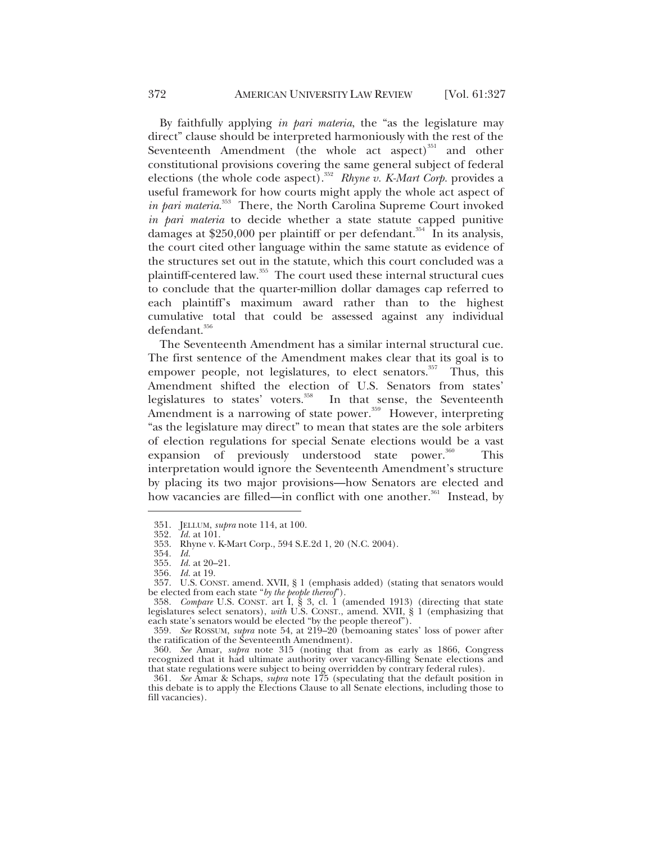By faithfully applying *in pari materia*, the "as the legislature may direct" clause should be interpreted harmoniously with the rest of the Seventeenth Amendment (the whole act aspect) $351$  and other constitutional provisions covering the same general subject of federal elections (the whole code aspect).<sup>352</sup> *Rhyne v. K-Mart Corp.* provides a useful framework for how courts might apply the whole act aspect of *in pari materia*. 353 There, the North Carolina Supreme Court invoked *in pari materia* to decide whether a state statute capped punitive damages at  $$250,000$  per plaintiff or per defendant.<sup>354</sup> In its analysis, the court cited other language within the same statute as evidence of the structures set out in the statute, which this court concluded was a plaintiff-centered law.<sup>355</sup> The court used these internal structural cues to conclude that the quarter-million dollar damages cap referred to each plaintiff's maximum award rather than to the highest cumulative total that could be assessed against any individual defendant.<sup>356</sup>

The Seventeenth Amendment has a similar internal structural cue. The first sentence of the Amendment makes clear that its goal is to empower people, not legislatures, to elect senators.<sup>357</sup> Thus, this Amendment shifted the election of U.S. Senators from states' legislatures to states' voters.<sup>358</sup> In that sense, the Seventeenth Amendment is a narrowing of state power.<sup>359</sup> However, interpreting "as the legislature may direct" to mean that states are the sole arbiters of election regulations for special Senate elections would be a vast expansion of previously understood state power.<sup>360</sup> This interpretation would ignore the Seventeenth Amendment's structure by placing its two major provisions—how Senators are elected and how vacancies are filled—in conflict with one another.<sup>361</sup> Instead, by

 <sup>351.</sup> JELLUM, *supra* note 114, at 100.

<sup>352</sup>*. Id.* at 101.

 <sup>353.</sup> Rhyne v. K-Mart Corp., 594 S.E.2d 1, 20 (N.C. 2004).

<sup>354</sup>*. Id.*

<sup>355</sup>*. Id.* at 20–21.

<sup>356</sup>*. Id.* at 19.

 <sup>357.</sup> U.S. CONST. amend. XVII, § 1 (emphasis added) (stating that senators would be elected from each state "*by the people thereof*").

<sup>358</sup>*. Compare* U.S. CONST. art I, § 3, cl. 1 (amended 1913) (directing that state legislatures select senators), *with* U.S. CONST., amend. XVII, § 1 (emphasizing that each state's senators would be elected "by the people thereof").

<sup>359</sup>*. See* ROSSUM, *supra* note 54, at 219–20 (bemoaning states' loss of power after the ratification of the Seventeenth Amendment).

<sup>360</sup>*. See* Amar, *supra* note 315 (noting that from as early as 1866, Congress recognized that it had ultimate authority over vacancy-filling Senate elections and that state regulations were subject to being overridden by contrary federal rules).

<sup>361</sup>*. See* Amar & Schaps, *supra* note 175 (speculating that the default position in this debate is to apply the Elections Clause to all Senate elections, including those to fill vacancies).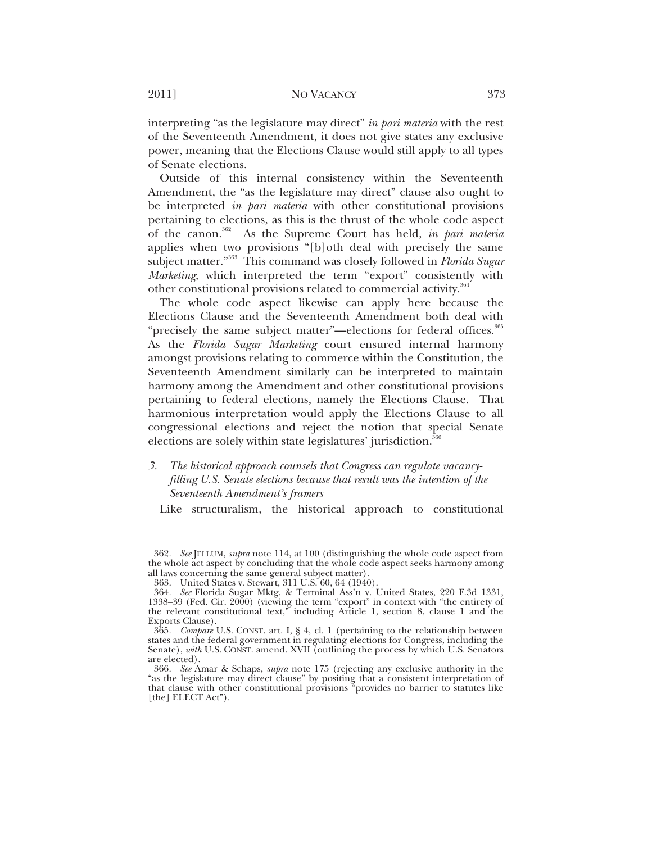interpreting "as the legislature may direct" *in pari materia* with the rest of the Seventeenth Amendment, it does not give states any exclusive power, meaning that the Elections Clause would still apply to all types of Senate elections.

Outside of this internal consistency within the Seventeenth Amendment, the "as the legislature may direct" clause also ought to be interpreted *in pari materia* with other constitutional provisions pertaining to elections, as this is the thrust of the whole code aspect of the canon.362 As the Supreme Court has held, *in pari materia* applies when two provisions "[b]oth deal with precisely the same subject matter."363 This command was closely followed in *Florida Sugar Marketing*, which interpreted the term "export" consistently with other constitutional provisions related to commercial activity.<sup>364</sup>

The whole code aspect likewise can apply here because the Elections Clause and the Seventeenth Amendment both deal with "precisely the same subject matter"—elections for federal offices.<sup>365</sup> As the *Florida Sugar Marketing* court ensured internal harmony amongst provisions relating to commerce within the Constitution, the Seventeenth Amendment similarly can be interpreted to maintain harmony among the Amendment and other constitutional provisions pertaining to federal elections, namely the Elections Clause. That harmonious interpretation would apply the Elections Clause to all congressional elections and reject the notion that special Senate elections are solely within state legislatures' jurisdiction.<sup>36</sup>

*3. The historical approach counsels that Congress can regulate vacancy filling U.S. Senate elections because that result was the intention of the Seventeenth Amendment's framers* 

Like structuralism, the historical approach to constitutional

<sup>362</sup>*. See* JELLUM, *supra* note 114, at 100 (distinguishing the whole code aspect from the whole act aspect by concluding that the whole code aspect seeks harmony among all laws concerning the same general subject matter).

 <sup>363.</sup> United States v. Stewart, 311 U.S. 60, 64 (1940).

<sup>364</sup>*. See* Florida Sugar Mktg. & Terminal Ass'n v. United States, 220 F.3d 1331, 1338–39 (Fed. Cir. 2000) (viewing the term "export" in context with "the entirety of the relevant constitutional text," including Article 1, section 8, clause 1 and the Exports Clause).

<sup>365</sup>*. Compare* U.S. CONST. art. I, § 4, cl. 1 (pertaining to the relationship between states and the federal government in regulating elections for Congress, including the Senate), *with* U.S. CONST. amend. XVII (outlining the process by which U.S. Senators are elected).

<sup>366</sup>*. See* Amar & Schaps, *supra* note 175 (rejecting any exclusive authority in the "as the legislature may direct clause" by positing that a consistent interpretation of that clause with other constitutional provisions "provides no barrier to statutes like [the] ELECT Act").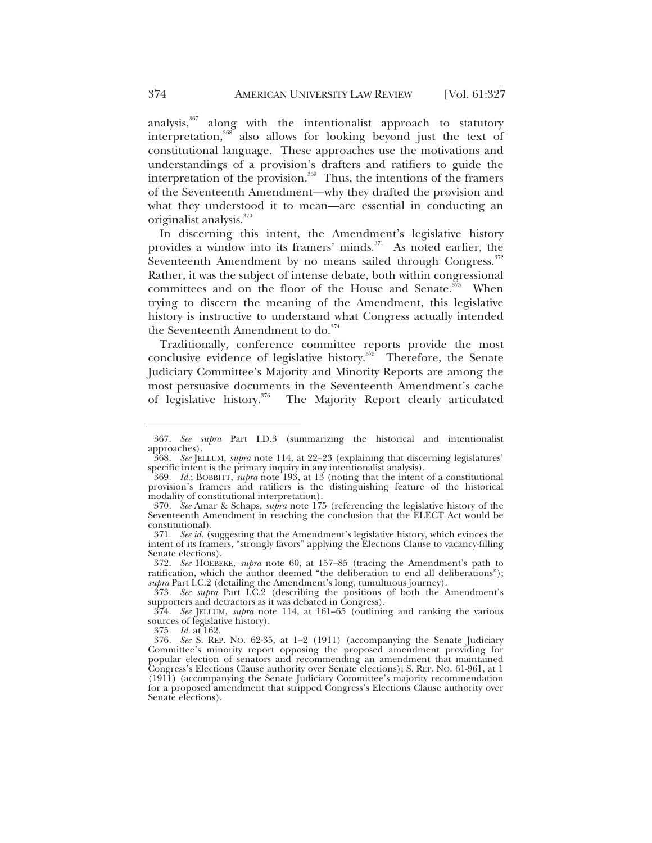analysis,<sup>367</sup> along with the intentionalist approach to statutory interpretation,<sup>368</sup> also allows for looking beyond just the text of constitutional language. These approaches use the motivations and understandings of a provision's drafters and ratifiers to guide the interpretation of the provision.<sup>369</sup> Thus, the intentions of the framers of the Seventeenth Amendment—why they drafted the provision and what they understood it to mean—are essential in conducting an originalist analysis.<sup>370</sup>

In discerning this intent, the Amendment's legislative history provides a window into its framers' minds.<sup>371</sup> As noted earlier, the Seventeenth Amendment by no means sailed through Congress.<sup>372</sup> Rather, it was the subject of intense debate, both within congressional committees and on the floor of the House and Senate.<sup>373</sup> When trying to discern the meaning of the Amendment, this legislative history is instructive to understand what Congress actually intended the Seventeenth Amendment to do.<sup>374</sup>

Traditionally, conference committee reports provide the most conclusive evidence of legislative history.<sup> $375$ </sup> Therefore, the Senate Judiciary Committee's Majority and Minority Reports are among the most persuasive documents in the Seventeenth Amendment's cache of legislative history.<sup>376</sup> The Majority Report clearly articulated

373*. See supra* Part I.C.2 (describing the positions of both the Amendment's supporters and detractors as it was debated in Congress).

<sup>367</sup>*. See supra* Part I.D.3 (summarizing the historical and intentionalist approaches).

<sup>368</sup>*. See* JELLUM, *supra* note 114, at 22–23 (explaining that discerning legislatures' specific intent is the primary inquiry in any intentionalist analysis).

<sup>369</sup>*. Id.*; BOBBITT, *supra* note 193, at 13 (noting that the intent of a constitutional provision's framers and ratifiers is the distinguishing feature of the historical modality of constitutional interpretation).

<sup>370</sup>*. See* Amar & Schaps, *supra* note 175 (referencing the legislative history of the Seventeenth Amendment in reaching the conclusion that the ELECT Act would be constitutional).

<sup>371</sup>*. See id.* (suggesting that the Amendment's legislative history, which evinces the intent of its framers, "strongly favors" applying the Elections Clause to vacancy-filling Senate elections).

<sup>372</sup>*. See* HOEBEKE, *supra* note 60, at 157–85 (tracing the Amendment's path to ratification, which the author deemed "the deliberation to end all deliberations"); *supra* Part I.C.2 (detailing the Amendment's long, tumultuous journey).

<sup>374</sup>*. See* JELLUM, *supra* note 114, at 161–65 (outlining and ranking the various sources of legislative history).

<sup>375</sup>*. Id.* at 162.

<sup>376</sup>*. See* S. REP. NO. 62-35, at 1–2 (1911) (accompanying the Senate Judiciary Committee's minority report opposing the proposed amendment providing for popular election of senators and recommending an amendment that maintained Congress's Elections Clause authority over Senate elections); S. REP. NO. 61-961, at 1 (1911) (accompanying the Senate Judiciary Committee's majority recommendation for a proposed amendment that stripped Congress's Elections Clause authority over Senate elections).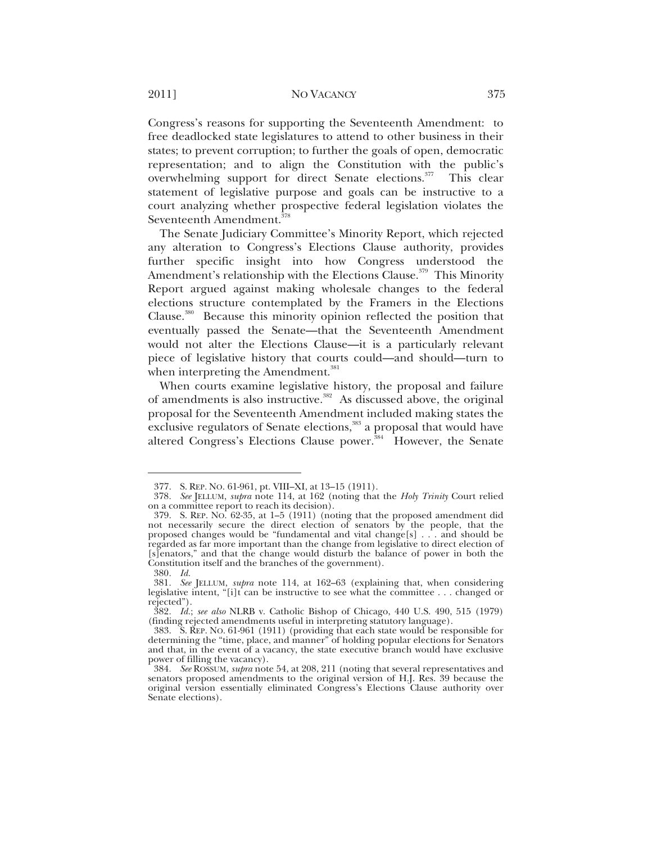Congress's reasons for supporting the Seventeenth Amendment: to free deadlocked state legislatures to attend to other business in their states; to prevent corruption; to further the goals of open, democratic representation; and to align the Constitution with the public's overwhelming support for direct Senate elections.<sup>377</sup> This clear statement of legislative purpose and goals can be instructive to a court analyzing whether prospective federal legislation violates the Seventeenth Amendment.<sup>378</sup>

The Senate Judiciary Committee's Minority Report, which rejected any alteration to Congress's Elections Clause authority, provides further specific insight into how Congress understood the Amendment's relationship with the Elections Clause.<sup>379</sup> This Minority Report argued against making wholesale changes to the federal elections structure contemplated by the Framers in the Elections Clause.<sup>380</sup> Because this minority opinion reflected the position that eventually passed the Senate—that the Seventeenth Amendment would not alter the Elections Clause—it is a particularly relevant piece of legislative history that courts could—and should—turn to when interpreting the Amendment. $^{381}$ 

When courts examine legislative history, the proposal and failure of amendments is also instructive.<sup>382</sup> As discussed above, the original proposal for the Seventeenth Amendment included making states the exclusive regulators of Senate elections,<sup>383</sup> a proposal that would have altered Congress's Elections Clause power.<sup>384</sup> However, the Senate

 <sup>377.</sup> S. REP. NO. 61-961, pt. VIII–XI, at 13–15 (1911).

<sup>378</sup>*. See* JELLUM, *supra* note 114, at 162 (noting that the *Holy Trinity* Court relied on a committee report to reach its decision).

 <sup>379.</sup> S. REP. NO. 62-35, at 1–5 (1911) (noting that the proposed amendment did not necessarily secure the direct election of senators by the people, that the proposed changes would be "fundamental and vital change[s] . . . and should be regarded as far more important than the change from legislative to direct election of [s]enators," and that the change would disturb the balance of power in both the Constitution itself and the branches of the government).

<sup>380</sup>*. Id.*

<sup>381</sup>*. See* JELLUM, *supra* note 114, at 162–63 (explaining that, when considering legislative intent, "[i]t can be instructive to see what the committee . . . changed or rejected").

<sup>382</sup>*. Id.*; *see also* NLRB v. Catholic Bishop of Chicago, 440 U.S. 490, 515 (1979) (finding rejected amendments useful in interpreting statutory language).

 <sup>383.</sup> S. REP. NO. 61-961 (1911) (providing that each state would be responsible for determining the "time, place, and manner" of holding popular elections for Senators and that, in the event of a vacancy, the state executive branch would have exclusive power of filling the vacancy).

<sup>384</sup>*. See* ROSSUM, *supra* note 54, at 208, 211 (noting that several representatives and senators proposed amendments to the original version of H.J. Res. 39 because the original version essentially eliminated Congress's Elections Clause authority over Senate elections).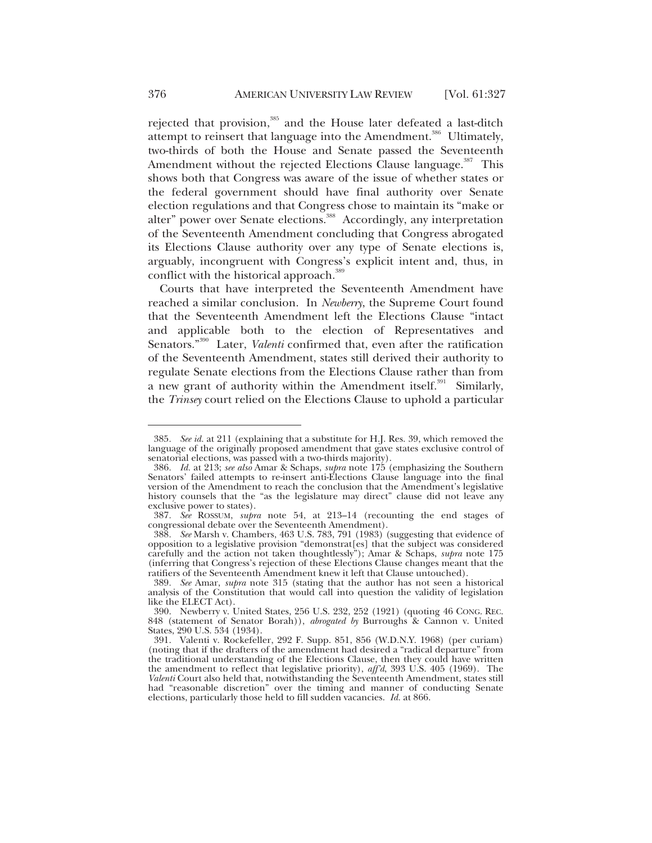rejected that provision,<sup>385</sup> and the House later defeated a last-ditch attempt to reinsert that language into the Amendment.<sup>386</sup> Ultimately, two-thirds of both the House and Senate passed the Seventeenth Amendment without the rejected Elections Clause language.<sup>387</sup> This shows both that Congress was aware of the issue of whether states or the federal government should have final authority over Senate election regulations and that Congress chose to maintain its "make or alter" power over Senate elections.<sup>388</sup> Accordingly, any interpretation of the Seventeenth Amendment concluding that Congress abrogated its Elections Clause authority over any type of Senate elections is, arguably, incongruent with Congress's explicit intent and, thus, in conflict with the historical approach.<sup>389</sup>

Courts that have interpreted the Seventeenth Amendment have reached a similar conclusion. In *Newberry*, the Supreme Court found that the Seventeenth Amendment left the Elections Clause "intact and applicable both to the election of Representatives and Senators."<sup>390</sup> Later, *Valenti* confirmed that, even after the ratification of the Seventeenth Amendment, states still derived their authority to regulate Senate elections from the Elections Clause rather than from a new grant of authority within the Amendment itself.<sup>391</sup> Similarly, the *Trinsey* court relied on the Elections Clause to uphold a particular

<sup>385</sup>*. See id.* at 211 (explaining that a substitute for H.J. Res. 39, which removed the language of the originally proposed amendment that gave states exclusive control of senatorial elections, was passed with a two-thirds majority).

<sup>386</sup>*. Id.* at 213; *see also* Amar & Schaps, *supra* note 175 (emphasizing the Southern Senators' failed attempts to re-insert anti-Elections Clause language into the final version of the Amendment to reach the conclusion that the Amendment's legislative history counsels that the "as the legislature may direct" clause did not leave any exclusive power to states).

<sup>387</sup>*. See* ROSSUM, *supra* note 54, at 213–14 (recounting the end stages of congressional debate over the Seventeenth Amendment).

<sup>388</sup>*. See* Marsh v. Chambers, 463 U.S. 783, 791 (1983) (suggesting that evidence of opposition to a legislative provision "demonstrat[es] that the subject was considered carefully and the action not taken thoughtlessly"); Amar & Schaps, *supra* note 175 (inferring that Congress's rejection of these Elections Clause changes meant that the ratifiers of the Seventeenth Amendment knew it left that Clause untouched).

<sup>389</sup>*. See* Amar, *supra* note 315 (stating that the author has not seen a historical analysis of the Constitution that would call into question the validity of legislation like the ELECT Act).

 <sup>390.</sup> Newberry v. United States, 256 U.S. 232, 252 (1921) (quoting 46 CONG. REC. 848 (statement of Senator Borah)), *abrogated by* Burroughs & Cannon v. United States, 290 U.S. 534 (1934).

 <sup>391.</sup> Valenti v. Rockefeller, 292 F. Supp. 851, 856 (W.D.N.Y. 1968) (per curiam) (noting that if the drafters of the amendment had desired a "radical departure" from the traditional understanding of the Elections Clause, then they could have written the amendment to reflect that legislative priority), *aff'd*, 393 U.S. 405 (1969). The *Valenti* Court also held that, notwithstanding the Seventeenth Amendment, states still had "reasonable discretion" over the timing and manner of conducting Senate elections, particularly those held to fill sudden vacancies. *Id.* at 866.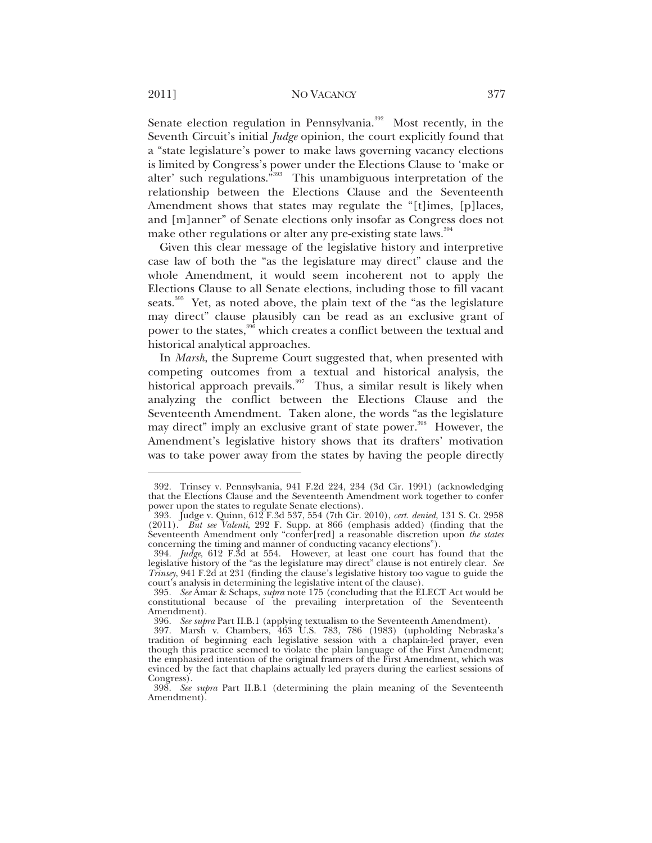#### 2011] NO VACANCY 377

Senate election regulation in Pennsylvania.<sup>392</sup> Most recently, in the Seventh Circuit's initial *Judge* opinion, the court explicitly found that a "state legislature's power to make laws governing vacancy elections is limited by Congress's power under the Elections Clause to 'make or alter' such regulations."393 This unambiguous interpretation of the relationship between the Elections Clause and the Seventeenth Amendment shows that states may regulate the "[t]imes, [p]laces, and [m]anner" of Senate elections only insofar as Congress does not make other regulations or alter any pre-existing state laws.<sup>394</sup>

Given this clear message of the legislative history and interpretive case law of both the "as the legislature may direct" clause and the whole Amendment, it would seem incoherent not to apply the Elections Clause to all Senate elections, including those to fill vacant seats.<sup>395</sup> Yet, as noted above, the plain text of the "as the legislature may direct" clause plausibly can be read as an exclusive grant of power to the states,<sup>396</sup> which creates a conflict between the textual and historical analytical approaches.

In *Marsh*, the Supreme Court suggested that, when presented with competing outcomes from a textual and historical analysis, the historical approach prevails.<sup>397</sup> Thus, a similar result is likely when analyzing the conflict between the Elections Clause and the Seventeenth Amendment. Taken alone, the words "as the legislature may direct" imply an exclusive grant of state power.<sup>398</sup> However, the Amendment's legislative history shows that its drafters' motivation was to take power away from the states by having the people directly

 <sup>392.</sup> Trinsey v. Pennsylvania, 941 F.2d 224, 234 (3d Cir. 1991) (acknowledging that the Elections Clause and the Seventeenth Amendment work together to confer power upon the states to regulate Senate elections).

 <sup>393.</sup> Judge v. Quinn, 612 F.3d 537, 554 (7th Cir. 2010), *cert. denied*, 131 S. Ct. 2958 (2011). *But see Valenti*, 292 F. Supp. at 866 (emphasis added) (finding that the Seventeenth Amendment only "confer[red] a reasonable discretion upon *the states* concerning the timing and manner of conducting vacancy elections").

<sup>394</sup>*. Judge*, 612 F.3d at 554. However, at least one court has found that the legislative history of the "as the legislature may direct" clause is not entirely clear. *See Trinsey*, 941 F.2d at 231 (finding the clause's legislative history too vague to guide the court's analysis in determining the legislative intent of the clause).

<sup>395</sup>*. See* Amar & Schaps, *supra* note 175 (concluding that the ELECT Act would be constitutional because of the prevailing interpretation of the Seventeenth Amendment).

<sup>396</sup>*. See supra* Part II.B.1 (applying textualism to the Seventeenth Amendment). 397. Marsh v. Chambers, 463 U.S. 783, 786 (1983) (upholding Nebraska's tradition of beginning each legislative session with a chaplain-led prayer, even though this practice seemed to violate the plain language of the First Amendment; the emphasized intention of the original framers of the First Amendment, which was evinced by the fact that chaplains actually led prayers during the earliest sessions of Congress).

<sup>398</sup>*. See supra* Part II.B.1 (determining the plain meaning of the Seventeenth Amendment).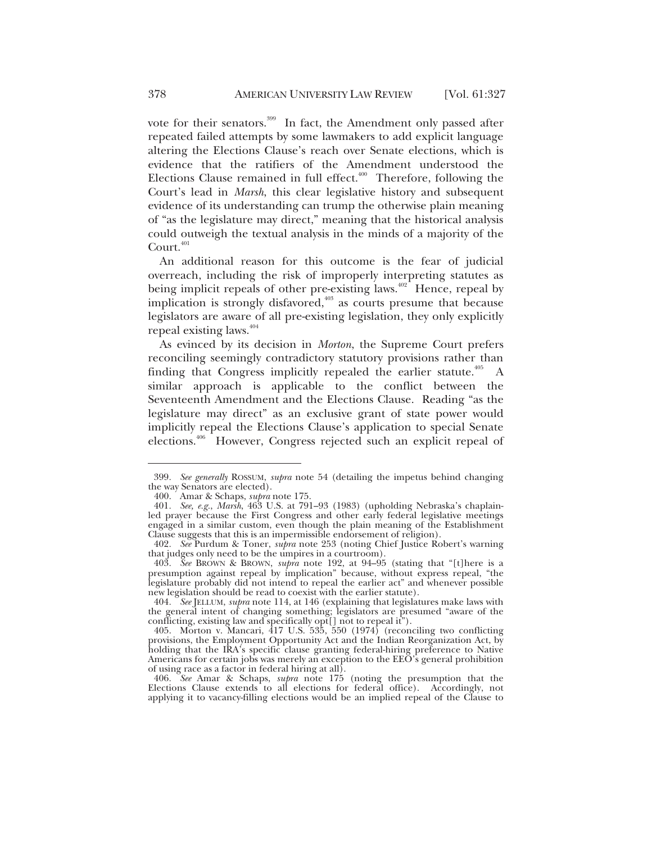vote for their senators.<sup>399</sup> In fact, the Amendment only passed after repeated failed attempts by some lawmakers to add explicit language altering the Elections Clause's reach over Senate elections, which is evidence that the ratifiers of the Amendment understood the Elections Clause remained in full effect. $400$  Therefore, following the Court's lead in *Marsh*, this clear legislative history and subsequent evidence of its understanding can trump the otherwise plain meaning of "as the legislature may direct," meaning that the historical analysis could outweigh the textual analysis in the minds of a majority of the Court.<sup>401</sup>

An additional reason for this outcome is the fear of judicial overreach, including the risk of improperly interpreting statutes as being implicit repeals of other pre-existing laws.<sup> $402$ </sup> Hence, repeal by implication is strongly disfavored,<sup>403</sup> as courts presume that because legislators are aware of all pre-existing legislation, they only explicitly repeal existing laws.<sup>404</sup>

As evinced by its decision in *Morton*, the Supreme Court prefers reconciling seemingly contradictory statutory provisions rather than finding that Congress implicitly repealed the earlier statute.<sup>405</sup> A similar approach is applicable to the conflict between the Seventeenth Amendment and the Elections Clause. Reading "as the legislature may direct" as an exclusive grant of state power would implicitly repeal the Elections Clause's application to special Senate elections.406 However, Congress rejected such an explicit repeal of

<sup>399</sup>*. See generally* ROSSUM, *supra* note 54 (detailing the impetus behind changing the way Senators are elected).

 <sup>400.</sup> Amar & Schaps, *supra* note 175.

<sup>401</sup>*. See, e.g.*, *Marsh*, 463 U.S. at 791–93 (1983) (upholding Nebraska's chaplainled prayer because the First Congress and other early federal legislative meetings engaged in a similar custom, even though the plain meaning of the Establishment Clause suggests that this is an impermissible endorsement of religion).

<sup>402</sup>*. See* Purdum & Toner, *supra* note 253 (noting Chief Justice Robert's warning that judges only need to be the umpires in a courtroom).

<sup>403</sup>*. See* BROWN & BROWN, *supra* note 192, at 94–95 (stating that "[t]here is a presumption against repeal by implication" because, without express repeal, "the legislature probably did not intend to repeal the earlier act" and whenever possible new legislation should be read to coexist with the earlier statute).

<sup>404</sup>*. See* JELLUM, *supra* note 114, at 146 (explaining that legislatures make laws with the general intent of changing something; legislators are presumed "aware of the conflicting, existing law and specifically opt[] not to repeal it").

 <sup>405.</sup> Morton v. Mancari, 417 U.S. 535, 550 (1974) (reconciling two conflicting provisions, the Employment Opportunity Act and the Indian Reorganization Act, by holding that the IRA's specific clause granting federal-hiring preference to Native Americans for certain jobs was merely an exception to the EEO's general prohibition of using race as a factor in federal hiring at all).

<sup>406</sup>*. See* Amar & Schaps, *supra* note 175 (noting the presumption that the Elections Clause extends to all elections for federal office). Accordingly, not applying it to vacancy-filling elections would be an implied repeal of the Clause to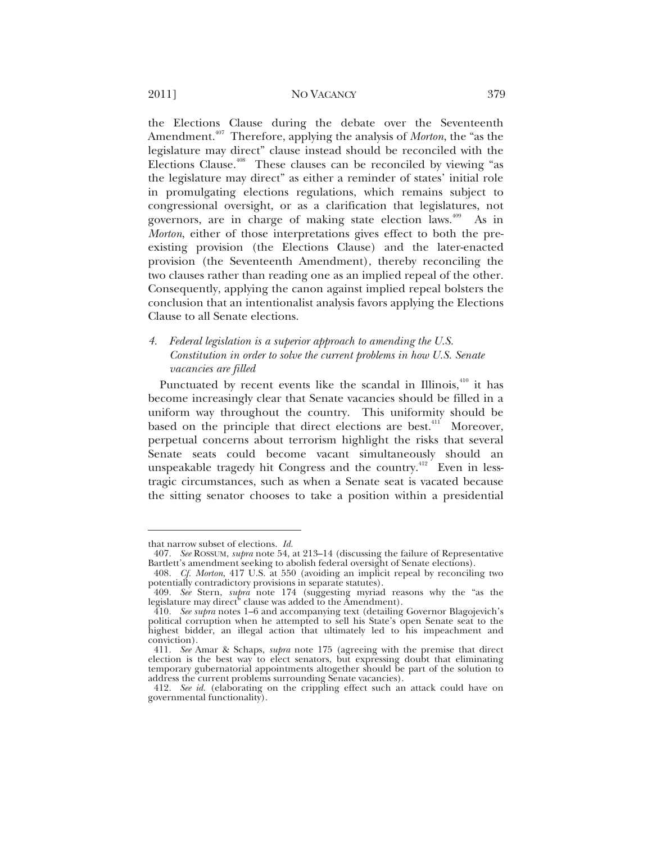the Elections Clause during the debate over the Seventeenth Amendment.<sup>407</sup> Therefore, applying the analysis of *Morton*, the "as the legislature may direct" clause instead should be reconciled with the Elections Clause.<sup> $408$ </sup> These clauses can be reconciled by viewing "as the legislature may direct" as either a reminder of states' initial role in promulgating elections regulations, which remains subject to congressional oversight, or as a clarification that legislatures, not governors, are in charge of making state election laws.<sup>409</sup> As in *Morton*, either of those interpretations gives effect to both the preexisting provision (the Elections Clause) and the later-enacted provision (the Seventeenth Amendment), thereby reconciling the two clauses rather than reading one as an implied repeal of the other. Consequently, applying the canon against implied repeal bolsters the conclusion that an intentionalist analysis favors applying the Elections Clause to all Senate elections.

#### *4. Federal legislation is a superior approach to amending the U.S. Constitution in order to solve the current problems in how U.S. Senate vacancies are filled*

Punctuated by recent events like the scandal in Illinois,<sup>410</sup> it has become increasingly clear that Senate vacancies should be filled in a uniform way throughout the country. This uniformity should be based on the principle that direct elections are best.<sup>411</sup> Moreover, perpetual concerns about terrorism highlight the risks that several Senate seats could become vacant simultaneously should an unspeakable tragedy hit Congress and the country.<sup>412</sup> Even in lesstragic circumstances, such as when a Senate seat is vacated because the sitting senator chooses to take a position within a presidential

that narrow subset of elections. *Id.*

<sup>407</sup>*. See* ROSSUM, *supra* note 54, at 213–14 (discussing the failure of Representative Bartlett's amendment seeking to abolish federal oversight of Senate elections).

<sup>408</sup>*. Cf. Morton*, 417 U.S. at 550 (avoiding an implicit repeal by reconciling two potentially contradictory provisions in separate statutes).

<sup>409</sup>*. See* Stern, *supra* note 174 (suggesting myriad reasons why the "as the legislature may direct" clause was added to the Amendment).

<sup>410</sup>*. See supra* notes 1–6 and accompanying text (detailing Governor Blagojevich's political corruption when he attempted to sell his State's open Senate seat to the highest bidder, an illegal action that ultimately led to his impeachment and conviction).

<sup>411</sup>*. See* Amar & Schaps, *supra* note 175 (agreeing with the premise that direct election is the best way to elect senators, but expressing doubt that eliminating temporary gubernatorial appointments altogether should be part of the solution to address the current problems surrounding Senate vacancies).

<sup>412</sup>*. See id.* (elaborating on the crippling effect such an attack could have on governmental functionality).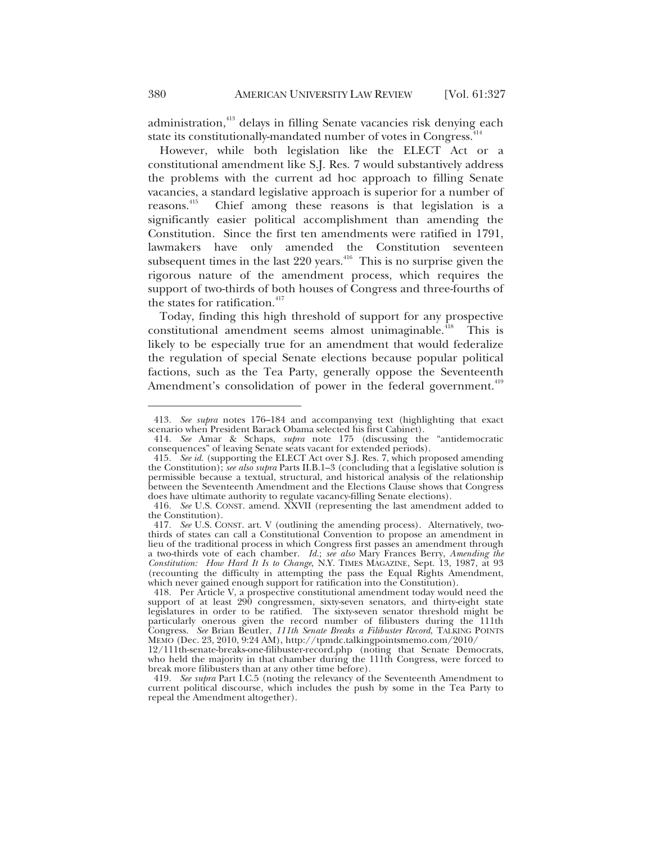administration,<sup>413</sup> delays in filling Senate vacancies risk denying each state its constitutionally-mandated number of votes in Congress.<sup>4</sup>

However, while both legislation like the ELECT Act or a constitutional amendment like S.J. Res. 7 would substantively address the problems with the current ad hoc approach to filling Senate vacancies, a standard legislative approach is superior for a number of reasons.<sup>415</sup> Chief among these reasons is that legislation is a Chief among these reasons is that legislation is a significantly easier political accomplishment than amending the Constitution. Since the first ten amendments were ratified in 1791, lawmakers have only amended the Constitution seventeen subsequent times in the last  $220$  years.<sup>416</sup> This is no surprise given the rigorous nature of the amendment process, which requires the support of two-thirds of both houses of Congress and three-fourths of the states for ratification.<sup>417</sup>

Today, finding this high threshold of support for any prospective constitutional amendment seems almost unimaginable.<sup> $418$ </sup> This is likely to be especially true for an amendment that would federalize the regulation of special Senate elections because popular political factions, such as the Tea Party, generally oppose the Seventeenth Amendment's consolidation of power in the federal government.<sup>419</sup>

<sup>413</sup>*. See supra* notes 176–184 and accompanying text (highlighting that exact scenario when President Barack Obama selected his first Cabinet).

<sup>414</sup>*. See* Amar & Schaps, *supra* note 175 (discussing the "antidemocratic consequences" of leaving Senate seats vacant for extended periods).

<sup>415</sup>*. See id.* (supporting the ELECT Act over S.J. Res. 7, which proposed amending the Constitution); *see also supra* Parts II.B.1–3 (concluding that a legislative solution is permissible because a textual, structural, and historical analysis of the relationship between the Seventeenth Amendment and the Elections Clause shows that Congress does have ultimate authority to regulate vacancy-filling Senate elections).

<sup>416</sup>*. See* U.S. CONST. amend. XXVII (representing the last amendment added to the Constitution).

<sup>417</sup>*. See* U.S. CONST. art. V (outlining the amending process). Alternatively, twothirds of states can call a Constitutional Convention to propose an amendment in lieu of the traditional process in which Congress first passes an amendment through a two-thirds vote of each chamber. *Id.*; *see also* Mary Frances Berry, *Amending the Constitution: How Hard It Is to Change*, N.Y. TIMES MAGAZINE, Sept. 13, 1987, at 93 (recounting the difficulty in attempting the pass the Equal Rights Amendment, which never gained enough support for ratification into the Constitution).

 <sup>418.</sup> Per Article V, a prospective constitutional amendment today would need the support of at least 290 congressmen, sixty-seven senators, and thirty-eight state legislatures in order to be ratified. The sixty-seven senator threshold might be particularly onerous given the record number of filibusters during the 111th Congress. *See* Brian Beutler, *111th Senate Breaks a Filibuster Record*, TALKING POINTS MEMO (Dec. 23, 2010, 9:24 AM), http://tpmdc.talkingpointsmemo.com/2010/

<sup>12/111</sup>th-senate-breaks-one-filibuster-record.php (noting that Senate Democrats, who held the majority in that chamber during the 111th Congress, were forced to break more filibusters than at any other time before).

<sup>419</sup>*. See supra* Part I.C.5 (noting the relevancy of the Seventeenth Amendment to current political discourse, which includes the push by some in the Tea Party to repeal the Amendment altogether).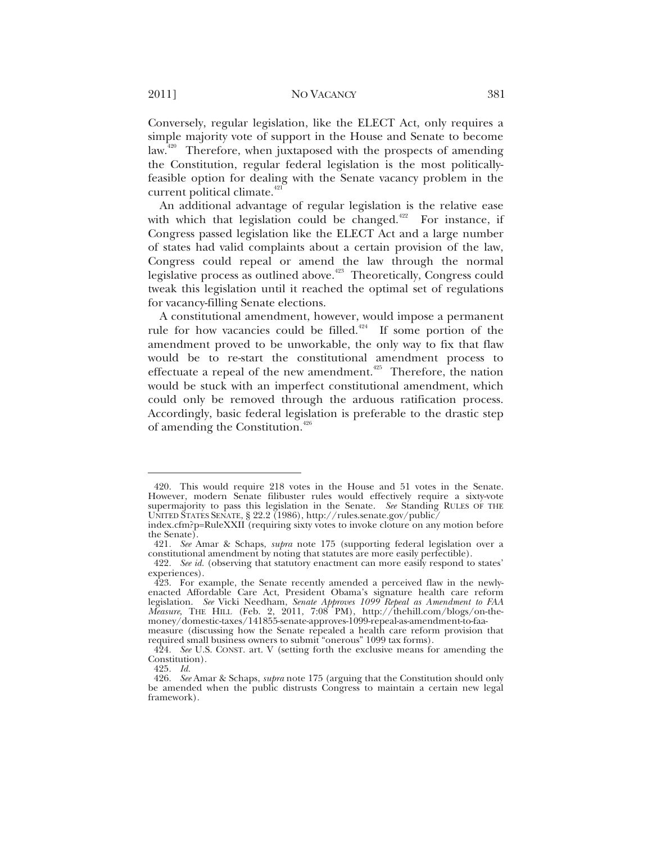Conversely, regular legislation, like the ELECT Act, only requires a simple majority vote of support in the House and Senate to become law.<sup>420</sup> Therefore, when juxtaposed with the prospects of amending the Constitution, regular federal legislation is the most politicallyfeasible option for dealing with the Senate vacancy problem in the current political climate.<sup>421</sup>

An additional advantage of regular legislation is the relative ease with which that legislation could be changed.<sup>422</sup> For instance, if Congress passed legislation like the ELECT Act and a large number of states had valid complaints about a certain provision of the law, Congress could repeal or amend the law through the normal legislative process as outlined above.<sup>423</sup> Theoretically, Congress could tweak this legislation until it reached the optimal set of regulations for vacancy-filling Senate elections.

A constitutional amendment, however, would impose a permanent rule for how vacancies could be filled.<sup>424</sup> If some portion of the amendment proved to be unworkable, the only way to fix that flaw would be to re-start the constitutional amendment process to effectuate a repeal of the new amendment.<sup> $425$ </sup> Therefore, the nation would be stuck with an imperfect constitutional amendment, which could only be removed through the arduous ratification process. Accordingly, basic federal legislation is preferable to the drastic step of amending the Constitution.<sup>426</sup>

 <sup>420.</sup> This would require 218 votes in the House and 51 votes in the Senate. However, modern Senate filibuster rules would effectively require a sixty-vote supermajority to pass this legislation in the Senate. *See* Standing RULES OF THE UNITED STATES SENATE, § 22.2 (1986), http://rules.senate.gov/public/

index.cfm?p=RuleXXII (requiring sixty votes to invoke cloture on any motion before the Senate).

<sup>421</sup>*. See* Amar & Schaps, *supra* note 175 (supporting federal legislation over a constitutional amendment by noting that statutes are more easily perfectible).

<sup>422</sup>*. See id.* (observing that statutory enactment can more easily respond to states'

<sup>423.</sup> For example, the Senate recently amended a perceived flaw in the newlyenacted Affordable Care Act, President Obama's signature health care reform legislation. *See* Vicki Needham, *Senate Approves 1099 Repeal as Amendment to FAA Measure*, THE HILL (Feb. 2, 2011, 7:08 PM), http://thehill.com/blogs/on-themoney/domestic-taxes/141855-senate-approves-1099-repeal-as-amendment-to-faa-

measure (discussing how the Senate repealed a health care reform provision that required small business owners to submit "onerous" 1099 tax forms).

<sup>424</sup>*. See* U.S. CONST. art. V (setting forth the exclusive means for amending the Constitution).

<sup>425</sup>*. Id.*

<sup>426</sup>*. See* Amar & Schaps, *supra* note 175 (arguing that the Constitution should only be amended when the public distrusts Congress to maintain a certain new legal framework).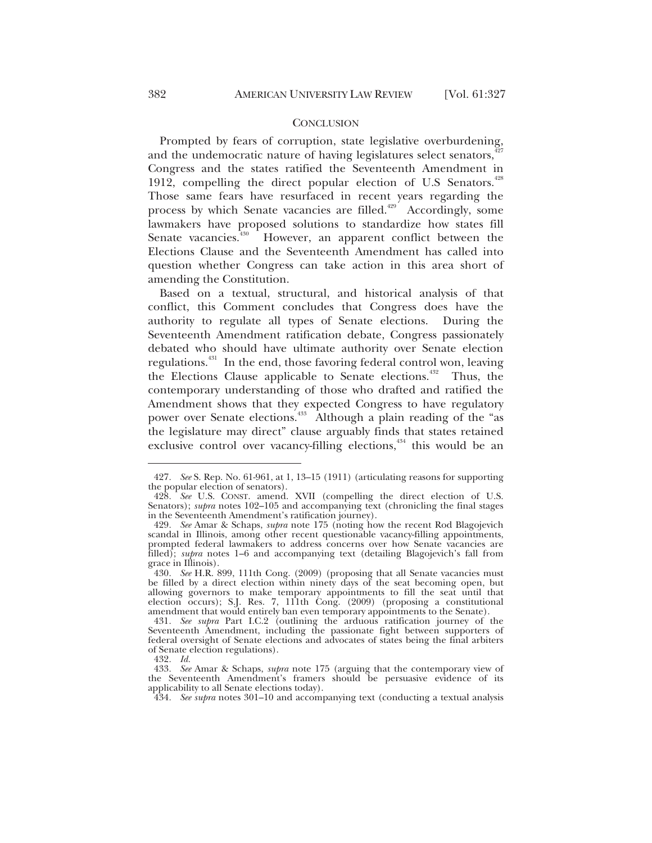#### **CONCLUSION**

Prompted by fears of corruption, state legislative overburdening, and the undemocratic nature of having legislatures select senators, $427$ Congress and the states ratified the Seventeenth Amendment in 1912, compelling the direct popular election of U.S Senators.<sup>428</sup> Those same fears have resurfaced in recent years regarding the process by which Senate vacancies are filled.<sup>429</sup> Accordingly, some lawmakers have proposed solutions to standardize how states fill Senate vacancies. $430$  However, an apparent conflict between the Elections Clause and the Seventeenth Amendment has called into question whether Congress can take action in this area short of amending the Constitution.

Based on a textual, structural, and historical analysis of that conflict, this Comment concludes that Congress does have the authority to regulate all types of Senate elections. During the Seventeenth Amendment ratification debate, Congress passionately debated who should have ultimate authority over Senate election regulations.431 In the end, those favoring federal control won, leaving the Elections Clause applicable to Senate elections.<sup>432</sup> Thus, the contemporary understanding of those who drafted and ratified the Amendment shows that they expected Congress to have regulatory power over Senate elections.<sup>433</sup> Although a plain reading of the "as the legislature may direct" clause arguably finds that states retained exclusive control over vacancy-filling elections, $434$  this would be an

<sup>427</sup>*. See* S. Rep. No. 61-961, at 1, 13–15 (1911) (articulating reasons for supporting the popular election of senators).

<sup>428</sup>*. See* U.S. CONST. amend. XVII (compelling the direct election of U.S. Senators); *supra* notes 102-105 and accompanying text (chronicling the final stages in the Seventeenth Amendment's ratification journey).

<sup>429</sup>*. See* Amar & Schaps, *supra* note 175 (noting how the recent Rod Blagojevich scandal in Illinois, among other recent questionable vacancy-filling appointments, prompted federal lawmakers to address concerns over how Senate vacancies are filled); *supra* notes 1–6 and accompanying text (detailing Blagojevich's fall from grace in Illinois).

<sup>430</sup>*. See* H.R. 899, 111th Cong. (2009) (proposing that all Senate vacancies must be filled by a direct election within ninety days of the seat becoming open, but allowing governors to make temporary appointments to fill the seat until that election occurs); S.J. Res. 7, 111th Cong. (2009) (proposing a constitutional amendment that would entirely ban even temporary appointments to the Senate).

<sup>431</sup>*. See supra* Part I.C.2 (outlining the arduous ratification journey of the Seventeenth Amendment, including the passionate fight between supporters of federal oversight of Senate elections and advocates of states being the final arbiters of Senate election regulations).

<sup>432</sup>*. Id.*

<sup>433</sup>*. See* Amar & Schaps, *supra* note 175 (arguing that the contemporary view of the Seventeenth Amendment's framers should be persuasive evidence of its applicability to all Senate elections today).

<sup>434</sup>*. See supra* notes 301–10 and accompanying text (conducting a textual analysis